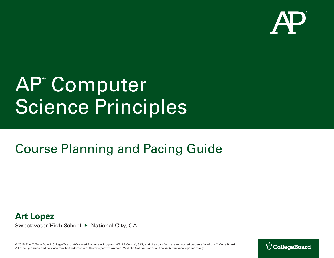

# AP**®** Computer Science Principles

## Course Planning and Pacing Guide



Sweetwater High School ▶ National City, CA

© 2015 The College Board. College Board, Advanced Placement Program, AP, AP Central, SAT, and the acorn logo are registered trademarks of the College Board. All other products and services may be trademarks of their respective owners. Visit the College Board on the Web: www.collegeboard.org.

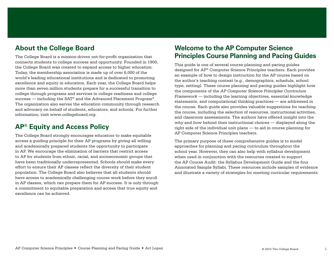## **About the College Board**

The College Board is a mission-driven not-for-profit organization that connects students to college success and opportunity. Founded in 1900, the College Board was created to expand access to higher education. Today, the membership association is made up of over 6,000 of the world's leading educational institutions and is dedicated to promoting excellence and equity in education. Each year, the College Board helps more than seven million students prepare for a successful transition to college through programs and services in college readiness and college success — including the SAT® and the Advanced Placement Program®. The organization also serves the education community through research and advocacy on behalf of students, educators, and schools. For further information, visit www.collegeboard.org.

## **AP® Equity and Access Policy**

The College Board strongly encourages educators to make equitable access a guiding principle for their AP programs by giving all willing and academically prepared students the opportunity to participate in AP. We encourage the elimination of barriers that restrict access to AP for students from ethnic, racial, and socioeconomic groups that have been traditionally underrepresented. Schools should make every effort to ensure their AP classes reflect the diversity of their student population. The College Board also believes that all students should have access to academically challenging course work before they enroll in AP classes, which can prepare them for AP success. It is only through a commitment to equitable preparation and access that true equity and excellence can be achieved.

## **Welcome to the AP Computer Science Principles Course Planning and Pacing Guides**

This guide is one of several course planning and pacing guides designed for AP® Computer Science Principles teachers. Each provides an example of how to design instruction for the AP course based on the author's teaching context (e.g., demographics, schedule, school type, setting). These course planning and pacing guides highlight how the components of the *AP Computer Science Principles Curriculum Framework* — including the learning objectives, essential knowledge statements, and computational thinking practices — are addressed in the course. Each guide also provides valuable suggestions for teaching the course, including the selection of resources, instructional activities, and classroom assessments. The authors have offered insight into the *why* and *how* behind their instructional choices — displayed along the right side of the individual unit plans — to aid in course planning for AP Computer Science Principles teachers.

The primary purpose of these comprehensive guides is to model approaches for planning and pacing curriculum throughout the school year. However, they can also help with syllabus development when used in conjunction with the resources created to support the AP Course Audit: the Syllabus Development Guide and the four Annotated Sample Syllabi. These resources include samples of evidence and illustrate a variety of strategies for meeting curricular requirements.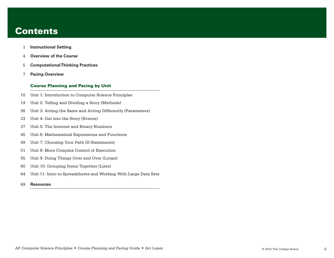## **Contents**

- **[Instructional Setting](#page-3-0)**
- **[Overview of the Course](#page-6-0)**
- **[Computational Thinking Practices](#page-7-0)**
- **[Pacing Overview](#page-9-0)**

## Course Planning and Pacing by Unit

- [Unit 1: Introduction to Computer Science Principles](#page-12-0)
- [Unit 2: Telling and Dividing a Story \(Methods\)](#page-21-0)
- [Unit 3: Acting the Same and Acting Differently \(Parameters\)](#page-28-0)
- [Unit 4: Get into the Story \(Events\)](#page-35-0)
- [Unit 5: The Internet and Binary Numbers](#page-39-0)
- [Unit 6: Mathematical Expressions and Functions](#page-47-0)
- [Unit 7: Choosing Your Path \(If Statements\)](#page-51-0)
- [Unit 8: More Complex Control of Execution](#page-53-0)
- [Unit 9: Doing Things Over and Over \(Loops\)](#page-57-0)
- [Unit 10: Grouping Items Together \(Lists\)](#page-62-0)
- [Unit 11: Intro to Spreadsheets and Working With Large Data Sets](#page-66-0)
- **[Resources](#page-71-0)**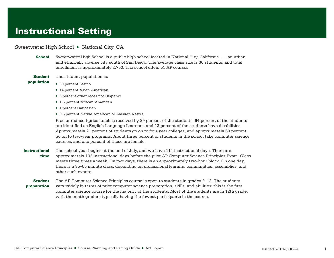## <span id="page-3-0"></span>Instructional Setting

## Sweetwater High School ▶ National City, CA

- **School** Sweetwater High School is a public high school located in National City, California an urban and ethnically diverse city south of San Diego. The average class size is 30 students, and total enrollment is approximately 2,750. The school offers 51 AP courses.
- **Student** The student population is:
- population
- ▶ 80 percent Latino
	- ▶ 14 percent Asian-American
	- ▶ 3 percent other races not Hispanic
	- ▶ 1.5 percent African-American
	- ▶ 1 percent Caucasian
	- ▶ 0.5 percent Native American or Alaskan Native

Free or reduced-price lunch is received by 89 percent of the students, 64 percent of the students are identified as English Language Learners, and 13 percent of the students have disabilities. Approximately 21 percent of students go on to four-year colleges, and approximately 60 percent go on to two-year programs. About three percent of students in the school take computer science courses, and one percent of those are female.

- **Instructional** time The school year begins at the end of July, and we have 114 instructional days. There are approximately 102 instructional days before the pilot AP Computer Science Principles Exam. Class meets three times a week. On two days, there is an approximately two-hour block. On one day, there is a 35–55 minute class, depending on professional learning communities, assemblies, and other such events.
- **Student** preparation The AP Computer Science Principles course is open to students in grades 9–12. The students vary widely in terms of prior computer science preparation, skills, and abilities: this is the first computer science course for the majority of the students. Most of the students are in 12th grade, with the ninth graders typically having the fewest participants in the course.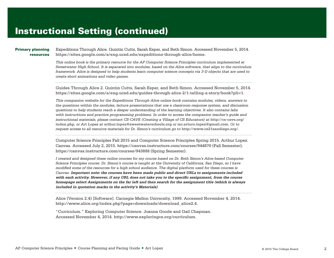### Primary planning resources

Expeditions Through Alice. Quintin Cutts, Sarah Esper, and Beth Simon. Accessed November 5, 2014. **<https://sites.google.com/a/eng.ucsd.edu/expeditions-through-alice/home>**.

*This online book is the primary resource for the AP Computer Science Principles curriculum implemented at Sweetwater High School. It is separated into modules, based on the Alice software, that align to the curriculum framework. Alice is designed to help students learn computer science concepts via 3-D objects that are used to create short animations and video games.*

Guides Through Alice 2. Quintin Cutts, Sarah Esper, and Beth Simon. Accessed November 5, 2014. **[https://sites.google.com/a/eng.ucsd.edu/guides-through-alice-2/1-telling-a-story/book?pli=1](https://sites.google.com/a/eng.ucsd.edu/guides-through-alice-2/1-telling-a-story/book?pli51)**.

*This companion website for the Expeditions Through Alice online book contains modules, videos, answers to the questions within the modules, lecture presentations that use a classroom-response system, and discussion questions to help students reach a deeper understanding of the learning objectives. It also contains labs with instructions and practice programming problems. In order to access the companion teacher's guide and instructional materials, please contact CS-CAVE (Creating a Village of CS Educators) at* **[http://cs-cave.org/](http://cs-cave.org/index.php) [index.php](http://cs-cave.org/index.php)***, or Art Lopez at* **<arthur.lopez@sweetwaterschools.org>** *or* **<mr.arturo.lopez@gmail.com>***. Or to request access to all resource materials for Dr. Simon's curriculum go to* **<http://www.ce21sandiego.org/>***.*

Computer Science Principles Fall 2015 and Computer Science Principles Spring 2015. Arthur Lopez. Canvas. Accessed July 2, 2015. **<https://canvas.instructure.com/courses/944870>** (Fall Semester); **<https://canvas.instructure.com/courses/943888>** (Spring Semester).

*I created and designed these online courses for my course based on Dr. Beth Simon's Alice-based Computer Science Principles course. Dr. Simon's course is taught at the University of California, San Diego, so I have modified some of the resources for a high school audience. The digital platform used for these courses is Canvas.* **Important note: the courses have been made public and direct URLs to assignments included with each activity. However, if any URL does not take you to the specific assignment, from the course homepage select Assignments on the far left and then search for the assignment title (which is always included in quotation marks in the activity's Materials)***.*

Alice (Version 2.4) [Software]. Carnegie Mellon University, 1999. Accessed November 4, 2014. **[http://www.alice.org/index.php?page=downloads/download\\_alice2.4](http://www.alice.org/index.php?page=downloads/download_alice2.4)**.

"Curriculum." Exploring Computer Science. Joanna Goode and Gail Chapman. Accessed November 4, 2014. **<http://www.exploringcs.org/curriculum>**.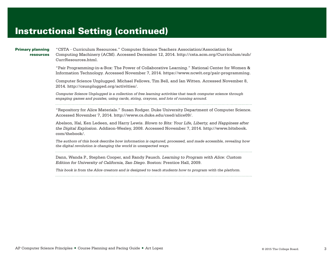### Primary planning resources

"CSTA - Curriculum Resources." Computer Science Teachers Association/Association for Computing Machinery (ACM). Accessed December 12, 2014. **[http://csta.acm.org/Curriculum/sub/](http://csta.acm.org/Curriculum/sub/CurrResources.html) [CurrResources.html](http://csta.acm.org/Curriculum/sub/CurrResources.html)**.

"Pair Programming-in-a-Box: The Power of Collaborative Learning." National Center for Women & Information Technology. Accessed November 7, 2014. **<https://www.ncwit.org/pair-programming>**.

Computer Science Unplugged. Michael Fellows, Tim Bell, and Ian Witten. Accessed November 8, 2014. **<http://csunplugged.org/activities/>**.

*Computer Science Unplugged is a collection of free learning activities that teach computer science through engaging games and puzzles, using cards, string, crayons, and lots of running around.*

"Repository for Alice Materials." Susan Rodger. Duke University Department of Computer Science. Accessed November 7, 2014. **<http://www.cs.duke.edu/csed/alice09/>**.

Abelson, Hal, Ken Ledeen, and Harry Lewis. *Blown to Bits: Your Life, Liberty, and Happiness after the Digital Explosion*. Addison-Wesley, 2008. Accessed November 7, 2014. **[http://www.bitsbook.](http://www.bitsbook.com/thebook/) [com/thebook/](http://www.bitsbook.com/thebook/)**.

*The authors of this book describe how information is captured, processed, and made accessible, revealing how the digital revolution is changing the world in unexpected ways.*

Dann, Wanda P., Stephen Cooper, and Randy Pausch. *Learning to Program with Alice: Custom Edition for University of California, San Diego*. Boston: Prentice Hall, 2009.

*This book is from the Alice creators and is designed to teach students how to program with the platform.*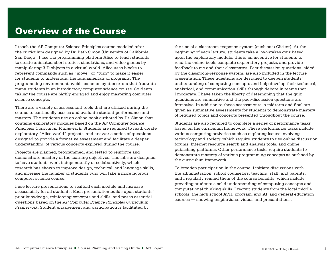## <span id="page-6-0"></span>Overview of the Course

I teach the AP Computer Science Principles course modeled after the curriculum designed by Dr. Beth Simon (University of California, San Diego). I use the programming platform Alice to teach students to create animated short stories, simulations, and video games by manipulating 3-D objects in a virtual world. Alice uses blocks to represent commands such as "move" or "turn" to make it easier for students to understand the fundamentals of programs. The programming environment avoids common syntax errors that frustrate many students in an introductory computer science course. Students taking the course are highly engaged and enjoy mastering computer science concepts.

There are a variety of assessment tools that are utilized during the course to continually assess and evaluate student performance and mastery. The students use an online book authored by Dr. Simon that contains exploratory modules based on the *AP Computer Science Principles Curriculum Framework*. Students are required to read, create exploratory "Alice world" projects, and answer a series of questions designed to provide a formative assessment and facilitate a deeper understanding of various concepts explored during the course.

Projects are planned, programmed, and tested to reinforce and demonstrate mastery of the learning objectives. The labs are designed to have students work independently or collaboratively, which research has shown to improve design, technical, and language skills, and increase the number of students who will take a more rigorous computer science course.

I use lecture presentations to scaffold each module and increase accessibility for all students. Each presentation builds upon students' prior knowledge, reinforcing concepts and skills, and poses essential questions based on the *AP Computer Science Principles Curriculum Framework*. Student engagement and participation is facilitated by

the use of a classroom-response system (such as i>Clicker). At the beginning of each lecture, students take a low-stakes quiz based upon the exploratory module: this is an incentive for students to read the online book, complete exploratory projects, and provide feedback to me and their classmates. Peer-discussion questions, aided by the classroom-response system, are also included in the lecture presentation. These questions are designed to deepen students' understanding of computing concepts and help develop their technical, analytical, and communication skills through debate in teams that I moderate. I have taken the liberty of determining that the quiz questions are summative and the peer-discussion questions are formative. In addition to these assessments, a midterm and final are given as summative assessments for students to demonstrate mastery of required topics and concepts presented throughout the course.

Students are also required to complete a series of performance tasks based on the curriculum framework. These performance tasks include various computing activities such as exploring issues involving technology and society, which require students to use online discussion forums, Internet resource search and analysis tools, and online publishing platforms. Other performance tasks require students to demonstrate mastery of various programming concepts as outlined by the curriculum framework.

To broaden participation in the course, I initiate discussions with the administration, school counselors, teaching staff, and parents, and I regularly remind them of the course benefits, which include providing students a solid understanding of computing concepts and computational thinking skills. I recruit students from the local middle schools, the high school AVID program, and AP and general education courses — showing inspirational videos and presentations.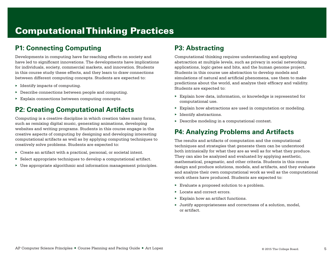## <span id="page-7-0"></span>Computational Thinking Practices

## **P1: Connecting Computing**

Developments in computing have far-reaching effects on society and have led to significant innovations. The developments have implications for individuals, society, commercial markets, and innovation. Students in this course study these effects, and they learn to draw connections between different computing concepts. Students are expected to:

- $\blacktriangleright$  Identify impacts of computing.
- ▶ Describe connections between people and computing.
- ▶ Explain connections between computing concepts.

## **P2: Creating Computational Artifacts**

Computing is a creative discipline in which creation takes many forms, such as remixing digital music, generating animations, developing websites and writing programs. Students in this course engage in the creative aspects of computing by designing and developing interesting computational artifacts as well as by applying computing techniques to creatively solve problems. Students are expected to:

- $\triangleright$  Create an artifact with a practical, personal, or societal intent.
- $\triangleright$  Select appropriate techniques to develop a computational artifact.
- $\triangleright$  Use appropriate algorithmic and information management principles.

## **P3: Abstracting**

Computational thinking requires understanding and applying abstraction at multiple levels, such as privacy in social networking applications, logic gates and bits, and the human genome project. Students in this course use abstraction to develop models and simulations of natural and artificial phenomena, use them to make predictions about the world, and analyze their efficacy and validity. Students are expected to:

- ▶ Explain how data, information, or knowledge is represented for computational use.
- ▶ Explain how abstractions are used in computation or modeling.
- ▶ Identify abstractions.
- ▶ Describe modeling in a computational context.

## **P4: Analyzing Problems and Artifacts**

The results and artifacts of computation and the computational techniques and strategies that generate them can be understood both intrinsically for what they are as well as for what they produce. They can also be analyzed and evaluated by applying aesthetic, mathematical, pragmatic, and other criteria. Students in this course design and produce solutions, models, and artifacts, and they evaluate and analyze their own computational work as well as the computational work others have produced. Students are expected to:

- ▶ Evaluate a proposed solution to a problem.
- ▶ Locate and correct errors.
- ▶ Explain how an artifact functions.
- ▶ Justify appropriateness and correctness of a solution, model, or artifact.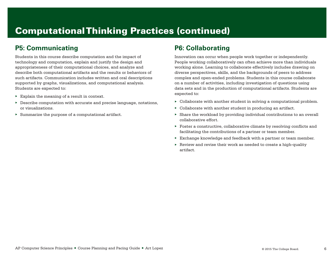## Computational Thinking Practices (continued)

## **P5: Communicating**

Students in this course describe computation and the impact of technology and computation, explain and justify the design and appropriateness of their computational choices, and analyze and describe both computational artifacts and the results or behaviors of such artifacts. Communication includes written and oral descriptions supported by graphs, visualizations, and computational analysis. Students are expected to:

- $\triangleright$  Explain the meaning of a result in context.
- $\triangleright$  Describe computation with accurate and precise language, notations, or visualizations.
- ▶ Summarize the purpose of a computational artifact.

## **P6: Collaborating**

Innovation can occur when people work together or independently. People working collaboratively can often achieve more than individuals working alone. Learning to collaborate effectively includes drawing on diverse perspectives, skills, and the backgrounds of peers to address complex and open-ended problems. Students in this course collaborate on a number of activities, including investigation of questions using data sets and in the production of computational artifacts. Students are expected to:

- $\triangleright$  Collaborate with another student in solving a computational problem.
- $\triangleright$  Collaborate with another student in producing an artifact.
- ▶ Share the workload by providing individual contributions to an overall collaborative effort.
- $\triangleright$  Foster a constructive, collaborative climate by resolving conflicts and facilitating the contributions of a partner or team member.
- $\triangleright$  Exchange knowledge and feedback with a partner or team member.
- ▶ Review and revise their work as needed to create a high-quality artifact.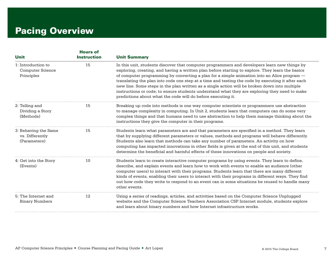## <span id="page-9-0"></span>Pacing Overview

| <b>Unit</b>                                                 | <b>Hours of</b>    |                                                                                                                                                                                                                                                                                                                                                                                                                                                                                                                                                                                                                                                                        |
|-------------------------------------------------------------|--------------------|------------------------------------------------------------------------------------------------------------------------------------------------------------------------------------------------------------------------------------------------------------------------------------------------------------------------------------------------------------------------------------------------------------------------------------------------------------------------------------------------------------------------------------------------------------------------------------------------------------------------------------------------------------------------|
|                                                             | <b>Instruction</b> | <b>Unit Summary</b>                                                                                                                                                                                                                                                                                                                                                                                                                                                                                                                                                                                                                                                    |
| 1: Introduction to<br><b>Computer Science</b><br>Principles | 15                 | In this unit, students discover that computer programmers and developers learn new things by<br>exploring, creating, and having a written plan before starting to explore. They learn the basics<br>of computer programming by converting a plan for a simple animation into an Alice program —<br>translating the plan into code one step at a time and testing the code by executing it after each<br>new line. Some steps in the plan written as a single action will be broken down into multiple<br>instructions or code; to ensure students understand what they are exploring they need to make<br>predictions about what the code will do before executing it. |
| 2: Telling and<br>Dividing a Story<br>(Methods)             | 15                 | Breaking up code into methods is one way computer scientists or programmers use abstraction<br>to manage complexity in computing. In Unit 2, students learn that computers can do some very<br>complex things and that humans need to use abstraction to help them manage thinking about the<br>instructions they give the computer in their programs.                                                                                                                                                                                                                                                                                                                 |
| 3: Behaving the Same<br>vs. Differently<br>(Parameters)     | 15                 | Students learn what parameters are and that parameters are specified in a method. They learn<br>that by supplying different parameters or values, methods and programs will behave differently.<br>Students also learn that methods can take any number of parameters. An activity on how<br>computing has impacted innovations in other fields is given at the end of this unit, and students<br>determine the beneficial and harmful effects of these innovations on people and society.                                                                                                                                                                             |
| 4: Get into the Story<br>(Events)                           | 10                 | Students learn to create interactive computer programs by using events. They learn to define,<br>describe, and explain events and learn how to work with events to enable an audience (other<br>computer users) to interact with their programs. Students learn that there are many different<br>kinds of events, enabling their users to interact with their programs in different ways. They find<br>out how code they write to respond to an event can in some situations be reused to handle many<br>other events.                                                                                                                                                 |
| 5: The Internet and<br><b>Binary Numbers</b>                | 12                 | Using a series of readings, articles, and activities based on the Computer Science Unplugged<br>website and the Computer Science Teachers Association CSP Internet module, students explore<br>and learn about binary numbers and how Internet infrastructure works.                                                                                                                                                                                                                                                                                                                                                                                                   |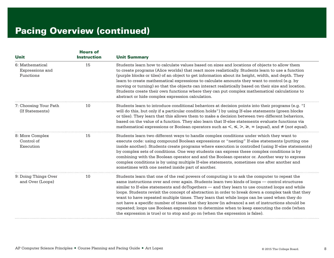| <b>Unit</b>                                     | <b>Hours of</b><br><b>Instruction</b> | <b>Unit Summary</b>                                                                                                                                                                                                                                                                                                                                                                                                                                                                                                                                                                                                                                                                                                                                                                 |
|-------------------------------------------------|---------------------------------------|-------------------------------------------------------------------------------------------------------------------------------------------------------------------------------------------------------------------------------------------------------------------------------------------------------------------------------------------------------------------------------------------------------------------------------------------------------------------------------------------------------------------------------------------------------------------------------------------------------------------------------------------------------------------------------------------------------------------------------------------------------------------------------------|
| 6: Mathematical<br>Expressions and<br>Functions | 15                                    | Students learn how to calculate values based on sizes and locations of objects to allow them<br>to create programs (Alice worlds) that react more realistically. Students learn to use a function<br>(purple blocks or tiles) of an object to get information about its height, width, and depth. They<br>learn to create mathematical expressions to calculate amounts they want to control (e.g. by<br>moving or turning) so that the objects can interact realistically based on their size and location.<br>Students create their own functions where they can put complex mathematical calculations to<br>abstract or hide complex expression calculation.                                                                                                                     |
| 7: Choosing Your Path<br>(If Statements)        | 10                                    | Students learn to introduce conditional behaviors at decision points into their programs (e.g. "I<br>will do this, but only if a particular condition holds") by using If-else statements (green blocks<br>or tiles). They learn that this allows them to make a decision between two different behaviors,<br>based on the value of a function. They also learn that If-else statements evaluate functions via<br>mathematical expressions or Boolean operators such as $\lt$ , $\leq$ , $\gt$ , $\geq$ , $\cong$ (equal), and $\neq$ (not equal).                                                                                                                                                                                                                                  |
| 8: More Complex<br>Control of<br>Execution      | 15                                    | Students learn two different ways to handle complex conditions under which they want to<br>execute code: using compound Boolean expressions or "nesting" If-else statements (putting one<br>inside another). Students create programs where execution is controlled (using If-else statements)<br>by complex sets of conditions. One way students can express these complex conditions is by<br>combining with the Boolean operator and and the Boolean operator or. Another way to express<br>complex conditions is by using multiple If-else statements, sometimes one after another and<br>sometimes with one nested inside part of another.                                                                                                                                     |
| 9: Doing Things Over<br>and Over (Loops)        | 10                                    | Students learn that one of the real powers of computing is to ask the computer to repeat the<br>same instructions over and over again. Students learn two kinds of loops — control structures<br>similar to If-else statements and doTogethers — and they learn to use counted loops and while<br>loops. Students revisit the concept of abstraction in order to break down a complex task that they<br>want to have repeated multiple times. They learn that while loops can be used when they do<br>not have a specific number of times that they know (in advance) a set of instructions should be<br>repeated; loops use Boolean expressions to determine when to keep executing the code (when<br>the expression is true) or to stop and go on (when the expression is false). |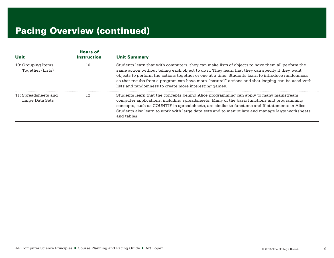| <b>Unit</b>                                   | <b>Hours of</b><br><b>Instruction</b> | <b>Unit Summary</b>                                                                                                                                                                                                                                                                                                                                                                                                                                                  |
|-----------------------------------------------|---------------------------------------|----------------------------------------------------------------------------------------------------------------------------------------------------------------------------------------------------------------------------------------------------------------------------------------------------------------------------------------------------------------------------------------------------------------------------------------------------------------------|
| 10: Grouping Items<br>Together (Lists)        | 10                                    | Students learn that with computers, they can make lists of objects to have them all perform the<br>same action without telling each object to do it. They learn that they can specify if they want<br>objects to perform the actions together or one at a time. Students learn to introduce randomness<br>so that results from a program can have more "natural" actions and that looping can be used with<br>lists and randomness to create more interesting games. |
| 11: Spreadsheets and<br>12<br>Large Data Sets |                                       | Students learn that the concepts behind Alice programming can apply to many mainstream<br>computer applications, including spreadsheets. Many of the basic functions and programming<br>concepts, such as COUNTIF in spreadsheets, are similar to functions and If-statements in Alice.<br>Students also learn to work with large data sets and to manipulate and manage large worksheets<br>and tables.                                                             |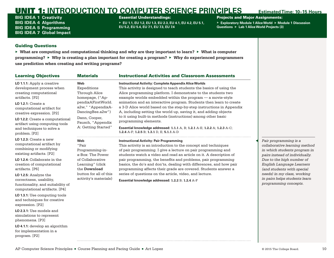<span id="page-12-0"></span>BIG IDEA 1 **Creativity** BIG IDEA 4 **Algorithms** BIG IDEA 5 **Programming** BIG IDEA 7 **Global Impact**

### Essential Understandings:

▶ **EU 1.1, EU 1.2, EU 1.3, EU 2.3, EU 4.1, EU 4.2, EU 5.1, EU 5.2, EU 5.4, EU 7.1, EU 7.3, EU 7.4**

## Projects and Major Assignments:

▶ **Exploratory Module 1 Alice World** ▶ **Module 1 Discussion Questions** ▶ **Lab 1 Alice World Projects (3)**

### Guiding Questions

for implementation in a

program. [P2]

▶ **What are computing and computational thinking and why are they important to learn?** ▶ **What is computer programming?** ▶ **Why is creating a plan important for creating a program?** ▶ **Why do experienced programmers use prediction when creating and writing programs?**

| <b>Learning Objectives</b>                                                                                                                                                                                                                                                                                 | <b>Materials</b>                                                                                                                                                                   | <b>Instructional Activities and Classroom Assessments</b>                                                                                                                                                                                                                                                                                                                                                                                                                                                                                                                                                                                                                                                  |  |                                                                                                                                                                                                        |
|------------------------------------------------------------------------------------------------------------------------------------------------------------------------------------------------------------------------------------------------------------------------------------------------------------|------------------------------------------------------------------------------------------------------------------------------------------------------------------------------------|------------------------------------------------------------------------------------------------------------------------------------------------------------------------------------------------------------------------------------------------------------------------------------------------------------------------------------------------------------------------------------------------------------------------------------------------------------------------------------------------------------------------------------------------------------------------------------------------------------------------------------------------------------------------------------------------------------|--|--------------------------------------------------------------------------------------------------------------------------------------------------------------------------------------------------------|
| LO 1.1.1: Apply a creative<br>development process when<br>creating computational<br>artifacts. [P2]<br>$LO$ 1.2.1: Create a<br>computational artifact for<br>creative expression. [P2]<br>LO 1.2.2: Create a computational<br>artifact using computing tools<br>and techniques to solve a<br>problem. [P2] | Web<br>Expeditions<br>Through Alice<br>homepage, ("Ap-<br>pendixAFirstWorld.<br>a2w," "AppendixA-<br>DancingBee.a2w")<br>Dann, Cooper,<br>Pausch, "Appendix<br>A: Getting Started" | <b>Instructional Activity: Complete Appendix Alice Worlds</b><br>This activity is designed to teach students the basics of using the<br>Alice programming platform. I demonstrate to the students two<br>example worlds embedded within the program - a movie-style<br>animation and an interactive program. Students then learn to create<br>a 3-D Alice world based on the step-by-step instructions in Appendix<br>A, including setting the world up, saving it, and adding objects<br>to it using built-in methods (instructions) among other basic<br>programming elements.<br>Essential knowledge addressed: 1.1.1 A, B; 1.2.1 A-E; 1.2.2 A; 1.2.3 A-C;<br>1.2.4 A-F; 1.2.5 B; 1.3.1 D, E; 5.1.1 A-D |  |                                                                                                                                                                                                        |
| $LO$ 1.2.3: Create a new<br>computational artifact by<br>combining or modifying<br>existing artifacts. [P2]                                                                                                                                                                                                | Web<br>"Pair<br>Programming-in-<br>a-Box: The Power                                                                                                                                | <b>Instructional Activity: Pair Programming</b><br>This activity is an introduction to the concept and techniques<br>of pair programming. I give a lecture on pair programming and<br>students watch a video and read an article on it. A description of                                                                                                                                                                                                                                                                                                                                                                                                                                                   |  |                                                                                                                                                                                                        |
| LO 1.2.4: Collaborate in the<br>creation of computational<br>artifacts. [P6]                                                                                                                                                                                                                               | of Collaborative<br>Learning" (click<br>the Download                                                                                                                               |                                                                                                                                                                                                                                                                                                                                                                                                                                                                                                                                                                                                                                                                                                            |  | pair programming, the benefits and problems, pair programming<br>basics, the do's and don'ts, dealing with differences, and how pair<br>programming affects their grade are covered. Students answer a |
| LO 1.2.5: Analyze the<br>correctness, usability,<br>functionality, and suitability of<br>computational artifacts. [P4]                                                                                                                                                                                     | button for all of this<br>activity's materials)                                                                                                                                    | series of questions on the article, video, and lecture.<br>Essential knowledge addressed: 1.2.2 B; 1.2.4 A-F                                                                                                                                                                                                                                                                                                                                                                                                                                                                                                                                                                                               |  |                                                                                                                                                                                                        |
| LO 1.3.1: Use computing tools<br>and techniques for creative<br>expression. [P2]                                                                                                                                                                                                                           |                                                                                                                                                                                    |                                                                                                                                                                                                                                                                                                                                                                                                                                                                                                                                                                                                                                                                                                            |  |                                                                                                                                                                                                        |
| LO 2.3.1: Use models and<br>simulations to represent<br>phenomena. [P3]                                                                                                                                                                                                                                    |                                                                                                                                                                                    |                                                                                                                                                                                                                                                                                                                                                                                                                                                                                                                                                                                                                                                                                                            |  |                                                                                                                                                                                                        |
| LO 4.1.1: develop an algorithm                                                                                                                                                                                                                                                                             |                                                                                                                                                                                    |                                                                                                                                                                                                                                                                                                                                                                                                                                                                                                                                                                                                                                                                                                            |  |                                                                                                                                                                                                        |

◀ *Pair programming is a* 

*collaborative learning method in which students program in pairs instead of individually. Due to the high number of English Language Learners (and students with special needs) in my class, working in pairs helps students learn programming concepts.*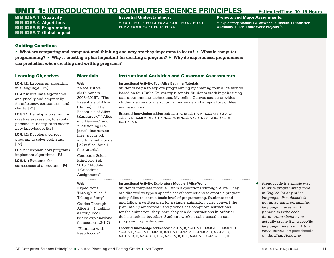BIG IDEA 1 **Creativity** BIG IDEA 4 **Algorithms** BIG IDEA 5 **Programming** BIG IDEA 7 **Global Impact**

### Essential Understandings:

▶ **EU 1.1, EU 1.2, EU 1.3, EU 2.3, EU 4.1, EU 4.2, EU 5.1, EU 5.2, EU 5.4, EU 7.1, EU 7.3, EU 7.4**

### Projects and Major Assignments:

▶ **Exploratory Module 1 Alice World** ▶ **Module 1 Discussion Questions** ▶ **Lab 1 Alice World Projects (3)**

### Guiding Questions

▶ **What are computing and computational thinking and why are they important to learn?** ▶ **What is computer programming?** ▶ **Why is creating a plan important for creating a program?** ▶ **Why do experienced programmers use prediction when creating and writing programs?**

| <b>Learning Objectives</b>                                                                                                                                                                                                                                                                                                                                                                                                                                                                                    | <b>Materials</b>                                                                                                                                                                                                                                                                                                                                                                                                  | <b>Instructional Activities and Classroom Assessments</b>                                                                                                                                                                                                                                                                                                                                                                                                                                                                                                                                                                                                                                                                                                          |  |  |
|---------------------------------------------------------------------------------------------------------------------------------------------------------------------------------------------------------------------------------------------------------------------------------------------------------------------------------------------------------------------------------------------------------------------------------------------------------------------------------------------------------------|-------------------------------------------------------------------------------------------------------------------------------------------------------------------------------------------------------------------------------------------------------------------------------------------------------------------------------------------------------------------------------------------------------------------|--------------------------------------------------------------------------------------------------------------------------------------------------------------------------------------------------------------------------------------------------------------------------------------------------------------------------------------------------------------------------------------------------------------------------------------------------------------------------------------------------------------------------------------------------------------------------------------------------------------------------------------------------------------------------------------------------------------------------------------------------------------------|--|--|
| LO 4.1.2: Express an algorithm<br>in a language. [P5]<br>LO 4.2.4: Evaluate algorithms<br>analytically and empirically<br>for efficiency, correctness, and<br>clarity. [P4]<br>LO 5.1.1: Develop a program for<br>creative expression, to satisfy<br>personal curiosity, or to create<br>new knowledge. [P2]<br>LO 5.1.2: Develop a correct<br>program to solve problems.<br>[P2]<br>LO 5.2.1: Explain how programs<br>implement algorithms. [P3]<br>LO 5.4.1: Evaluate the<br>correctness of a program. [P4] | Web<br>"Alice Tutori-<br>als Summers<br>2008-2015": "The<br><b>Essentials of Alice</b><br>(Bunny)," "The<br><b>Essentials of Alice</b><br>(Kangaroo)," "Alice<br>and Daisies," and<br>"Positioning Ob-<br>jects": instruction<br>files [ppt or pdf]<br>and finished worlds<br>[.a2w files] for all<br>four tutorials<br><b>Computer Science</b><br>Principles Fall<br>2015, "Module<br>1 Questions<br>Assignment" | <b>Instructional Activity: Four Alice Beginner Tutorials</b><br>Students begin to explore programming by creating four Alice worlds<br>based on four Duke University tutorials. Students work in pairs using<br>pair programming techniques. My online Canvas course provides<br>students access to instructional materials and a repository of files<br>and resources.<br>Essential knowledge addressed: 1.1.1 A, B; 1.2.1 A-E; 1.2.2 B; 1.2.3 A-C;<br>1.2.4 A-D; 1.2.5 A-D; 1.3.1 E; 4.1.1 A, B; 4.1.2 A-C; 5.1.1 A-D; 5.1.3 C, D;<br>5.4.1 E, F, K                                                                                                                                                                                                              |  |  |
|                                                                                                                                                                                                                                                                                                                                                                                                                                                                                                               | Web<br>Expeditions<br>Through Alice, "1.<br>Telling a Story"<br>Guides Through<br>Alice 2, "1. Telling<br>a Story: Book"<br>(video explanations<br>for section $1.3-1.7$ )<br>"Planning with<br>Pseudocode"                                                                                                                                                                                                       | <b>Instructional Activity: Exploratory Module 1 Alice World</b><br>Students complete module 1 from Expeditions Through Alice. They<br>are directed to type a specific set of instructions to create a program<br>using Alice to learn a basic level of programming. Students read<br>and follow a written plan for a simple animation. They convert the<br>plan into "pseudocode" and provide the computer instructions<br>for the animation; they learn they can do instructions in order or<br>do instructions <b>together</b> . Students work in pairs based on pair<br>programming techniques.<br>Essential knowledge addressed: 1.1.1 A, B; 1.2.1 A-D; 1.2.2 A, B; 1.2.3 A-C;<br>1.2.4 A-F; 1.2.5 A-D; 1.3.1 D; 2.3.1 A-C; 4.1.1 A, B; 4.1.2 A-C; 4.2.4 A, B; |  |  |

◀ *Pseudocode is a simple way to write programming code in English (or any other language). Pseudocode is not an actual programming language: it uses short phrases to write code for programs before you actually create it in a specific language. Here is a link to a [video tutorial on](https://www.khanacademy.org/computing/computer-programming/programming/good-practices/p/planning-with-pseudo-code)* **pseudocode** *by the Khan Academy.*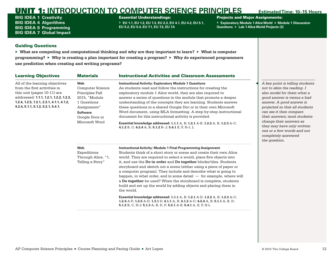BIG IDEA 1 **Creativity** BIG IDEA 4 **Algorithms** BIG IDEA 5 **Programming** BIG IDEA 7 **Global Impact**

### Essential Understandings:

▶ **EU 1.1, EU 1.2, EU 1.3, EU 2.3, EU 4.1, EU 4.2, EU 5.1, EU 5.2, EU 5.4, EU 7.1, EU 7.3, EU 7.4**

### Projects and Major Assignments:

▶ **Exploratory Module 1 Alice World** ▶ **Module 1 Discussion Questions** ▶ **Lab 1 Alice World Projects (3)**

### Guiding Questions

▶ **What are computing and computational thinking and why are they important to learn?** ▶ **What is computer programming?** ▶ **Why is creating a plan important for creating a program?** ▶ **Why do experienced programmers use prediction when creating and writing programs?**

| <b>Learning Objectives</b>                                                                                                                                                                                                 | <b>Materials</b>                                                                                                                                        | <b>Instructional Activities and Classroom Assessments</b>                                                                                                                                                                                                                                                                                                                                                                                                                                                                                                                                                                                                                         |                                                                                        |
|----------------------------------------------------------------------------------------------------------------------------------------------------------------------------------------------------------------------------|---------------------------------------------------------------------------------------------------------------------------------------------------------|-----------------------------------------------------------------------------------------------------------------------------------------------------------------------------------------------------------------------------------------------------------------------------------------------------------------------------------------------------------------------------------------------------------------------------------------------------------------------------------------------------------------------------------------------------------------------------------------------------------------------------------------------------------------------------------|----------------------------------------------------------------------------------------|
| All of the learning objectives<br>from the first activities in<br>this unit (pages 10-11) are<br>addressed: 1.1.1, 1.2.1, 1.2.2, 1.2.3,<br>1.2.4, 1.2.5, 1.3.1, 2.3.1, 4.1.1, 4.1.2,<br>4.2.4, 5.1.1, 5.1.2, 5.2.1, 5.4.1. | <b>Web</b><br>Computer Science<br>Principles Fall<br>2015, "Module<br>1 Questions<br>Assignment"<br><b>Software</b><br>Google Docs or<br>Microsoft Word | <b>Instructional Activity: Exploratory Module 1 Questions</b><br>As students read and follow the instructions for creating the<br>exploratory module 1 Alice world, they are also required to<br>answer a series of questions in the module that promote a deeper<br>understanding of the concepts they are learning. Students answer<br>these questions in a shared Google Doc or in their own Microsoft<br>Word document, using MLA formatting. A step-by-step instructional<br>document for this instructional activity is provided.<br>Essential knowledge addressed: 1.1.1 A, B; 1.2.1 A-E; 1.2.2 A, B; 1.2.3 A-C;<br>4.1.2 B, C; 4.2.4 A, B; 5.1.2 B-.J; 5.4.1 E, F, H-J, L | $\mathcal{A}$<br>no<br>als<br>go<br>an<br>pr<br>ca<br>th<br>ch<br>th<br>on<br>CO<br>th |
|                                                                                                                                                                                                                            | <b>Web</b><br>Expeditions<br>Through Alice, "1.<br>Telling a Story"                                                                                     | Instructional Activity: Module 1 Final Programming Assignment<br>Students think of a short story or scene and create their own Alice<br>world. They are required to select a world, place five objects into<br>it, and use the Do in order and Do together blocks/tiles. Students<br>storyboard and sketch out a scene (either using a piece of paper or<br>a computer program). They include and describe what is going to<br>happen, in what order, and in some detail $-$ for example, where will<br>a <b>Do together</b> be used? When the storyboard is complete, students<br>build and set up the world by adding objects and placing them in                               |                                                                                        |

the world.

**Essential knowledge addressed: 1.1.1** A, B; **1.2.1** A-D; **1.2.2** A, B; **1.2.3** A-C; **1.2.4** A-F; **1.2.5** A-D; **1.3.1** D; **4.1.1** A, B; **4.1.2** A-C; **4.2.4** A, B; **5.1.1** A, B, D; **5.1.2** B, C, H-J; **5.1.3** A, B, D, F; **5.2.1** A-E; **5.4.1** A, E, F, H-L

◀ *A key point is telling students not to skim the reading. I also model for them what a good answer is versus a bad answer. A good answer is projected so that all students can see it then compare their answers; most students change their answers as they may have only written one or a few words and not completely answered*   $e$  *question.*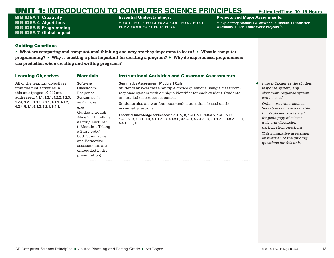BIG IDEA 1 **Creativity** BIG IDEA 4 **Algorithms** BIG IDEA 5 **Programming** BIG IDEA 7 **Global Impact**

### Essential Understandings:

▶ **EU 1.1, EU 1.2, EU 1.3, EU 2.3, EU 4.1, EU 4.2, EU 5.1, EU 5.2, EU 5.4, EU 7.1, EU 7.3, EU 7.4**

### Projects and Major Assignments:

▶ **Exploratory Module 1 Alice World** ▶ **Module 1 Discussion Questions** ▶ **Lab 1 Alice World Projects (3)**

### Guiding Questions

▶ **What are computing and computational thinking and why are they important to learn?** ▶ **What is computer programming?** ▶ **Why is creating a plan important for creating a program?** ▶ **Why do experienced programmers use prediction when creating and writing programs?**

| <b>Learning Objectives</b>                                                                                                              | <b>Materials</b>                                                                                                                                                                                                      | <b>Instructional Activities and Classroom Assessments</b>                                                                                                                                                                                                                             |                                                                                                                                                                                                                                                          |  |
|-----------------------------------------------------------------------------------------------------------------------------------------|-----------------------------------------------------------------------------------------------------------------------------------------------------------------------------------------------------------------------|---------------------------------------------------------------------------------------------------------------------------------------------------------------------------------------------------------------------------------------------------------------------------------------|----------------------------------------------------------------------------------------------------------------------------------------------------------------------------------------------------------------------------------------------------------|--|
| All of the learning objectives<br>from the first activities in<br>this unit (pages 10-11) are<br>addressed: 1.1.1, 1.2.1, 1.2.2, 1.2.3, | <b>Software</b><br>Classroom-<br>Response<br>System such                                                                                                                                                              | <b>Summative Assessment: Module 1 Quiz</b><br>Students answer three multiple-choice questions using a classroom-<br>response system with a unique identifier for each student. Students<br>are graded on correct responses.                                                           | I use i>Clicker as the student<br>response system; any<br>classroom-response system<br>can be used.                                                                                                                                                      |  |
| $1.2.4, 1.2.5, 1.3.1, 2.3.1, 4.1.1, 4.1.2,$<br>4.2.4, 5.1.1, 5.1.2, 5.2.1, 5.4.1.                                                       | as i>Clicker<br>Web<br>Guides Through<br>Alice 2, "1. Telling<br>a Story: Lecture"<br>("Module 1 Telling<br>a Story.pptx" ;<br>both Summative<br>and Formative<br>assessments are<br>embedded in the<br>presentation) | Students also answer four open-ended questions based on the<br>essential questions.<br><b>Essential knowledge addressed: 1.1.1</b> A, B; 1.2.1 A-E; 1.2.2 A, 1.2.3 A-C;<br>1.2.5 A, B; 1.3.1 D, E; 4.1.1 A, B; 4.1.2 B, 4.1.2 C; 4.2.4 A, B; 5.1.1 A; 5.1.2 A, B, D;<br>5.4.1 E, F, H | Online programs such as<br>Socrative.com are available,<br>but i>Clicker works well<br>for pedagogy of clicker<br>quiz and discussion<br>participation questions.<br>This summative assessment<br>answers all of the guiding<br>questions for this unit. |  |
|                                                                                                                                         |                                                                                                                                                                                                                       |                                                                                                                                                                                                                                                                                       |                                                                                                                                                                                                                                                          |  |

AP Computer Science Principles ■ Course Planning and Pacing Guide ■ Art Lopez © 2015 The College Board. 13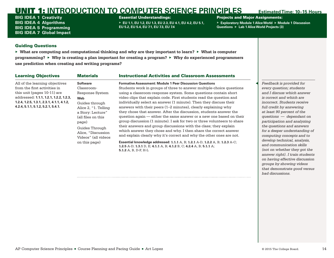BIG IDEA 1 **Creativity** BIG IDEA 4 **Algorithms** BIG IDEA 5 **Programming** BIG IDEA 7 **Global Impact**

### Essential Understandings:

▶ **EU 1.1, EU 1.2, EU 1.3, EU 2.3, EU 4.1, EU 4.2, EU 5.1, EU 5.2, EU 5.4, EU 7.1, EU 7.3, EU 7.4**

## Projects and Major Assignments:

▶ **Exploratory Module 1 Alice World** ▶ **Module 1 Discussion Questions** ▶ **Lab 1 Alice World Projects (3)**

## Guiding Questions

▶ **What are computing and computational thinking and why are they important to learn?** ▶ **What is computer programming?** ▶ **Why is creating a plan important for creating a program?** ▶ **Why do experienced programmers use prediction when creating and writing programs?**

| <b>Learning Objectives</b>                  | <b>Materials</b>     | <b>Instructional Activities and Classroom Assessments</b>                    |          |
|---------------------------------------------|----------------------|------------------------------------------------------------------------------|----------|
| All of the learning objectives              | <b>Software</b>      | <b>Formative Assessment: Module 1 Peer Discussion Questions</b>              | Feedb    |
| from the first activities in                | Classroom-           | Students work in groups of three to answer multiple-choice questions         | every    |
| this unit (pages 10-11) are                 | Response System      | using a classroom-response system. Some questions contain short              | and I    |
| addressed: 1.1.1, 1.2.1, 1.2.2, 1.2.3,      | Web                  | video clips that explain code. First students read the question and          | is corr  |
| $1.2.4, 1.2.5, 1.3.1, 2.3.1, 4.1.1, 4.1.2,$ | Guides through       | individually select an answer (1 minute). Then they discuss their            | incorre  |
| 4.2.4, 5.1.1, 5.1.2, 5.2.1, 5.4.1.          | Alice 2, "1. Telling | answers with their peers (1–2 minutes), clearly explaining why               | full cre |
|                                             | a Story: Lecture"    | they chose that answer. After the discussion, students answer the            | at leas  |
|                                             | (all files on this   | question again — either the same answer or a new one based on their          | questi   |
|                                             | page)                | group discussion (1 minute). I ask for two or three volunteers to share      | partici  |
|                                             | Guides Through       | their answers and group discussions with the class; they explain             | the qu   |
|                                             | Alice, "Discussion   | which answer they chose and why. I then share the correct answer             | for a d  |
|                                             | Videos" (all videos  | and explain clearly why it's correct and why the other ones are not.         | compu    |
|                                             | on this page)        | Essential knowledge addressed: 1.1.1 A, B; 1.2.1 A-D, 1.2.2 A, B; 1.2.3 A-C; | develo   |
|                                             |                      | 1.2.5 A-D; 1.3.1 D, E; 4.1.1 A, B; 4.1.2 B, C; 4.2.4 A, B; 5.1.1 A;          | and co   |
|                                             |                      | 5.1.2 A, B, D-F, H-L                                                         | (not oi  |

◀ *Feedback is provided for every question; students and I discuss which answer is correct and which are incorrect. Students receive full credit by answering at least 90 percent of the*   $q$ <sub>ons</sub> — dependant on *participation and analyzing the questions and answers for a deeper understanding of computing concepts and to develop technical, analysis, and communication skills (not on whether they got the answer right). I train students on having effective discussion groups by showing videos that demonstrate good versus bad discussions.*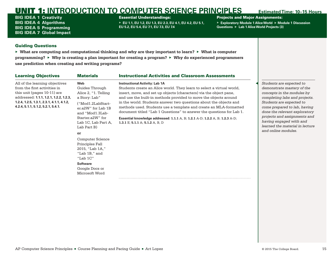BIG IDEA 1 **Creativity** BIG IDEA 4 **Algorithms** BIG IDEA 5 **Programming** BIG IDEA 7 **Global Impact**

### Essential Understandings:

▶ **EU 1.1, EU 1.2, EU 1.3, EU 2.3, EU 4.1, EU 4.2, EU 5.1, EU 5.2, EU 5.4, EU 7.1, EU 7.3, EU 7.4**

### Projects and Major Assignments:

▶ **Exploratory Module 1 Alice World** ▶ **Module 1 Discussion Questions** ▶ **Lab 1 Alice World Projects (3)**

### Guiding Questions

▶ **What are computing and computational thinking and why are they important to learn?** ▶ **What is computer programming?** ▶ **Why is creating a plan important for creating a program?** ▶ **Why do experienced programmers use prediction when creating and writing programs?**

| <b>Learning Objectives</b>                                                                                                                                                                                                   | <b>Materials</b>                                                                                                                                                                                                                                                                                                                              | <b>Instructional Activities and Classroom Assessments</b>                                                                                                                                                                                                                                                                                                                                                                                                                                                                                                                                     |                                                                                                                                                                                                                                                                                                                                         |
|------------------------------------------------------------------------------------------------------------------------------------------------------------------------------------------------------------------------------|-----------------------------------------------------------------------------------------------------------------------------------------------------------------------------------------------------------------------------------------------------------------------------------------------------------------------------------------------|-----------------------------------------------------------------------------------------------------------------------------------------------------------------------------------------------------------------------------------------------------------------------------------------------------------------------------------------------------------------------------------------------------------------------------------------------------------------------------------------------------------------------------------------------------------------------------------------------|-----------------------------------------------------------------------------------------------------------------------------------------------------------------------------------------------------------------------------------------------------------------------------------------------------------------------------------------|
| All of the learning objectives<br>from the first activities in<br>this unit (pages 10-11) are<br>addressed: 1.1.1, 1.2.1, 1.2.2, 1.2.3,<br>$1.2.4, 1.2.5, 1.3.1, 2.3.1, 4.1.1, 4.1.2,$<br>4.2.4, 5.1.1, 5.1.2, 5.2.1, 5.4.1. | Web<br>Guides Through<br>Alice 2, "1. Telling<br>a Story: Lab"<br>("Mod1.2LabStart-<br>er.a2W" for Lab 1B<br>and "Mod1.3Lab-<br>Starter.a2W" for<br>Lab 1C, Lab Part A,<br>Lab Part B)<br>or<br>Computer Science<br>Principles Fall<br>2015, "Lab 1A,"<br>"Lab 1B," and<br>"Lab $1C$ "<br><b>Software</b><br>Google Docs or<br>Microsoft Word | <b>Instructional Activity: Lab 1A</b><br>Students create an Alice world. They learn to select a virtual world,<br>insert, move, and set up objects (characters) via the object pane,<br>and use the built-in methods provided to move the objects around<br>in the world. Students answer two questions about the objects and<br>methods used. Students use a template and create an MLA-formatted<br>document titled "Lab 1 Questions" to answer the questions for Lab 1.<br>Essential knowledge addressed: 1.1.1 A, B; 1.2.1 A-D; 1.2.2 A, B; 1.2.3 A-D;<br>1.3.1 E; 5.1.1 A; 5.1.2 A, B, D | Students are expected to<br>demonstrate mastery of the<br>concepts in the modules by<br>completing labs and projects.<br>Students are expected to<br>come prepared to lab, having<br>done the relevant exploratory<br>projects and assignments and<br>having engaged with and<br>learned the material in lecture<br>and online modules. |
|                                                                                                                                                                                                                              |                                                                                                                                                                                                                                                                                                                                               |                                                                                                                                                                                                                                                                                                                                                                                                                                                                                                                                                                                               |                                                                                                                                                                                                                                                                                                                                         |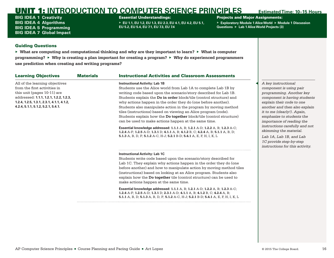BIG IDEA 1 **Creativity** BIG IDEA 4 **Algorithms** BIG IDEA 5 **Programming** BIG IDEA 7 **Global Impact**

### Essential Understandings:

▶ **EU 1.1, EU 1.2, EU 1.3, EU 2.3, EU 4.1, EU 4.2, EU 5.1, EU 5.2, EU 5.4, EU 7.1, EU 7.3, EU 7.4**

## Projects and Major Assignments:

▶ **Exploratory Module 1 Alice World** ▶ **Module 1 Discussion Questions** ▶ **Lab 1 Alice World Projects (3)**

### Guiding Questions

▶ **What are computing and computational thinking and why are they important to learn?** ▶ **What is computer programming?** ▶ **Why is creating a plan important for creating a program?** ▶ **Why do experienced programmers use prediction when creating and writing programs?**

| <b>Learning Objectives</b>                                                                                                                                                                                                 | <b>Materials</b> | <b>Instructional Activities and Classroom Assessments</b>                                                                                                                                                                                                                                                                                                                                                                                                                                                                                                                                                                                                                                                                                                                                                                                     |                                                                                                                                                                                                                                                                                                                                                                                                                        |
|----------------------------------------------------------------------------------------------------------------------------------------------------------------------------------------------------------------------------|------------------|-----------------------------------------------------------------------------------------------------------------------------------------------------------------------------------------------------------------------------------------------------------------------------------------------------------------------------------------------------------------------------------------------------------------------------------------------------------------------------------------------------------------------------------------------------------------------------------------------------------------------------------------------------------------------------------------------------------------------------------------------------------------------------------------------------------------------------------------------|------------------------------------------------------------------------------------------------------------------------------------------------------------------------------------------------------------------------------------------------------------------------------------------------------------------------------------------------------------------------------------------------------------------------|
| All of the learning objectives<br>from the first activities in<br>this unit (pages 10-11) are<br>addressed: 1.1.1, 1.2.1, 1.2.2, 1.2.3,<br>1.2.4, 1.2.5, 1.3.1, 2.3.1, 4.1.1, 4.1.2,<br>4.2.4, 5.1.1, 5.1.2, 5.2.1, 5.4.1. |                  | <b>Instructional Activity: Lab 1B</b><br>Students use the Alice world from Lab 1A to complete Lab 1B by<br>writing code based upon the scenario/story described for Lab 1B.<br>Students explain the Do in order block/tile (control structure) and<br>why actions happen in the order they do (one before another).<br>Students also manipulate action in the program by moving method<br>tiles (instructions) based on viewing an Alice program (code).<br>Students explain how the <b>Do together</b> block/tile (control structure)<br>can be used to make actions happen at the same time.<br>Essential knowledge addressed: 1.1.1 A, B; 1.2.1 A-D; 1.2.2 A, B; 1.2.3 A-C;<br>1.2.4 A-F; 1.2.5 A-D; 1.3.1 D; 4.1.1 A, B; 4.1.2 B, C; 4.2.4 A, B; 5.1.1 A, B, D;<br>5.1.3 A, B, D, F; 5.1.2 A-C, H-J; 5.2.1 B-D; 5.4.1 A, E, F, H, I, K, L | A key instructional<br>component is using pair<br>programming. Another key<br>component is having students<br>explain their code to one<br>another and then also explain<br>it to me (clearly!). Again,<br>emphasize to students the<br>importance of reading the<br>instructions carefully and not<br>skimming the material.<br>Lab 1A, Lab 1B, and Lab<br>1C provide step-by-step<br>instructions for this activity. |
|                                                                                                                                                                                                                            |                  | <b>Instructional Activity: Lab 1C</b><br>Students write code based upon the scenario/story described for<br>Lab 1C. They explain why actions happen in the order they do (one<br>before another) and how to manipulate action by moving method tiles<br>(instructions) based on looking at an Alice program. Students also<br>explain how the Do together tile (control structure) can be used to<br>make actions happen at the same time.<br>Essential knowledge addressed: 1.1.1 A, B; 1.2.1 A-D; 1.2.2 A, B; 1.2.3 A-C;<br>1.2.4 A-F; 1.2.5 A-D; 1.3.1 D; 2.3.1 A-D; 4.1.1 A, B; 4.1.2 B, C; 4.2.4 A, B;<br>5.1.1 A, B, D; 5.1.3 A, B, D, F; 5.1.2 A-C, H-J; 5.2.1 B-D; 5.4.1 A, E, F, H, I, K, L                                                                                                                                          |                                                                                                                                                                                                                                                                                                                                                                                                                        |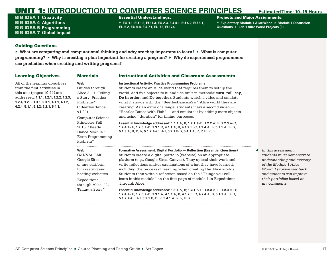BIG IDEA 1 **Creativity** BIG IDEA 4 **Algorithms** BIG IDEA 5 **Programming** BIG IDEA 7 **Global Impact**

### Essential Understandings:

▶ **EU 1.1, EU 1.2, EU 1.3, EU 2.3, EU 4.1, EU 4.2, EU 5.1, EU 5.2, EU 5.4, EU 7.1, EU 7.3, EU 7.4**

Projects and Major Assignments:

▶ **Exploratory Module 1 Alice World** ▶ **Module 1 Discussion Questions** ▶ **Lab 1 Alice World Projects (3)**

### Guiding Questions

▶ **What are computing and computational thinking and why are they important to learn?** ▶ **What is computer programming?** ▶ **Why is creating a plan important for creating a program?** ▶ **Why do experienced programmers use prediction when creating and writing programs?**

| All of the learning objectives<br><b>Instructional Activity: Practice Programming Problems</b><br>Web<br>from the first activities in<br>Guides through<br>Students create an Alice world that requires them to set up the<br>this unit (pages 10-11) are<br>Alice 2, "1. Telling<br>world, add five objects to it, and use built-in methods: turn, roll, say,<br>addressed: 1.1.1, 1.2.1, 1.2.2, 1.2.3,<br>a Story: Practice<br>Do in order, and Do together. Students watch a video and emulate<br>1.2.4, 1.2.5, 1.3.1, 2.3.1, 4.1.1, 4.1.2,<br>Problems"<br>what it shows with the "BeetlesDance.a2w" Alice world they are<br>4.2.4, 5.1.1, 5.1.2, 5.2.1, 5.4.1.<br>("Beetles dance")<br>creating. As an extra challenge, students view a second video -<br>v1.0")<br>"Beetles Dance with Fish" — and emulate it by adding more objects<br>and using "duration" for timing purposes.<br><b>Computer Science</b><br>Principles Fall<br>Essential knowledge addressed: 1.1.1 A, B; 1.2.1 A-D; 1.2.2 A, B; 1.2.3 A-C;<br>2015, "Beetle<br>1.2.4 A- F; 1.2.5 A-D; 1.3.1 D; 4.1.1 A, B; 4.1.2 B, C; 4.2.4 A, B; 5.1.1 A, B, D;<br>5.1.3 A, B; D, F; 5.1.2 A-C, H-J; 5.2.1 B-D; 5.4.1 A, E, F, H, K, L<br>Dance Module 1<br>Extra Programming<br>Problem"<br>Web<br><b>Formative Assessment: Digital Portfolio - Reflection (Essential Questions)</b><br>Students create a digital portfolio (website) on an appropriate<br>CANVAS LMS.<br>Google Sites,<br>platform (e.g., Google Sites, Canvas). They upload their work and<br>write reflections and/or explanations of what they have learned.<br>or any platform<br>for creating and<br>including the process of learning when creating the Alice worlds.<br>Students then write a reflection based on the "Things you will<br>hosting websites<br>learn in this module" on the first page of module 1 in Expeditions<br>Expeditions<br>Through Alice.<br>through Alice, "1.<br>Telling a Story"<br>Essential knowledge addressed: 1.1.1 A, B; 1.2.1 A-D; 1.2.2 A, B; 1.2.3 A-C;<br>1.2.4 A- F; 1.2.5 A-D; 1.3.1 A; 4.1.1 A, B; 4.1.2 B, C; 4.2.4 A, B; 5.1.1 A, B, D; | <b>Learning Objectives</b> | <b>Materials</b> | <b>Instructional Activities and Classroom Assessments</b> |
|-------------------------------------------------------------------------------------------------------------------------------------------------------------------------------------------------------------------------------------------------------------------------------------------------------------------------------------------------------------------------------------------------------------------------------------------------------------------------------------------------------------------------------------------------------------------------------------------------------------------------------------------------------------------------------------------------------------------------------------------------------------------------------------------------------------------------------------------------------------------------------------------------------------------------------------------------------------------------------------------------------------------------------------------------------------------------------------------------------------------------------------------------------------------------------------------------------------------------------------------------------------------------------------------------------------------------------------------------------------------------------------------------------------------------------------------------------------------------------------------------------------------------------------------------------------------------------------------------------------------------------------------------------------------------------------------------------------------------------------------------------------------------------------------------------------------------------------------------------------------------------------------------------------------------------------------------------------------------------------------------------------------------------------------------------------------------------------------------------------------------|----------------------------|------------------|-----------------------------------------------------------|
|                                                                                                                                                                                                                                                                                                                                                                                                                                                                                                                                                                                                                                                                                                                                                                                                                                                                                                                                                                                                                                                                                                                                                                                                                                                                                                                                                                                                                                                                                                                                                                                                                                                                                                                                                                                                                                                                                                                                                                                                                                                                                                                         |                            |                  |                                                           |
|                                                                                                                                                                                                                                                                                                                                                                                                                                                                                                                                                                                                                                                                                                                                                                                                                                                                                                                                                                                                                                                                                                                                                                                                                                                                                                                                                                                                                                                                                                                                                                                                                                                                                                                                                                                                                                                                                                                                                                                                                                                                                                                         |                            |                  | 5.1.2 A-C, H-J; 5.2.1 B, D, E; 5.4.1 A, E, F, H, K, L     |
|                                                                                                                                                                                                                                                                                                                                                                                                                                                                                                                                                                                                                                                                                                                                                                                                                                                                                                                                                                                                                                                                                                                                                                                                                                                                                                                                                                                                                                                                                                                                                                                                                                                                                                                                                                                                                                                                                                                                                                                                                                                                                                                         |                            |                  |                                                           |

*understanding and mastery of the Module 1 Alice World. I provide feedback and students can improve their portfolios based on my comments.*

*students must demonstrate* 

◀ *In this assessment,*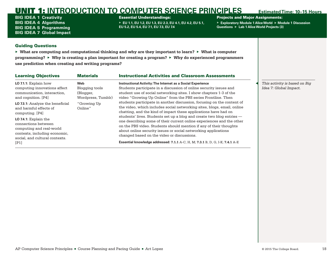BIG IDEA 1 **Creativity** BIG IDEA 4 **Algorithms** BIG IDEA 5 **Programming** BIG IDEA 7 **Global Impact**

### Essential Understandings:

▶ **EU 1.1, EU 1.2, EU 1.3, EU 2.3, EU 4.1, EU 4.2, EU 5.1, EU 5.2, EU 5.4, EU 7.1, EU 7.3, EU 7.4**

### Projects and Major Assignments:

▶ **Exploratory Module 1 Alice World** ▶ **Module 1 Discussion Questions** ▶ **Lab 1 Alice World Projects (3)**

## Guiding Questions

▶ **What are computing and computational thinking and why are they important to learn?** ▶ **What is computer programming?** ▶ **Why is creating a plan important for creating a program?** ▶ **Why do experienced programmers use prediction when creating and writing programs?**

| <b>Learning Objectives</b>                                                                                                                  | <b>Materials</b>                   | <b>Instructional Activities and Classroom Assessments</b>                                                                                                                                                                                                                                                                            |                                                         |
|---------------------------------------------------------------------------------------------------------------------------------------------|------------------------------------|--------------------------------------------------------------------------------------------------------------------------------------------------------------------------------------------------------------------------------------------------------------------------------------------------------------------------------------|---------------------------------------------------------|
| LO 7.1.1: Explain how<br>computing innovations affect<br>communication, interaction,                                                        | Web<br>Blogging tools<br>(Blogger, | <b>Instructional Activity: The Internet as a Social Experience</b><br>Students participate in a discussion of online security issues and<br>student use of social networking sites. I show chapters 1-3 of the                                                                                                                       | This activity is based on Big<br>Idea 7: Global Impact. |
| and cognition. [P4]                                                                                                                         | Wordpress, Tumblr)                 | video "Growing Up Online" from the PBS series Frontline. Then                                                                                                                                                                                                                                                                        |                                                         |
| LO 7.3.1: Analyze the beneficial<br>and harmful effects of<br>computing. [P4]                                                               | "Growing Up<br>Online"             | students participate in another discussion, focusing on the content of<br>the video, which includes social networking sites, blogs, email, online<br>chatting, and the kind of impact these applications have had on                                                                                                                 |                                                         |
| LO 7.4.1: Explain the<br>connections between<br>computing and real-world<br>contexts, including economic,<br>social, and cultural contexts. |                                    | students' lives. Students set up a blog and create two blog entries —<br>one describing some of their current online experiences and the other<br>on the PBS video. Students should mention if any of their thoughts<br>about online security issues or social networking applications<br>changed based on the video or discussions. |                                                         |
| [P1]                                                                                                                                        |                                    | Essential knowledge addressed: 7.1.1 A-C, H, M; 7.3.1 B, D, G, I-K; 7.4.1 A-E                                                                                                                                                                                                                                                        |                                                         |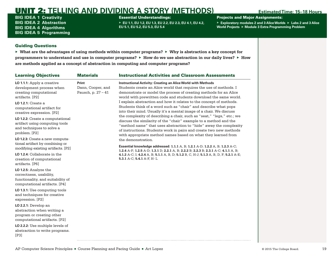<span id="page-21-0"></span>BIG IDEA 1 **Creativity** BIG IDEA 2 **Abstraction** BIG IDEA 4 **Algorithms** BIG IDEA 5 **Programming** Essential Understandings:

▶ **EU 1.1, EU 1.2, EU 1.3, EU 2.2, EU 2.3, EU 4.1, EU 4.2, EU 5.1, EU 5.2, EU 5.3, EU 5.4**

Projects and Major Assignments:

▶ **Exploratory modules 2 and 3 Alice Worlds** ▶ **Labs 2 and 3 Alice World Projects** ▶ **Module 3 Extra Programming Problem**

## Guiding Questions

| <b>Learning Objectives</b>                                                                                                                                                                                                                                                                                                                                                                                                                                                                                  | <b>Materials</b>                                   | <b>Instructional Activities and Classroom Assessments</b>                                                                                                                                                                                                                                                                                                                                                                                                                                                                                                                                                                                                                                                                                                                                                                                                                                                                                                                                                                                                                                                                                                                          |
|-------------------------------------------------------------------------------------------------------------------------------------------------------------------------------------------------------------------------------------------------------------------------------------------------------------------------------------------------------------------------------------------------------------------------------------------------------------------------------------------------------------|----------------------------------------------------|------------------------------------------------------------------------------------------------------------------------------------------------------------------------------------------------------------------------------------------------------------------------------------------------------------------------------------------------------------------------------------------------------------------------------------------------------------------------------------------------------------------------------------------------------------------------------------------------------------------------------------------------------------------------------------------------------------------------------------------------------------------------------------------------------------------------------------------------------------------------------------------------------------------------------------------------------------------------------------------------------------------------------------------------------------------------------------------------------------------------------------------------------------------------------------|
| LO 1.1.1: Apply a creative<br>development process when<br>creating computational<br>artifacts. [P2]<br><b>LO 1.2.1: Create a</b><br>computational artifact for<br>creative expression. [P2]<br>LO 1.2.2: Create a computational<br>artifact using computing tools<br>and techniques to solve a<br>problem. [P2]<br>LO 1.2.3: Create a new computa-<br>tional artifact by combining or<br>modifying existing artifacts. [P2]<br>LO 1.2.4: Collaborate in the<br>creation of computational<br>artifacts. [P6] | Print<br>Dann, Cooper, and<br>Pausch, p. $27 - 41$ | <b>Instructional Activity: Creating an Alice World with Methods</b><br>Students create an Alice world that requires the use of methods. I<br>demonstrate or model the process of creating methods for an Alice<br>world with prewritten code and students download the same world.<br>I explain abstraction and how it relates to the concept of methods.<br>Students think of a word such as "chair" and describe what pops<br>into their mind. Usually it's a mental image of a chair. We discuss<br>the complexity of describing a chair, such as "seat," "legs," etc.; we<br>discuss the similarity of the "chair" example to a method and the<br>"method name" that uses abstraction to "hide" away the complexity<br>of instructions. Students work in pairs and create two new methods<br>with appropriate method names based on what they learned from<br>the demonstration.<br>Essential knowledge addressed: 1.1.1 A, B; 1.2.1 A-D; 1.2.2 A, B; 1.2.3 A-C;<br>1.2.4 A-F; 1.2.5 A-D; 1.3.1 D; 2.2.1 A, B; 2.2.2 B; 2.2.3 B; 2.3.1 A-C; 4.1.1 A, B;<br>4.1.2 A-C; I; 4.2.4 A, B; 5.1.1 A, B, D; 5.1.2 B, C, H-J; 5.1.3 A, B, D, F; 5.2.1 A-E;<br>5.3.1 A-C; 5.4.1 A-F, H-L |
| LO 1.2.5: Analyze the<br>correctness, usability,<br>functionality, and suitability of<br>computational artifacts. [P4]                                                                                                                                                                                                                                                                                                                                                                                      |                                                    |                                                                                                                                                                                                                                                                                                                                                                                                                                                                                                                                                                                                                                                                                                                                                                                                                                                                                                                                                                                                                                                                                                                                                                                    |
| LO 1.3.1: Use computing tools<br>and techniques for creative<br>expression. [P2]                                                                                                                                                                                                                                                                                                                                                                                                                            |                                                    |                                                                                                                                                                                                                                                                                                                                                                                                                                                                                                                                                                                                                                                                                                                                                                                                                                                                                                                                                                                                                                                                                                                                                                                    |
| LO 2.2.1: Develop an<br>abstraction when writing a<br>program or creating other<br>computational artifacts. [P2]                                                                                                                                                                                                                                                                                                                                                                                            |                                                    |                                                                                                                                                                                                                                                                                                                                                                                                                                                                                                                                                                                                                                                                                                                                                                                                                                                                                                                                                                                                                                                                                                                                                                                    |
| LO 2.2.2: Use multiple levels of<br>abstraction to write programs.<br>[P3]                                                                                                                                                                                                                                                                                                                                                                                                                                  |                                                    |                                                                                                                                                                                                                                                                                                                                                                                                                                                                                                                                                                                                                                                                                                                                                                                                                                                                                                                                                                                                                                                                                                                                                                                    |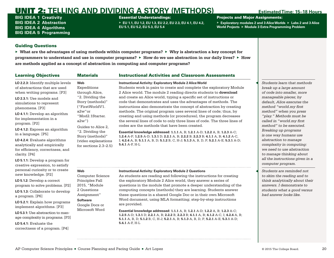BIG IDEA 1 **Creativity** BIG IDEA 2 **Abstraction** BIG IDEA 4 **Algorithms** BIG IDEA 5 **Programming**

### Essential Understandings:

▶ **EU 1.1, EU 1.2, EU 1.3, EU 2.2, EU 2.3, EU 4.1, EU 4.2, EU 5.1, EU 5.2, EU 5.3, EU 5.4**

Projects and Major Assignments:

▶ **Exploratory modules 2 and 3 Alice Worlds** ▶ **Labs 2 and 3 Alice World Projects** ▶ **Module 3 Extra Programming Problem**

### Guiding Questions

▶ **What are the advantages of using methods within computer programs?** ▶ **Why is abstraction a key concept for programmers to understand and use in computer programs?** ▶ **How do we use abstraction in our daily lives?** ▶ **How are methods applied as a concept of abstraction in computing and computer programs?**

| <b>Learning Objectives</b>                                                                                                                                                                                                                                                                                                                                                                                                                                                                                                     | <b>Materials</b>                                                                                                                                                                                                                                            | <b>Instructional Activities and Classroom Assessments</b>                                                                                                                                                                                                                                                                                                                                                                                                                                                                                                                                                                                                                                                                                                                                                                                                                                                                                                                                         |                                                                                                                                                                                                                                                                                                                                                                                                                                                                                                             |
|--------------------------------------------------------------------------------------------------------------------------------------------------------------------------------------------------------------------------------------------------------------------------------------------------------------------------------------------------------------------------------------------------------------------------------------------------------------------------------------------------------------------------------|-------------------------------------------------------------------------------------------------------------------------------------------------------------------------------------------------------------------------------------------------------------|---------------------------------------------------------------------------------------------------------------------------------------------------------------------------------------------------------------------------------------------------------------------------------------------------------------------------------------------------------------------------------------------------------------------------------------------------------------------------------------------------------------------------------------------------------------------------------------------------------------------------------------------------------------------------------------------------------------------------------------------------------------------------------------------------------------------------------------------------------------------------------------------------------------------------------------------------------------------------------------------------|-------------------------------------------------------------------------------------------------------------------------------------------------------------------------------------------------------------------------------------------------------------------------------------------------------------------------------------------------------------------------------------------------------------------------------------------------------------------------------------------------------------|
| LO 2.2.3: Identify multiple levels<br>of abstractions that are used<br>when writing programs. [P3]<br>LO 2.3.1: Use models and<br>simulations to represent<br>phenomena. [P3]<br><b>LO 4.1.1:</b> Develop an algorithm<br>for implementation in a<br>program. [P2]<br>LO 4.1.2: Express an algorithm<br>in a language. [P5]<br>LO 4.2.4: Evaluate algorithms<br>analytically and empirically<br>for efficiency, correctness, and<br>clarity. [P4]<br><b>LO 5.1.1:</b> Develop a program for<br>creative expression, to satisfy | Web<br>Expeditions<br>through Alice,<br>"2. Dividing the<br>Story (methods)"<br>("FirstWorldV1.<br>$a2w"$ or<br>"Mod2.1Starter.<br>$a2w$ "<br>Guides to Alice 2.<br>"2. Dividing the<br>Story (methods)"<br>(video explanations<br>for sections $2.3-2.5$ ) | <b>Instructional Activity: Exploratory Module 2 Alice World</b><br>Students work in pairs to create and complete the exploratory Module<br>2 Alice world. The module 2 reading directs students to <b>download</b><br>and create an Alice world, typing a specific set of instructions or<br>code that demonstrates and uses the advantages of methods. The<br>instructions also demonstrate the concept of abstraction by creating<br>methods. The original program uses several lines of code; thus, by<br>creating and using methods (or procedures), the program decreases<br>the several lines of code to only three lines of code. The three lines of<br>codes are the methods that have been created.<br>Essential knowledge addressed: 1.1.1 A, B; 1.2.1 A-D; 1.2.2 A, B; 1.2.3 A-C;<br>1.2.4 A-F; 1.2.5 A-D; 1.3.1 D; 2.2.1 A, B; 2.2.2 B; 2.2.3 B; 4.1.1 A, B; 4.1.2 A-C,<br>I; 4.2.4 A, B; 5.1.1 A, B, D; 5.1.2 B, C, H-J; 5.1.3 A, B, D, F; 5.2.1 A-E; 5.3.1 A-D;<br>$5.4.1$ A-F, H-L | Students learn that methods<br>break up a large amount<br>of code into smaller, more<br>manageable pieces; by<br>default, Alice executes the<br>method "world.my first<br>method" when you press<br>"play." Methods must be<br>called in "world.my first<br>method" to be executed.<br>Breaking up programs<br>is one way humans use<br>abstraction to manage<br>complexity in computing:<br>we need to use abstraction<br>to manage thinking about<br>all the instructions given in a<br>computer program. |
| personal curiosity or to create<br>new knowledge. [P2]<br>LO 5.1.2: Develop a correct                                                                                                                                                                                                                                                                                                                                                                                                                                          | Web<br>Computer Science<br>Principles Fall                                                                                                                                                                                                                  | <b>Instructional Activity: Exploratory Module 2 Questions</b><br>As students are reading and following the instructions for creating<br>the exploratory Module 2 Alice world, they answer a series of                                                                                                                                                                                                                                                                                                                                                                                                                                                                                                                                                                                                                                                                                                                                                                                             | Students are reminded not<br>to skim the reading and to<br>think analytically about their                                                                                                                                                                                                                                                                                                                                                                                                                   |

**LO 5.1.2:** Develop a correct program to solve problems. [P2]

**LO 5.1.3:** Collaborate to develop a program. [P6]

**LO 5.2.1:** Explain how programs implement algorithms. [P3]

**LO 5.3.1:** Use abstraction to manage complexity in programs. [P3]

**LO 5.4.1:** Evaluate the correctness of a program. [P4]

the exploratory Module 2 Alice world, they answer a series of questions in the module that promote a deeper understanding of the computing concepts (methods) they are learning. Students answer these questions in a shared Google Doc or in their own Microsoft Word document, using MLA formatting; step-by-step instructions are provided.

**Essential knowledge addressed: 1.1.1** A, B; **1.2.1** A-D; **1.2.2** A, B; **1.2.3** A-C; **1.2.5** A-D; **1.3.1** D; **2.2.1** A, B; **2.2.2** B, **2.2.3** B; **4.1.1** A, B; **4.1.2** A-C, I; **4.2.4** A, B; **5.1.1** A, B, D; **5.1.2** B, C, H-J; **5.2.1** A, B; **5.1.3** A, B, D, F; **5.2.1** A-E; **5.3.1** A-D; **5.4.1** A-F, H-L

*think analytically about their answers. I demonstrate to students what a good versus bad answer looks like.*

2015, "[Module](https://canvas.instructure.com/courses/944870/assignments/3636704)  [2 Questions](https://canvas.instructure.com/courses/944870/assignments/3636704)  [Assignment"](https://canvas.instructure.com/courses/944870/assignments/3636704) **Software** Google Docs or Microsoft Word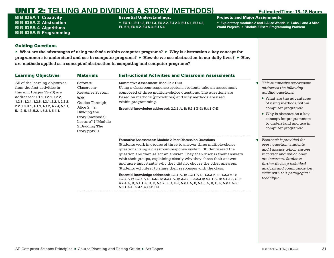BIG IDEA 1 **Creativity** BIG IDEA 2 **Abstraction** BIG IDEA 4 **Algorithms** BIG IDEA 5 **Programming**

### Essential Understandings:

▶ **EU 1.1, EU 1.2, EU 1.3, EU 2.2, EU 2.3, EU 4.1, EU 4.2, EU 5.1, EU 5.2, EU 5.3, EU 5.4**

Projects and Major Assignments:

▶ **Exploratory modules 2 and 3 Alice Worlds** ▶ **Labs 2 and 3 Alice World Projects** ▶ **Module 3 Extra Programming Problem**

## Guiding Questions

| <b>Learning Objectives</b>                                                                                                                                                                                                                                         | <b>Materials</b>                                                                                                                                                                     | <b>Instructional Activities and Classroom Assessments</b>                                                                                                                                                                                                                                                                                                                                                                                                                                                                                                                                                                                                                                                                                                                            |                                                                                                                                                                                                                                                                                                               |
|--------------------------------------------------------------------------------------------------------------------------------------------------------------------------------------------------------------------------------------------------------------------|--------------------------------------------------------------------------------------------------------------------------------------------------------------------------------------|--------------------------------------------------------------------------------------------------------------------------------------------------------------------------------------------------------------------------------------------------------------------------------------------------------------------------------------------------------------------------------------------------------------------------------------------------------------------------------------------------------------------------------------------------------------------------------------------------------------------------------------------------------------------------------------------------------------------------------------------------------------------------------------|---------------------------------------------------------------------------------------------------------------------------------------------------------------------------------------------------------------------------------------------------------------------------------------------------------------|
| All of the learning objectives<br>from the first activities in<br>this unit (pages 19-20) are<br>addressed: 1.1.1, 1.2.1, 1.2.2,<br>1.2.3, 1.2.4, 1.2.5, 1.3.1, 2.2.1, 2.2.2,<br>$2.2.3, 2.3.1, 4.1.1, 4.1.2, 4.2.4, 5.1.1,$<br>5.1.2, 5.1.3, 5.2.1, 5.3.1, 5.4.1. | <b>Software</b><br>Classroom-<br>Response System<br>Web<br>Guides Through<br>Alice 2, "2.<br>Dividing the<br>Story (methods):<br>Lecture" ("Module<br>2 Dividing The<br>Story.pptx") | <b>Summative Assessment: Module 2 Quiz</b><br>Using a classroom-response system, students take an assessment<br>composed of three multiple-choice questions. The questions are<br>based on methods (procedures) and why methods are used<br>within programming.<br>Essential knowledge addressed: 2.2.1 A, B; 5.3.1 B-D; 5.4.1 C-E                                                                                                                                                                                                                                                                                                                                                                                                                                                   | This summative assessment<br>addresses the following<br><i>guiding questions:</i><br>$\blacktriangleright$ What are the advantages<br>of using methods within<br>computer programs?<br>$\triangleright$ Why is abstraction a key<br>concept for programmers<br>to understand and use in<br>computer programs? |
|                                                                                                                                                                                                                                                                    |                                                                                                                                                                                      | <b>Formative Assessment: Module 2 Peer-Discussion Questions</b><br>Students work in groups of three to answer three multiple-choice<br>questions using a classroom-response system. Students read the<br>question and then select an answer. They then discuss their answers<br>with their groups, explaining clearly why they chose their answer<br>and more importantly why they did not choose the other answers.<br>Students volunteer to share their responses with the class.<br>Essential knowledge addressed: 1.1.1 A, B; 1.2.1 A-D; 1.2.2 A, B; 1.2.3 A-C;<br>1.2.4 A-F; 1.2.5 A-D; 1.3.1 D; 2.2.1 A, B; 2.2.2 B, 2.2.3 B; 4.1.1 A, B; 4.1.2 A-C, I;<br>4.2.4 A, B; 5.1.1 A, B, D; 5.1.2 B, C, H-J; 5.2.1 A, B; 5.1.3 A, B, D, F; 5.2.1 A-E;<br>5.3.1 A-D; 5.4.1 A,C-F, H-L | Feedback is provided for<br>every question; students<br>and I discuss which answer<br>is correct and which ones<br>are incorrect. Students<br>further develop technical<br>analysis and communication<br>skills with this pedagogical<br>technique.                                                           |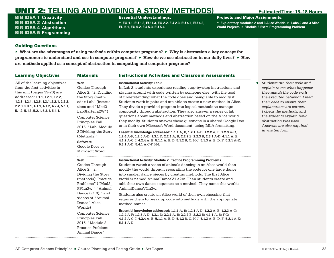BIG IDEA 1 **Creativity** BIG IDEA 2 **Abstraction** BIG IDEA 4 **Algorithms** BIG IDEA 5 **Programming**

### Essential Understandings:

▶ **EU 1.1, EU 1.2, EU 1.3, EU 2.2, EU 2.3, EU 4.1, EU 4.2, EU 5.1, EU 5.2, EU 5.3, EU 5.4**

Projects and Major Assignments:

▶ **Exploratory modules 2 and 3 Alice Worlds** ▶ **Labs 2 and 3 Alice World Projects** ▶ **Module 3 Extra Programming Problem**

## Guiding Questions

| <b>Learning Objectives</b>                                                                                                                                                                                                                                       | <b>Materials</b>                                                                                                                                                                                                                                                                                            | <b>Instructional Activities and Classroom Assessments</b>                                                                                                                                                                                                                                                                                                                                                                                                                                                                                                                                                                                                                                                                                                                                                                                                                                                                                                                    |                                                                                                                                                                                                                                                                                                                      |
|------------------------------------------------------------------------------------------------------------------------------------------------------------------------------------------------------------------------------------------------------------------|-------------------------------------------------------------------------------------------------------------------------------------------------------------------------------------------------------------------------------------------------------------------------------------------------------------|------------------------------------------------------------------------------------------------------------------------------------------------------------------------------------------------------------------------------------------------------------------------------------------------------------------------------------------------------------------------------------------------------------------------------------------------------------------------------------------------------------------------------------------------------------------------------------------------------------------------------------------------------------------------------------------------------------------------------------------------------------------------------------------------------------------------------------------------------------------------------------------------------------------------------------------------------------------------------|----------------------------------------------------------------------------------------------------------------------------------------------------------------------------------------------------------------------------------------------------------------------------------------------------------------------|
| All of the learning objectives<br>from the first activities in<br>this unit (pages 19-20) are<br>addressed: 1.1.1, 1.2.1, 1.2.2,<br>1.2.3, 1.2.4, 1.2.5, 1.3.1, 2.2.1, 2.2.2,<br>2.2.3, 2.3.1, 4.1.1, 4.1.2, 4.2.4, 5.1.1,<br>5.1.2, 5.1.3, 5.2.1, 5.3.1, 5.4.1. | <b>Web</b><br>Guides Through<br>Alice 2, "2. Dividing<br>the Story (meth-<br>ods): Lab" (instruc-<br>tions and "Mod2<br>LabStarter.a2W")<br>Computer Science<br>Principles Fall<br>2015, "Lab: Module<br>2 Dividing the Story<br>(Methods)"<br><b>Software</b><br>Google Docs or<br>Microsoft Word          | <b>Instructional Activity: Lab 2</b><br>In Lab 2, students experience reading step-by-step instructions and<br>playing around with code written by someone else, with the goal<br>of understanding what the code does and being able to modify it.<br>Students work in pairs and are able to create a new method in Alice.<br>They divide a provided program into logical methods to manage<br>complexity through abstraction. They also answer a series of lab<br>questions about methods and abstraction based on the Alice world<br>they modify. Students answer these questions in a shared Google Doc<br>or in their own Microsoft Word document, using MLA formatting.<br>Essential knowledge addressed: 1.1.1 A, B; 1.2.1 A-D; 1.2.2 A, B; 1.2.3 A-C;<br>1.2.4 A-F; 1.2.5 A-D; 1.3.1 D; 2.2.1 A, B; 2.2.2 B, 2.2.3 B; 2.3.1 A-D; 4.1.1 A, B;<br>4.1.2 A-C, I; 4.2.4 A, B; 5.1.1 A, B, D; 5.1.2 B, C, H-J; 5.1.3 A, B, D, F; 5.2.1 A-E;<br>5.3.1 A-D; 5.4.1 A,C-F, H-L | Students run their code and<br>explain to me what happens:<br>they match the code with<br>the executed behavior. I read<br>their code to ensure their<br>explanations are correct.<br>I check the methods, and<br>the students explain how<br>abstraction was used.<br>Answers are also required<br>in written form. |
|                                                                                                                                                                                                                                                                  | Web<br>Guides Through<br>Alice 2, "2.<br>Dividing the Story<br>(methods): Practice<br>Problems" ("Mod2<br>PP1.a2w," "Animal<br>Dance $(v1.0)$ ," and<br>videos of "Animal<br>Dance" Alice<br>Worlds)<br><b>Computer Science</b><br>Principles Fall<br>2015, "Module 2<br>Practice Problem:<br>Animal Dance" | <b>Instructional Activity: Module 2 Practice Programming Problems</b><br>Students watch a video of animals dancing in an Alice world then<br>modify the world through separating the code for one large dance<br>into smaller dance pieces by creating methods. The first Alice<br>world is named AnimalDanceV1.a2w. Then students create and<br>add their own dance sequence as a method. They name this world:<br>AnimalDanceV2.a2w.<br>Students also create an Alice world of their own choosing that<br>requires them to break up code into methods with the appropriate<br>method names.<br>Essential knowledge addressed: 1.1.1 A, B; 1.2.1 A-D; 1.2.2 A, B; 1.2.3 A-C;<br>1.2.4 A-F; 1.2.5 A-D; 1.3.1 D; 2.2.1 A, B; 2.2.2 B, 2.2.3 B; 4.1.1 A, B; F,G;<br>4.1.2 A-C, I; 4.2.4 A, B; 5.1.1 A, B, D; 5.1.2 B, C, H-J; 5.1.3 A, B, D, F; 5.2.1 A-E;<br>$5.3.1A-D$                                                                                                       |                                                                                                                                                                                                                                                                                                                      |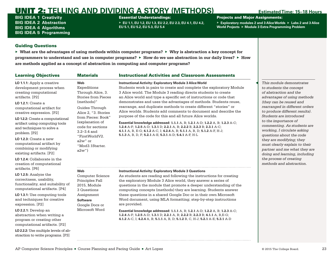BIG IDEA 1 **Creativity** BIG IDEA 2 **Abstraction** BIG IDEA 4 **Algorithms** BIG IDEA 5 **Programming**

### Essential Understandings:

▶ **EU 1.1, EU 1.2, EU 1.3, EU 2.2, EU 2.3, EU 4.1, EU 4.2, EU 5.1, EU 5.2, EU 5.3, EU 5.4**

Projects and Major Assignments:

▶ **Exploratory modules 2 and 3 Alice Worlds** ▶ **Labs 2 and 3 Alice World Projects** ▶ **Module 3 Extra Programming Problem**

## Guiding Questions

| <b>Learning Objectives</b>                                                                                                                                                                                                                                                                                                                                                                                                                                                                | <b>Materials</b>                                                                                                                                                                                                                                                           | <b>Instructional Activities and Classroom Assessments</b>                                                                                                                                                                                                                                                                                                                                                                                                                                                                                                                                                                                                                                                                                                                                                                                                    |                                                                                                                                                                                                                                                                                                                                                                                                                                                                                                                                               |
|-------------------------------------------------------------------------------------------------------------------------------------------------------------------------------------------------------------------------------------------------------------------------------------------------------------------------------------------------------------------------------------------------------------------------------------------------------------------------------------------|----------------------------------------------------------------------------------------------------------------------------------------------------------------------------------------------------------------------------------------------------------------------------|--------------------------------------------------------------------------------------------------------------------------------------------------------------------------------------------------------------------------------------------------------------------------------------------------------------------------------------------------------------------------------------------------------------------------------------------------------------------------------------------------------------------------------------------------------------------------------------------------------------------------------------------------------------------------------------------------------------------------------------------------------------------------------------------------------------------------------------------------------------|-----------------------------------------------------------------------------------------------------------------------------------------------------------------------------------------------------------------------------------------------------------------------------------------------------------------------------------------------------------------------------------------------------------------------------------------------------------------------------------------------------------------------------------------------|
| LO 1.1.1: Apply a creative<br>development process when<br>creating computational<br>artifacts. [P2]<br><b>LO 1.2.1: Create a</b><br>computational artifact for<br>creative expression. [P2]<br>LO 1.2.2: Create a computational<br>artifact using computing tools<br>and techniques to solve a<br>problem. [P2]<br>LO 1.2.3: Create a new<br>computational artifact by<br>combining or modifying<br>existing artifacts. [P2]<br>LO 1.2.4: Collaborate in the<br>creation of computational | Web<br>Expeditions<br>Through Alice, 3.<br><b>Stories from Pieces</b><br>(methods)"<br>Guides Through<br>Alice 2, "3. Stories<br>from Pieces: Book"<br>(explanation of<br>code for sections<br>$3.2 - 3.4$ and<br>"FirstWorldV2.<br>a2w" or<br>"Mod3.1Starter.<br>$a2w$ ") | <b>Instructional Activity: Exploratory Module 3 Alice World</b><br>Students work in pairs to create and complete the exploratory Module<br>3 Alice world. The Module 3 reading directs students to create<br>an Alice world and type a specific set of instructions or code that<br>demonstrates and uses the advantages of methods. Students reuse,<br>rearrange, and duplicate methods to create different "stories" or<br>Alice worlds. Students add comments to document and describe the<br>purpose of the code for this and all future Alice worlds.<br>Essential knowledge addressed: 1.1.1 A, B; 1.2.1 A-D; 1.2.2 A, B; 1.2.3 A-C;<br>1.2.4 A-F; 1.2.5 A-D; 1.3.1 D; 2.2.1 A, B; 2.2.2 B, 2.2.3 B; 2.3.1 A-C;<br>4.1.1 A, B, E-G; 4.1.2 A-C, I; 4.2.4 A, B; 5.1.1 A, B, D; 5.1.2 A-F, H-J;<br>5.1.3 A, B, D, F; 5.2.1 A-E; 5.3.1 A-D; 5.4.1 A-F, H-L | This module demonstrates<br>to students the concept<br>of abstraction and the<br>advantages of using methods<br>(they can be reused and<br>rearranged in different orders<br>to produce different results).<br>Students are introduced<br>to the importance of<br>commenting. As students are<br>working, I circulate asking<br>questions about the code<br>they are modifying; they<br>must clearly explain to their<br>partner and me what they are<br>doing and learning, including<br>the process of creating<br>methods and abstraction. |
| artifacts. [P6]<br>LO 1.2.5: Analyze the<br>correctness, usability,<br>functionality, and suitability of<br>computational artifacts. [P4]<br>LO 1.3.1: Use computing tools<br>and techniques for creative<br>expression. [P2]<br>LO 2.2.1: Develop an<br>abstraction when writing a<br>program or creating other<br>computational artifacts. [P2]<br>LO 2.2.2: Use multiple levels of ab-<br>straction to write programs. [P3]                                                            | Web<br><b>Computer Science</b><br>Principles Fall<br>2015, Module<br>3 Questions<br>Assignment<br><b>Software</b><br>Google Docs or<br>Microsoft Word                                                                                                                      | <b>Instructional Activity: Exploratory Module 3 Questions</b><br>As students are reading and following the instructions for creating<br>the exploratory Module 3 Alice world, they answer a series of<br>questions in the module that promote a deeper understanding of the<br>computing concepts (methods) they are learning. Students answer<br>these questions in a shared Google Doc or in their own Microsoft<br>Word document, using MLA formatting; step-by-step instructions<br>are provided.<br>Essential knowledge addressed: 1.1.1 A, B; 1.2.1 A-D; 1.2.2 A, B; 1.2.3 A-C;<br>1.2.4 A-F; 1.2.5 A-D; 1.3.1 D; 2.2.1 A, B; 2.2.2 B; 2.2.3 B; 4.1.1 A, B, E-G;<br>4.1.2 A-C, I; 4.2.4 A, B; 5.1.1 A, B, D; 5.1.2 B, C, H-J; 5.2.1 A-E; 5.3.1 A-D                                                                                                     |                                                                                                                                                                                                                                                                                                                                                                                                                                                                                                                                               |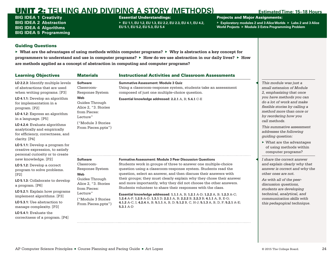BIG IDEA 1 **Creativity** BIG IDEA 2 **Abstraction** BIG IDEA 4 **Algorithms** BIG IDEA 5 **Programming**

### Essential Understandings:

▶ **EU 1.1, EU 1.2, EU 1.3, EU 2.2, EU 2.3, EU 4.1, EU 4.2, EU 5.1, EU 5.2, EU 5.3, EU 5.4**

Projects and Major Assignments:

▶ **Exploratory modules 2 and 3 Alice Worlds** ▶ **Labs 2 and 3 Alice World Projects** ▶ **Module 3 Extra Programming Problem**

## Guiding Questions

| <b>Learning Objectives</b>                                                                                                                                                                                                                                                                                                                                         | <b>Materials</b>                                                                                                      | <b>Instructional Activities and Classroom Assessments</b>                                                                                                                                                                                                                                                                                                                                                                                                                                    |                                                                                                                                                                                                                                                                                                                                        |
|--------------------------------------------------------------------------------------------------------------------------------------------------------------------------------------------------------------------------------------------------------------------------------------------------------------------------------------------------------------------|-----------------------------------------------------------------------------------------------------------------------|----------------------------------------------------------------------------------------------------------------------------------------------------------------------------------------------------------------------------------------------------------------------------------------------------------------------------------------------------------------------------------------------------------------------------------------------------------------------------------------------|----------------------------------------------------------------------------------------------------------------------------------------------------------------------------------------------------------------------------------------------------------------------------------------------------------------------------------------|
| LO 2.2.3: Identify multiple levels<br>of abstractions that are used<br>when writing programs. [P3]                                                                                                                                                                                                                                                                 | <b>Software</b><br>Classroom-<br>Response System                                                                      | <b>Summative Assessment: Module 3 Quiz</b><br>Using a classroom-response system, students take an assessment<br>composed of just one multiple-choice question.                                                                                                                                                                                                                                                                                                                               | This module was just a<br>small extension of Module<br>2, emphasizing that once                                                                                                                                                                                                                                                        |
| LO 4.1.1: Develop an algorithm<br>for implementation in a<br>program. [P2]<br>LO 4.1.2: Express an algorithm<br>in a language. [P5]<br>LO 4.2.4: Evaluate algorithms<br>analytically and empirically<br>for efficiency, correctness, and<br>clarity. [P4]<br>LO 5.1.1: Develop a program for<br>creative expression, to satisfy<br>personal curiosity or to create | Web<br>Guides Through<br>Alice 2, "3. Stories<br>from Pieces:<br>Lecture"<br>("Module 3 Stories<br>From Pieces.pptx") | Essential knowledge addressed: 2.2.1 A, B; 5.4.1 C-E                                                                                                                                                                                                                                                                                                                                                                                                                                         | you have methods you can<br>do a lot of work and make<br>flexible stories by calling a<br>method more than once or<br>by reordering how you<br>call methods.<br>This summative assessment<br>addresses the following<br>quiding question:<br>$\triangleright$ What are the advantages<br>of using methods within<br>computer programs? |
| new knowledge. [P2]                                                                                                                                                                                                                                                                                                                                                | <b>Software</b>                                                                                                       | <b>Formative Assessment: Module 3 Peer Discussion Questions</b>                                                                                                                                                                                                                                                                                                                                                                                                                              | I share the correct answer                                                                                                                                                                                                                                                                                                             |
| LO 5.1.2: Develop a correct<br>program to solve problems.<br>[P2]<br>LO 5.1.3: Collaborate to develop<br>a program. [P6]<br>LO 5.2.1: Explain how programs<br>implement algorithms. [P3]                                                                                                                                                                           | Classroom-<br>Response System<br>Web<br>Guides Through<br>Alice 2, "3. Stories<br>from Pieces:<br>Lecture"            | Students work in groups of three to answer one multiple-choice<br>question using a classroom-response system. Students read the<br>question, select an answer, and then discuss their answers with<br>their groups; they must clearly explain why they chose their answer<br>and more importantly, why they did not choose the other answers.<br>Students volunteer to share their responses with the class.<br>Essential knowledge addressed: 1.1.1 A, B; 1.2.1 A-D; 1.2.2 A, B; 1.2.3 A-C; | and explain clearly why that<br>answer is correct and why the<br>other ones are not.<br>As with all of the peer-<br>discussion questions,<br>students are developing<br>technical, analytical, and                                                                                                                                     |
| LO 5.3.1: Use abstraction to<br>manage complexity. [P3]                                                                                                                                                                                                                                                                                                            | ("Module 3 Stories<br>From Pieces.pptx")                                                                              | 1.2.4 A-F; 1.2.5 A-D; 1.3.1 D; 2.2.1 A, B; 2.2.2 B, 2.2.3 B; 4.1.1 A, B, E-G;<br>4.1.2 A-C, I; 4.2.4 A, B; 5.1.1 A, B, D; 5.1.2 B, C, H-J; 5.1.3 A, B, D, F; 5.2.1 A-E;<br>$5.3.1 A-D$                                                                                                                                                                                                                                                                                                       | communication skills with<br>this pedagogical technique.                                                                                                                                                                                                                                                                               |
| $LO$ 5.4.1: Evaluate the<br>correctness of a program. [P4]                                                                                                                                                                                                                                                                                                         |                                                                                                                       |                                                                                                                                                                                                                                                                                                                                                                                                                                                                                              |                                                                                                                                                                                                                                                                                                                                        |
|                                                                                                                                                                                                                                                                                                                                                                    |                                                                                                                       |                                                                                                                                                                                                                                                                                                                                                                                                                                                                                              |                                                                                                                                                                                                                                                                                                                                        |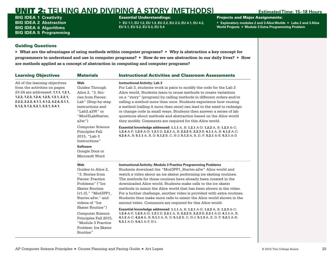BIG IDEA 1 **Creativity** BIG IDEA 2 **Abstraction** BIG IDEA 4 **Algorithms** BIG IDEA 5 **Programming**

### Essential Understandings:

▶ **EU 1.1, EU 1.2, EU 1.3, EU 2.2, EU 2.3, EU 4.1, EU 4.2, EU 5.1, EU 5.2, EU 5.3, EU 5.4**

Projects and Major Assignments:

▶ **Exploratory modules 2 and 3 Alice Worlds** ▶ **Labs 2 and 3 Alice World Projects** ▶ **Module 3 Extra Programming Problem**

### Guiding Questions

| <b>Learning Objectives</b>                                                                                                                                                                                                           | <b>Materials</b>                                                                                                                                                                                                                                                                                              | <b>Instructional Activities and Classroom Assessments</b>                                                                                                                                                                                                                                                                                                                                                                                                                                                                                                                                                                                                                                                                                                                                                                                                                                                                      |  |  |  |
|--------------------------------------------------------------------------------------------------------------------------------------------------------------------------------------------------------------------------------------|---------------------------------------------------------------------------------------------------------------------------------------------------------------------------------------------------------------------------------------------------------------------------------------------------------------|--------------------------------------------------------------------------------------------------------------------------------------------------------------------------------------------------------------------------------------------------------------------------------------------------------------------------------------------------------------------------------------------------------------------------------------------------------------------------------------------------------------------------------------------------------------------------------------------------------------------------------------------------------------------------------------------------------------------------------------------------------------------------------------------------------------------------------------------------------------------------------------------------------------------------------|--|--|--|
| All of the learning objectives<br>from the activities on pages<br>23-24 are addressed: 1.1.1, 1.2.1,<br>1.2.2, 1.2.3, 1.2.4, 1.2.5, 1.3.1, 2.2.1,<br>2.2.2, 2.2.3, 4.1.1, 4.1.2, 4.2.4, 5.1.1,<br>5.1.2, 5.1.3, 5.2.1, 5.3.1, 5.4.1. | Web<br>Guides Through<br>Alice 2, "3. Sto-<br>ries from Pieces:<br>Lab" (Step-by-step<br>instructions and<br>"Lab2.a2W" or<br>"Mod3LabStarter.<br>$a2w$ ")                                                                                                                                                    | <b>Instructional Activity: Lab 3</b><br>For Lab 3, students work in pairs to modify the code for the Lab 2<br>Alice world. Students learn to reuse methods to create variations<br>on a "story" (program) by calling methods in different orders and/or<br>calling a method more than once. Students experience how reusing<br>a method (calling it more than once) can lead to the need to redesign<br>or change code in small ways. Students then answer a series of lab<br>questions about methods and abstraction based on the Alice world<br>they modify. Comments are required for this Alice world.                                                                                                                                                                                                                                                                                                                     |  |  |  |
|                                                                                                                                                                                                                                      | Computer Science<br>Principles Fall<br>2015, "Lab 3<br>Instructions"<br><b>Software</b><br>Google Docs or<br>Microsoft Word                                                                                                                                                                                   | Essential knowledge addressed: 1.1.1 A, B; 1.2.1 A-D; 1.2.2 A, B; 1.2.3 A-C;<br>1.2.4 A-F; 1.2.5 A-D; 1.3.1 D; 2.2.1 A, B; 2.2.2 B, 2.2.3 B; 4.1.1 A, B; 4.1.2 A-C;<br>4.2.4 A, B; 5.1.1 A, B, D; 5.1.2 B, C, H-J; 5.1.3 A, B, D, F; 5.2.1 A-E; 5.3.1 A-D                                                                                                                                                                                                                                                                                                                                                                                                                                                                                                                                                                                                                                                                      |  |  |  |
|                                                                                                                                                                                                                                      | Web<br>Guides to Alice 2,<br>"3. Stories from<br>Pieces: Practice<br>Problems" ("Ice<br><b>Skater Routine</b><br>$(v1.0), "$ "Mod3PP1<br>Starter.a2w," and<br>videos of "Ice<br>Skater Routine")<br><b>Computer Science</b><br>Principles Fall 2015,<br>"Module 3 Practice<br>Problem: Ice Skater<br>Routine" | <b>Instructional Activity: Module 3 Practice Programming Problems</b><br>Students download the "Mod3PP1_Starter.a2w" Alice world and<br>watch a video about an ice skater performing ice skating routines.<br>The methods for these routines have already been created in the<br>downloaded Alice world. Students make calls to the ice skater<br>methods to mimic the Alice world that has been shown in the video.<br>For a further challenge, another video is provided with extra routines.<br>Students then make more calls to mimic the Alice world shown in the<br>second video. Comments are required for this Alice world.<br>Essential knowledge addressed: 1.1.1 A, B; 1.2.1 A-D; 1.2.2 A, B; 1.2.3 A-C;<br>1.2.4 A-F; 1.2.5 A-D; 1.3.1 D; 2.2.1 A, B; 2.2.2 B, 2.2.3 B; 2.3.1 A-D; 4.1.1 A, B;<br>4.1.2 A-C; 4.2.4 A, B; 5.1.1 A, B, D; 5.1.2 B, C, H-J; 5.1.3 A, B, D, F; 5.2.1 A-E;<br>5.3.1 A-D; 5.4.1 A-F, H-L |  |  |  |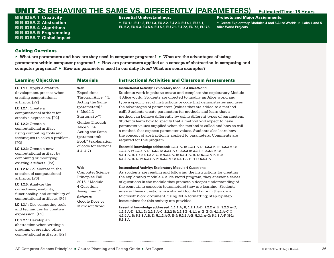<span id="page-28-0"></span>BIG IDEA 1 **Creativity** BIG IDEA 2 **Abstraction** BIG IDEA 4 **Algorithms** BIG IDEA 5 **Programming** BIG IDEA 7 **Global Impact**

### Essential Understandings:

▶ **EU 1.1, EU 1.2, EU 1.3, EU 2.2, EU 2.3, EU 4.1, EU 5.1, EU 5.2, EU 5.3, EU 5.4, EU 5.5, EU 7.1, EU 7.2, EU 7.3, EU 7.5**

## Projects and Major Assignments:

▶ **Create Exploratory Modules 4 and 5 Alice Worlds** ▶ **Labs 4 and 5 Alice World Projects**

## Guiding Questions

| <b>Learning Objectives</b>                                                                                                                                                                                                                                                                                                | <b>Materials</b>                                                                                                                                                                                                              | <b>Instructional Activities and Classroom Assessments</b>                                                                                                                                                                                                                                                                                                                                                                                                                                                                                                                                                                                                                                                                                                                                                            |  |  |  |
|---------------------------------------------------------------------------------------------------------------------------------------------------------------------------------------------------------------------------------------------------------------------------------------------------------------------------|-------------------------------------------------------------------------------------------------------------------------------------------------------------------------------------------------------------------------------|----------------------------------------------------------------------------------------------------------------------------------------------------------------------------------------------------------------------------------------------------------------------------------------------------------------------------------------------------------------------------------------------------------------------------------------------------------------------------------------------------------------------------------------------------------------------------------------------------------------------------------------------------------------------------------------------------------------------------------------------------------------------------------------------------------------------|--|--|--|
| LO 1.1.1: Apply a creative<br>development process when<br>creating computational<br>artifacts. [P2]<br><b>LO 1.2.1:</b> Create a<br>computational artifact for<br>creative expression. [P2]<br><b>LO 1.2.2: Create a</b><br>computational artifact<br>using computing tools and<br>techniques to solve a problem.<br>[P2] | Web<br>Expeditions<br>Through Alice, "4.<br>Acting the Same<br>(parameters)"<br>("Mod4.2<br>Starter.a2w")<br>Guides Through<br>Alice 2, "4.<br>Acting the Same<br>(parameters):<br>Book" (explanation<br>of code for sections | <b>Instructional Activity: Exploratory Module 4 Alice World</b><br>Students work in pairs to create and complete the exploratory Module<br>4 Alice world. Students are directed to modify an Alice world and<br>type a specific set of instructions or code that demonstrates and uses<br>the advantages of parameters (values that are added to a method<br>call). Students create parameters for methods and learn that a<br>method can behave differently by using different types of parameters.<br>Students learn how to specify that a method will expect to have<br>parameter values supplied when the method is called and how to call<br>a method that expects parameter values. Students also learn how<br>the concept of abstraction is applied to parameters. Comments are<br>required for this program. |  |  |  |
| $LO$ 1.2.3: Create a new<br>computational artifact by<br>combining or modifying<br>existing artifacts. [P2]                                                                                                                                                                                                               | $4.4 - 4.7$ )                                                                                                                                                                                                                 | Essential knowledge addressed: 1.1.1 A, B; 1.2.1 A-D; 1.2.2 A, B; 1.2.3 A-C;<br>1.2.4 A-F; 1.2.5 A-D; 1.3.1 D; 2.2.1 A-C; 2.2.2 B; 2.2.3 B; 2.3.1 A-C;<br>4.1.1 A, B, E-G; 4.1.2 A-C, I; 4.2.4 A, B; 5.1.1 A, B, D; 5.1.2 A-F, H-J;<br>5.1.3 A, B, D, F; 5.2.1 A-E; 5.3.1 A-G; 5.4.1 A-F, H-L; 5.5.1 A                                                                                                                                                                                                                                                                                                                                                                                                                                                                                                               |  |  |  |
| LO 1.2.4: Collaborate in the<br>creation of computational<br>artifacts. [P6]<br>LO 1.2.5: Analyze the<br>correctness, usability,<br>functionality, and suitability of<br>computational artifacts. [P4]<br>LO 1.3.1: Use computing tools<br>and techniques for creative<br>expression. [P2]                                | Web<br><b>Computer Science</b><br>Principles Fall                                                                                                                                                                             | <b>Instructional Activity: Exploratory Module 4 Questions:</b><br>As students are reading and following the instructions for creating<br>the exploratory module 4 Alice world program, they answer a series                                                                                                                                                                                                                                                                                                                                                                                                                                                                                                                                                                                                          |  |  |  |
|                                                                                                                                                                                                                                                                                                                           | 2015, "Module<br>4 Questions<br>Assignment"<br><b>Software</b>                                                                                                                                                                | of questions in the module that promote a deeper understanding of<br>the computing concepts (parameters) they are learning. Students<br>answer these questions in a shared Google Doc or in their own<br>Microsoft Word document, using MLA formatting; step-by-step<br>instructions for this activity are provided.                                                                                                                                                                                                                                                                                                                                                                                                                                                                                                 |  |  |  |
|                                                                                                                                                                                                                                                                                                                           | Google Docs or<br>Microsoft Word                                                                                                                                                                                              | Essential knowledge addressed: 1.1.1 A, B; 1.2.1 A-D; 1.2.2 A, B; 1.2.3 A-C;<br>1.2.5 A-D; 1.3.1 D; 2.2.1 A-C; 2.2.2 B; 2.2.3 B; 4.1.1 A, B, E-G; 4.1.2 A-C, I;<br>4.2.4 A, B; 5.1.1 A, B, D; 5.1.2 A-F, H-J; 5.2.1 A-E; 5.3.1 A-G; 5.4.1 A-F, H-L;                                                                                                                                                                                                                                                                                                                                                                                                                                                                                                                                                                  |  |  |  |
| LO 2.2.1: Develop an<br>abstraction when writing a<br>program or creating other<br>computational artifacts. [P2]                                                                                                                                                                                                          |                                                                                                                                                                                                                               | 5.5.1A                                                                                                                                                                                                                                                                                                                                                                                                                                                                                                                                                                                                                                                                                                                                                                                                               |  |  |  |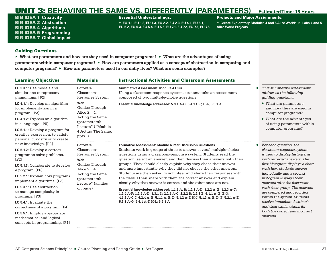BIG IDEA 1 **Creativity** BIG IDEA 2 **Abstraction** BIG IDEA 4 **Algorithms** BIG IDEA 5 **Programming** BIG IDEA 7 **Global Impact**

## Essential Understandings:

▶ **EU 1.1, EU 1.2, EU 1.3, EU 2.2, EU 2.3, EU 4.1, EU 5.1, EU 5.2, EU 5.3, EU 5.4, EU 5.5, EU 7.1, EU 7.2, EU 7.3, EU 7.5**

### Projects and Major Assignments:

▶ **Create Exploratory Modules 4 and 5 Alice Worlds** ▶ **Labs 4 and 5 Alice World Projects**

## Guiding Questions

| <b>Learning Objectives</b>                                                                                                                                                                                                                                                                                                                                                                                          | <b>Materials</b>                                                                                                                                                 | <b>Instructional Activities and Classroom Assessments</b>                                                                                                                                                                                                                                                                                                                                                                                                                                                                                                                                                                                                                                                                                                                                                                                                                                                                          |                                                                                                                                                                                                                                                                                                                                                                                                                                                                                    |
|---------------------------------------------------------------------------------------------------------------------------------------------------------------------------------------------------------------------------------------------------------------------------------------------------------------------------------------------------------------------------------------------------------------------|------------------------------------------------------------------------------------------------------------------------------------------------------------------|------------------------------------------------------------------------------------------------------------------------------------------------------------------------------------------------------------------------------------------------------------------------------------------------------------------------------------------------------------------------------------------------------------------------------------------------------------------------------------------------------------------------------------------------------------------------------------------------------------------------------------------------------------------------------------------------------------------------------------------------------------------------------------------------------------------------------------------------------------------------------------------------------------------------------------|------------------------------------------------------------------------------------------------------------------------------------------------------------------------------------------------------------------------------------------------------------------------------------------------------------------------------------------------------------------------------------------------------------------------------------------------------------------------------------|
| LO 2.3.1: Use models and<br>simulations to represent<br>phenomena. [P3]                                                                                                                                                                                                                                                                                                                                             | <b>Software</b><br>Classroom-<br>Response System                                                                                                                 | <b>Summative Assessment: Module 4 Quiz</b><br>Using a classroom-response system, students take an assessment<br>composed of two multiple-choice questions.                                                                                                                                                                                                                                                                                                                                                                                                                                                                                                                                                                                                                                                                                                                                                                         | This summative assessment<br>addresses the following<br><i>guiding questions:</i>                                                                                                                                                                                                                                                                                                                                                                                                  |
| LO 4.1.1: Develop an algorithm<br>for implementation in a<br>program. [P2]<br>LO 4.1.2: Express an algorithm<br>in a language. [P5]<br>LO 5.1.1: Develop a program for<br>creative expression, to satisfy<br>personal curiosity or to create                                                                                                                                                                        | Web<br>Guides Through<br>Alice 2, "4.<br>Acting the Same<br>(parameters):<br>Lecture" ("Module<br>4 Acting The Same.<br>pptx")                                   | Essential knowledge addressed: 5.3.1 A-G; 5.4.1 C-F, H-L; 5.5.1 A                                                                                                                                                                                                                                                                                                                                                                                                                                                                                                                                                                                                                                                                                                                                                                                                                                                                  | $\triangleright$ What are parameters<br>and how they are used in<br>computer programs?<br>$\triangleright$ What are the advantages<br>of using parameters within<br>computer programs?                                                                                                                                                                                                                                                                                             |
| new knowledge. [P2]<br>LO 5.1.2: Develop a correct<br>program to solve problems.<br>[P2]<br>LO 5.1.3: Collaborate to develop<br>a program. [P6]<br>LO 5.2.1: Explain how programs<br>implement algorithms. [P3]<br>LO 5.3.1: Use abstraction<br>to manage complexity in<br>programs. [P3]<br>$LO$ 5.4.1: Evaluate the<br>correctness of a program. [P4]<br>LO 5.5.1: Employ appropriate<br>mathematical and logical | <b>Software</b><br>Classroom-<br>Response System<br>Web<br>Guides Through<br>Alice 2, "4.<br>Acting the Same<br>(parameters):<br>Lecture" (all files<br>on page) | <b>Formative Assessment: Module 4 Peer Discussion Questions</b><br>Students work in groups of three to answer several multiple-choice<br>questions using a classroom-response system. Students read the<br>question, select an answer, and then discuss their answers with their<br>groups. They should clearly explain why they chose their answer<br>and more importantly why they did not choose the other answers.<br>Students are then asked to volunteer and share their responses with<br>the class. I then share with them the correct answer and explain<br>clearly why that answer is correct and the other ones are not.<br>Essential knowledge addressed: 1.1.1 A, B; 1.2.1 A-D; 1.2.2 A, B; 1.2.3 A-C;<br>1.2.4 A-F; 1.2.5 A-D; 1.3.1 D; 2.2.1 A-C; 2.2.2 B; 2.2.3 B; 4.1.1 A, B, E-G;<br>4.1.2 A-C, I; 4.2.4 A, B; 5.1.1 A, B, D; 5.1.2 A-F, H-J; 5.1.3 A, B, D, F; 5.2.1 A-E;<br>5.3.1 A-G; 5.4.1 A-F, H-L; 5.5.1 A | For each question, the<br>classroom-response system<br>is used to display histograms<br>with recorded answers. The<br>first histogram displays a chart<br>with how students answer<br>individually and a second<br>histogram displays their<br>answers after the discussion<br>with their group. The answers<br>are compared and recorded<br>within the system. Students<br>receive immediate feedback<br>and clear explanations for<br>both the correct and incorrect<br>answers. |
| concepts in programming. [P1]                                                                                                                                                                                                                                                                                                                                                                                       |                                                                                                                                                                  |                                                                                                                                                                                                                                                                                                                                                                                                                                                                                                                                                                                                                                                                                                                                                                                                                                                                                                                                    |                                                                                                                                                                                                                                                                                                                                                                                                                                                                                    |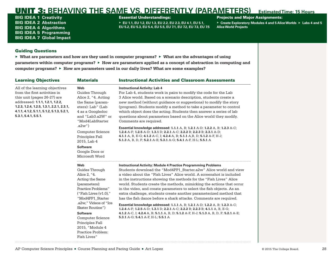BIG IDEA 1 **Creativity** BIG IDEA 2 **Abstraction** BIG IDEA 4 **Algorithms** BIG IDEA 5 **Programming** BIG IDEA 7 **Global Impact**

### Essential Understandings:

▶ **EU 1.1, EU 1.2, EU 1.3, EU 2.2, EU 2.3, EU 4.1, EU 5.1, EU 5.2, EU 5.3, EU 5.4, EU 5.5, EU 7.1, EU 7.2, EU 7.3, EU 7.5**

### Projects and Major Assignments:

▶ **Create Exploratory Modules 4 and 5 Alice Worlds** ▶ **Labs 4 and 5 Alice World Projects**

## Guiding Questions

| <b>Learning Objectives</b>                                                                                                                                                                                                                         | <b>Materials</b>                                                                                                                                                                                                                                                                                            | <b>Instructional Activities and Classroom Assessments</b>                                                                                                                                                                                                                                                                                                                                                                                                                                                                                                                                                                                                                                                                                                                                                                                                                          |
|----------------------------------------------------------------------------------------------------------------------------------------------------------------------------------------------------------------------------------------------------|-------------------------------------------------------------------------------------------------------------------------------------------------------------------------------------------------------------------------------------------------------------------------------------------------------------|------------------------------------------------------------------------------------------------------------------------------------------------------------------------------------------------------------------------------------------------------------------------------------------------------------------------------------------------------------------------------------------------------------------------------------------------------------------------------------------------------------------------------------------------------------------------------------------------------------------------------------------------------------------------------------------------------------------------------------------------------------------------------------------------------------------------------------------------------------------------------------|
| All of the learning objectives<br>from the first activities in<br>this unit (pages 26-27) are<br>addressed: 1.1.1, 1.2.1, 1.2.2,<br>1.2.3, 1.2.4, 1.2.5, 1.3.1, 2.2.1, 2.3.1,<br>4.1.1, 4.1.2, 5.1.1, 5.1.2, 5.1.3, 5.2.1,<br>5.3.1, 5.4.1, 5.5.1. | Web<br>Guides Through<br>Alice 2, "4. Acting<br>the Same (param-<br>eters): Lab" (Lab<br>4 as a Googledoc<br>and "Lab3.a2W" or<br>"Mod4LabStarter                                                                                                                                                           | <b>Instructional Activity: Lab 4</b><br>For Lab 4, students work in pairs to modify the code for the Lab<br>3 Alice world. Based on a scenario description, students create a<br>new method (without guidance or suggestions) to modify the story<br>(program). Students modify a method to take a parameter to control<br>which object does the acting. Students then answer a series of lab<br>questions about parameters based on the Alice world they modify.<br>Comments are required.                                                                                                                                                                                                                                                                                                                                                                                        |
|                                                                                                                                                                                                                                                    | .a2w"<br><b>Computer Science</b><br>Principles Fall<br>2015, Lab 4<br><b>Software</b><br>Google Docs or<br>Microsoft Word                                                                                                                                                                                   | Essential knowledge addressed: 1.1.1 A, B; 1.2.1 A-D; 1.2.2 A, B; 1.2.3 A-C;<br>1.2.4 A-F; 1.2.5 A-D; 1.3.1 D; 2.2.1 A-C; 2.2.2 B; 2.2.3 B; 2.3.1 A-D;<br>4.1.1 A, B, E-G; 4.1.2 A-C, I; 4.2.4 A, B; 5.1.1 A, B, D; 5.1.2 A-F, H-J;<br>5.1.3 A, B, D, F; 5.2.1 A-E; 5.3.1 A-G; 5.4.1 A-F, H-L; 5.5.1 A                                                                                                                                                                                                                                                                                                                                                                                                                                                                                                                                                                             |
|                                                                                                                                                                                                                                                    | Web<br>Guides Through<br>Alice 2, "4.<br>Acting the Same<br>(parameters):<br>Practice Problems"<br>("Fish Lives (v1.0),")<br>"Mod4PP1 Starter<br>.a2w," Videos of "Ice<br>Skater Routine")<br><b>Software</b><br>Computer Science<br>Principles Fall<br>2015, "Module 4<br>Practice Problem:<br>Fish Lives" | <b>Instructional Activity: Module 4 Practice Programming Problems</b><br>Students download the "Mod4PP1 Starter.a2w" Alice world and view<br>a video about the "Fish Lives" Alice world. A screenshot is included<br>in the instructions showing the methods for the "Fish Lives" Alice<br>world. Students create the methods, mimicking the actions that occur<br>in the video, and create parameters to select the fish objects. As an<br>extra challenge, students create another parameterized method that<br>has the fish dance before a shark attacks. Comments are required.<br>Essential knowledge addressed: 1.1.1 A, B; 1.2.1 A-D; 1.2.2 A, B; 1.2.3 A-C;<br>1.2.4 A-F; 1.2.5 A-D; 1.3.1 D; 2.2.1 A-C; 2.2.2 B; 2.2.3 B; 4.1.1 A, B, E-G;<br>4.1.2 A-C, I; 4.2.4 A, B; 5.1.1 A, B, D; 5.1.2 A-F, H-J; 5.1.3 A, B, D, F; 5.2.1 A-E;<br>5.3.1 A-G; 5.4.1 A-F, H-L; 5.5.1 A |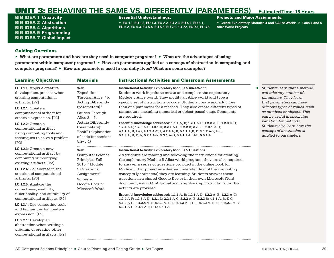BIG IDEA 1 **Creativity** BIG IDEA 2 **Abstraction** BIG IDEA 4 **Algorithms** BIG IDEA 5 **Programming** BIG IDEA 7 **Global Impact**

### Essential Understandings:

▶ **EU 1.1, EU 1.2, EU 1.3, EU 2.2, EU 2.3, EU 4.1, EU 5.1, EU 5.2, EU 5.3, EU 5.4, EU 5.5, EU 7.1, EU 7.2, EU 7.3, EU 7.5**

## **Projects and Major Assignments:**

▶ **Create Exploratory Modules 4 and 5 Alice Worlds** ▶ **Labs 4 and 5 Alice World Projects**

## Guiding Questions

| <b>Learning Objectives</b>                                                                                                                                                                                                                                                                                                | <b>Materials</b>                                                                                                                                                                                                                    | <b>Instructional Activities and Classroom Assessments</b>                                                                                                                                                                                                                                                                                                                                                                                                                                                                                                                                                                                                                                                                                  |                                                                                                                                                                                                                                                                                                                               |
|---------------------------------------------------------------------------------------------------------------------------------------------------------------------------------------------------------------------------------------------------------------------------------------------------------------------------|-------------------------------------------------------------------------------------------------------------------------------------------------------------------------------------------------------------------------------------|--------------------------------------------------------------------------------------------------------------------------------------------------------------------------------------------------------------------------------------------------------------------------------------------------------------------------------------------------------------------------------------------------------------------------------------------------------------------------------------------------------------------------------------------------------------------------------------------------------------------------------------------------------------------------------------------------------------------------------------------|-------------------------------------------------------------------------------------------------------------------------------------------------------------------------------------------------------------------------------------------------------------------------------------------------------------------------------|
| LO 1.1.1: Apply a creative<br>development process when<br>creating computational<br>artifacts. [P2]<br><b>LO 1.2.1: Create a</b><br>computational artifact for<br>creative expression. [P2]<br><b>LO 1.2.2:</b> Create a<br>computational artifact<br>using computing tools and<br>techniques to solve a problem.<br>[P2] | Web<br>Expeditions<br>Through Alice, "5.<br><b>Acting Differently</b><br>(parameters)"<br>Guides Through<br>Alice 2, "5.<br><b>Acting Differently</b><br>(parameters):<br>Book" (explanation<br>of code for sections<br>$5.2 - 5.4$ | <b>Instructional Activity: Exploratory Module 5 Alice World</b><br>Students work in pairs to create and complete the exploratory<br>Module 5 Alice world. They modify an Alice world and type a<br>specific set of instructions or code. Students create and add more<br>than one parameter for a method. They also create different types of<br>parameters, including numerical or object-based ones. Comments<br>are required.<br>Essential knowledge addressed: 1.1.1 A, B; 1.2.1 A-D; 1.2.2 A, B; 1.2.3 A-C;<br>1.2.4 A-F; 1.2.5 A-D; 1.3.1 D; 2.2.1 A-C; 2.2.2 B; 2.2.3 B; 2.3.1 A-C;<br>4.1.1 A, B, E-G; 4.1.2 A-C, I; 4.2.4 A, B; 5.1.1 A, B, D; 5.1.2 A-F, H-J;<br>5.1.3 A, B, D, F; 5.2.1 A-E; 5.3.1 A-G; 5.4.1 A-F, H-L; 5.5.1 A | Students learn that a method<br>can take any number of<br>parameters. They learn<br>that parameters can have<br>different types of values, such<br>as numbers or objects. This<br>can be useful in specifying<br>variation for methods.<br>Students also learn how the<br>concept of abstraction is<br>applied to parameters. |
| LO $1.2.3$ : Create a new<br>computational artifact by<br>combining or modifying<br>existing artifacts. [P2]<br>LO 1.2.4: Collaborate in the<br>creation of computational<br>artifacts. [P6]<br>LO 1.2.5: Analyze the<br>correctness, usability,<br>functionality, and suitability of                                     | Web<br><b>Computer Science</b><br>Principles Fall<br>2015, "Module<br>5 Questions<br>Assignment"<br><b>Software</b><br>Google Docs or<br>Microsoft Word                                                                             | <b>Instructional Activity: Exploratory Module 5 Questions</b><br>As students are reading and following the instructions for creating<br>the exploratory Module 5 Alice world program, they are also required<br>to answer a series of questions provided in the online book for<br>Module 5 that promotes a deeper understanding of the computing<br>concepts (parameters) they are learning. Students answer these<br>questions in a shared Google Doc or in their own Microsoft Word<br>document, using MLA formatting; step-by-step instructions for this<br>activity are provided.                                                                                                                                                     |                                                                                                                                                                                                                                                                                                                               |
| computational artifacts. [P4]<br>LO 1.3.1: Use computing tools<br>and techniques for creative<br>expression. [P2]<br>LO 2.2.1: Develop an<br>abstraction when writing a<br>program or creating other<br>computational artifacts. [P2]                                                                                     |                                                                                                                                                                                                                                     | Essential knowledge addressed: 1.1.1 A, B; 1.2.1 A-D; 1.2.2 A, B; 1.2.3 A-C;<br>1.2.4 A-F; 1.2.5 A-D; 1.3.1 D; 2.2.1 A-C; 2.2.2 A, B; 2.2.3 B; 4.1.1 A, B, E-G;<br>4.1.2 A-C, I; 4.2.4 A, B; 5.1.1 A, B, D; 5.1.2 A-F, H-J; 5.1.3 A, B, D, F; 5.2.1 A-E;<br>5.3.1 A-G; 5.4.1 A-F, H-L; 5.5.1 A                                                                                                                                                                                                                                                                                                                                                                                                                                             |                                                                                                                                                                                                                                                                                                                               |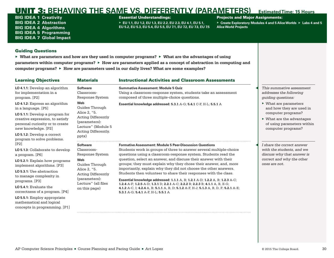BIG IDEA 1 **Creativity** BIG IDEA 2 **Abstraction** BIG IDEA 4 **Algorithms** BIG IDEA 5 **Programming** BIG IDEA 7 **Global Impact**

## Essential Understandings:

▶ **EU 1.1, EU 1.2, EU 1.3, EU 2.2, EU 2.3, EU 4.1, EU 5.1, EU 5.2, EU 5.3, EU 5.4, EU 5.5, EU 7.1, EU 7.2, EU 7.3, EU 7.5**

## **Projects and Major Assignments:**

▶ **Create Exploratory Modules 4 and 5 Alice Worlds** ▶ **Labs 4 and 5 Alice World Projects**

## Guiding Questions

| <b>Learning Objectives</b>                                                                                                                                  | <b>Materials</b>                                                                                                 | <b>Instructional Activities and Classroom Assessments</b>                                                                                                           |                                                                                                                    |
|-------------------------------------------------------------------------------------------------------------------------------------------------------------|------------------------------------------------------------------------------------------------------------------|---------------------------------------------------------------------------------------------------------------------------------------------------------------------|--------------------------------------------------------------------------------------------------------------------|
| LO 4.1.1: Develop an algorithm<br>for implementation in a<br>program. [P2]                                                                                  | <b>Software</b><br>Classroom-<br>Response System                                                                 | <b>Summative Assessment: Module 5 Quiz</b><br>Using a classroom-response system, students take an assessment<br>composed of three multiple-choice questions.        | This summative assessment<br>addresses the following<br>quiding questions:                                         |
| LO 4.1.2: Express an algorithm<br>in a language. [P5]                                                                                                       | Web<br>Guides Through                                                                                            | Essential knowledge addressed: 5.3.1 A-G; 5.4.1 C-F, H-L; 5.5.1 A                                                                                                   | $\triangleright$ What are parameters<br>and how they are used in                                                   |
| LO 5.1.1: Develop a program for<br>creative expression, to satisfy<br>personal curiosity or to create<br>new knowledge. [P2]<br>LO 5.1.2: Develop a correct | Alice 2, "5.<br><b>Acting Differently</b><br>(parameters):<br>Lecture" (Module 5<br>Acting Differently.<br>pptx) |                                                                                                                                                                     | computer programs?<br>$\triangleright$ What are the advantages<br>of using parameters within<br>computer programs? |
| program to solve problems.<br>[P2]                                                                                                                          | <b>Software</b>                                                                                                  | <b>Formative Assessment: Module 5 Peer-Discussion Questions</b>                                                                                                     | I share the correct answer                                                                                         |
| <b>LO 5.1.3:</b> Collaborate to develop<br>a program. [P6]                                                                                                  | Classroom-<br>Response System                                                                                    | Students work in groups of three to answer several multiple-choice<br>questions using a classroom-response system. Students read the                                | with the students, and we<br>discuss why that answer is                                                            |
| LO 5.2.1: Explain how programs<br>implement algorithms. [P3]                                                                                                | Web<br>Guides Through                                                                                            | question, select an answer, and discuss their answer with their<br>groups; they must explain why they chose their answer, and, more                                 | correct and why the other<br>ones are not.                                                                         |
| LO 5.3.1: Use abstraction<br>to manage complexity in                                                                                                        | Alice 2, "5.<br><b>Acting Differently</b><br>(parameters):                                                       | importantly, explain why they did not choose the other answers.<br>Students then volunteer to share their responses with the class.                                 |                                                                                                                    |
| programs. [P3]                                                                                                                                              | Lecture" (all files                                                                                              | <b>Essential knowledge addressed: 1.1.1 A, B; 1.2.1 A-D; 1.2.2 A, B; 1.2.3 A-C;</b><br>1.2.4 A-F; 1.2.5 A-D; 1.3.1 D; 2.2.1 A-C; 2.2.2 B; 2.2.3 B; 4.1.1 A, B, E-G; |                                                                                                                    |
| LO 5.4.1: Evaluate the<br>correctness of a program. [P4]                                                                                                    | on this page)                                                                                                    | 4.1.2 A-C, I; 4.2.4 A, B; 5.1.1 A, B, D; 5.1.2 A-F, H-J; 5.1.3 A, B, D, F; 5.2.1 A-E;<br>5.3.1 A-G; 5.4.1 A-F, H-L; 5.5.1 A                                         |                                                                                                                    |
| LO 5.5.1: Employ appropriate<br>mathematical and logical<br>concepts in programming. [P1]                                                                   |                                                                                                                  |                                                                                                                                                                     |                                                                                                                    |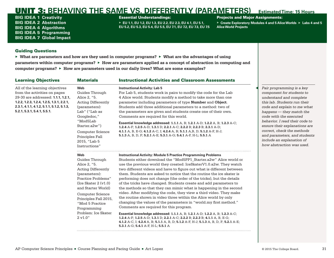BIG IDEA 1 **Creativity** BIG IDEA 2 **Abstraction** BIG IDEA 4 **Algorithms** BIG IDEA 5 **Programming** BIG IDEA 7 **Global Impact**

## Essential Understandings:

▶ **EU 1.1, EU 1.2, EU 1.3, EU 2.2, EU 2.3, EU 4.1, EU 5.1, EU 5.2, EU 5.3, EU 5.4, EU 5.5, EU 7.1, EU 7.2, EU 7.3, EU 7.5**

## **Projects and Major Assignments:**

▶ **Create Exploratory Modules 4 and 5 Alice Worlds** ▶ **Labs 4 and 5 Alice World Projects**

## Guiding Questions

| <b>Learning Objectives</b>                                                                                                                                                                                                    | <b>Materials</b>                                                                                                                                                                                                                                                                     | <b>Instructional Activities and Classroom Assessments</b>                                                                                                                                                                                                                                                                                                                                                                                                                                                                                                                                                                                                                                                                                                                                                                                                                                                                                                                                                                                                                                                                                       |                                                                                                                                                                                                                                                                                                                                                                                                   |
|-------------------------------------------------------------------------------------------------------------------------------------------------------------------------------------------------------------------------------|--------------------------------------------------------------------------------------------------------------------------------------------------------------------------------------------------------------------------------------------------------------------------------------|-------------------------------------------------------------------------------------------------------------------------------------------------------------------------------------------------------------------------------------------------------------------------------------------------------------------------------------------------------------------------------------------------------------------------------------------------------------------------------------------------------------------------------------------------------------------------------------------------------------------------------------------------------------------------------------------------------------------------------------------------------------------------------------------------------------------------------------------------------------------------------------------------------------------------------------------------------------------------------------------------------------------------------------------------------------------------------------------------------------------------------------------------|---------------------------------------------------------------------------------------------------------------------------------------------------------------------------------------------------------------------------------------------------------------------------------------------------------------------------------------------------------------------------------------------------|
| All of the learning objectives<br>from the activities on pages<br>29-30 are addressed: 1.1.1, 1.2.1,<br>1.2.2, 1.2.3, 1.2.4, 1.2.5, 1.3.1, 2.2.1,<br>2.3.1, 4.1.1, 4.1.2, 5.1.1, 5.1.2, 5.1.3,<br>5.2.1, 5.3.1, 5.4.1, 5.5.1. | Web<br>Guides Through<br>Alice 2, "5.<br><b>Acting Differently</b><br>(parameters):<br>Lab" ("Lab as<br>Googledoc,"<br>"Mod5Lab<br>Starter.a2w")<br><b>Computer Science</b><br>Principles Fall<br>2015, "Lab 5<br>Instructions"                                                      | <b>Instructional Activity: Lab 5</b><br>For Lab 5, students work in pairs to modify the code for the Lab<br>4 Alice world. Students modify a method to take more than one<br>parameter including parameters of type <b>Number</b> and <b>Object</b> .<br>Students add three additional parameters to a method: two of<br>the parameters are given and students create one of their own.<br>Comments are required for this world.<br>Essential knowledge addressed: 1.1.1 A, B; 1.2.1 A-D; 1.2.2 A, B; 1.2.3 A-C;<br>1.2.4 A-F; 1.2.5 A-D; 1.3.1 D; 2.2.1 A-C; 2.2.2 B; 2.2.3 B; 2.3.1 A-D;<br>4.1.1 A, B, E-G; 4.1.2 A-C, I; 4.2.4 A, B; 5.1.1 A, B, D; 5.1.2 A-F, H-J;<br>5.1.3 A, B, D, F; 5.2.1 A-E; 5.3.1 A-G; 5.4.1 A-F, H-L; 5.5.1 A                                                                                                                                                                                                                                                                                                                                                                                                      | Pair programming is a key<br>component for students to<br>understand and complete<br>this lab. Students run their<br>code and explain to me what<br>happens - they match the<br>code with the executed<br>behavior. I read their code to<br>ensure their explanations are<br>correct, check the methods<br>and parameters, and students<br>include an explanation of<br>how abstraction was used. |
|                                                                                                                                                                                                                               | Web<br>Guides Through<br>Alice 2, "5.<br><b>Acting Differently</b><br>(parameters):<br>Practice Problems"<br>$($ Ice Skater 2 $(v1.0)$<br>and Starter World)<br><b>Computer Science</b><br>Principles Fall 2015,<br>"Mod 5 Practice<br>Programming<br>Problem: Ice Skater<br>2 v1.0" | <b>Instructional Activity: Module 5 Practice Programming Problems</b><br>Students either download the "Mod5PP1 Starter.a2w" Alice world or<br>use the previous world they created: IceSkaterV1.0.a2w. They watch<br>two different videos and have to figure out what is different between<br>them. Students are asked to notice that the routine the ice skater is<br>performing does not change (the order of the tricks), but the details<br>of the tricks have changed. Students create and add parameters to<br>the methods so that they can mimic what is happening in the second<br>video. After modifying the code, they view a third video. They make<br>the routine shown in video three within the Alice world by only<br>changing the values of the parameters in "world.my first method."<br>Comments are required for this program.<br>Essential knowledge addressed: 1.1.1 A, B; 1.2.1 A-D; 1.2.2 A, B; 1.2.3 A-C;<br>1.2.4 A-F; 1.2.5 A-D; 1.3.1 D; 2.2.1 A-C; 2.2.2 B; 2.2.3 B; 4.1.1 A, B, E-G;<br>4.1.2 A-C, I; 4.2.4 A, B; 5.1.1 A, B, D; 5.1.2 A-F, H-J; 5.1.3 A, B, D, F; 5.2.1 A-E;<br>5.3.1 A-G; 5.4.1 A-F, H-L; 5.5.1 A |                                                                                                                                                                                                                                                                                                                                                                                                   |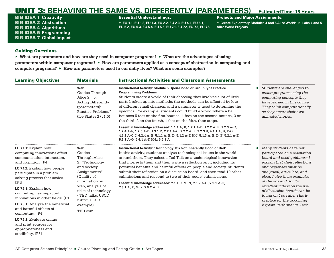BIG IDEA 1 **Creativity** BIG IDEA 2 **Abstraction** BIG IDEA 4 **Algorithms** BIG IDEA 5 **Programming** BIG IDEA 7 **Global Impact**

## Essential Understandings:

▶ **EU 1.1, EU 1.2, EU 1.3, EU 2.2, EU 2.3, EU 4.1, EU 5.1, EU 5.2, EU 5.3, EU 5.4, EU 5.5, EU 7.1, EU 7.2, EU 7.3, EU 7.5**

### Projects and Major Assignments:

▶ **Create Exploratory Modules 4 and 5 Alice Worlds** ▶ **Labs 4 and 5 Alice World Projects**

## Guiding Questions

| <b>Learning Objectives</b>                                                                                                                                                                                                                                                                                                                                                                                                                                                                                | <b>Materials</b>                                                                                                                                                                                                               | <b>Instructional Activities and Classroom Assessments</b>                                                                                                                                                                                                                                                                                                                                                                                                                                                                                                                                                           |                                                                                                                                                                                                                                                                                                                                                                                              |
|-----------------------------------------------------------------------------------------------------------------------------------------------------------------------------------------------------------------------------------------------------------------------------------------------------------------------------------------------------------------------------------------------------------------------------------------------------------------------------------------------------------|--------------------------------------------------------------------------------------------------------------------------------------------------------------------------------------------------------------------------------|---------------------------------------------------------------------------------------------------------------------------------------------------------------------------------------------------------------------------------------------------------------------------------------------------------------------------------------------------------------------------------------------------------------------------------------------------------------------------------------------------------------------------------------------------------------------------------------------------------------------|----------------------------------------------------------------------------------------------------------------------------------------------------------------------------------------------------------------------------------------------------------------------------------------------------------------------------------------------------------------------------------------------|
|                                                                                                                                                                                                                                                                                                                                                                                                                                                                                                           | Web<br>Guides Through<br>Alice 2, "5.<br><b>Acting Differently</b><br>(parameters):<br>Practice Problems"<br>$($ Ice Skater 2 $(v1.0)$                                                                                         | Instructional Activity: Module 5 Open-Ended or Group Type Practice<br><b>Programming Problems</b><br>Students create a world of their choosing that involves a lot of little<br>parts broken up into methods; the methods can be affected by lots<br>of different small changes, and a parameter is used to determine the<br>specifics. For example, students could build a world where a ball<br>bounces 5 feet on the first bounce, 4 feet on the second bounce, 3 on<br>the third, 2 on the fourth, 1 foot on the fifth, then stops.                                                                             | Students are challenged to<br>create programs using the<br>computing concepts they<br>have learned in this course.<br>They think computationally<br>as they create their own<br>animated stories.                                                                                                                                                                                            |
|                                                                                                                                                                                                                                                                                                                                                                                                                                                                                                           |                                                                                                                                                                                                                                | Essential knowledge addressed: 1.1.1 A, B; 1.2.1 A-D; 1.2.2 A, B; 1.2.3 A-C;<br>1.2.4 A-F; 1.2.5 A-D; 1.3.1 D; 2.2.1 A-C; 2.2.2 A, B; 2.2.3 B; 4.1.1 A, B, E-G;<br>4.1.2 A-C, I; 4.2.4 A, B; 5.1.1 A, B, D; 5.1.2 A-F, H-J; 5.1.3 A, B, D, F; 5.2.1 A-E;<br>5.3.1 A-G; 5.4.1 A-F, H-L; 5.5.1 A                                                                                                                                                                                                                                                                                                                      |                                                                                                                                                                                                                                                                                                                                                                                              |
| LO $7.1.1$ : Explain how<br>computing innovations affect<br>communication, interaction,<br>and cognition. [P4]<br><b>LO 7.1.2:</b> Explain how people<br>participate in a problem-<br>solving process that scales.<br>[P4]<br>$LO$ 7.2.1: Explain how<br>computing has impacted<br>innovations in other fields. [P1]<br>LO 7.3.1: Analyze the beneficial<br>and harmful effects of<br>computing. $[P4]$<br>LO 7.5.2: Evaluate online<br>and print sources for<br>appropriateness and<br>credibility. [P5] | <b>Web</b><br>Guides<br>Through Alice<br>2. "Technology<br>and Society<br>Assignments"<br>(Quality of<br>information on<br>web, analysis of<br>risks of technology<br>- TED talks, USCD<br>rubric, UCSD<br>example)<br>TED.com | Instructional Activity: "Technology: It's Not Inherently Good or Bad"<br>In this activity, students analyze technological issues in the world<br>around them. They select a Ted Talk on a technological innovation<br>that interests them and then write a reflection on it, including its<br>potential benefits and harmful effects on people and society. Students<br>submit their reflection on a discussion board, and then read 10 other<br>submissions and respond to two of their peers' submissions.<br>Essential knowledge addressed: 7.1.1 E, M, N; 7.1.2 A-G; 7.2.1 A-C;<br>7.3.1 A, E, G, K; 7.5.2 A, B | Many students have not<br>participated on a discussion<br>board and need guidance: I<br>explain that their reflections<br>and responses must be<br>analytical, articulate, and<br>clear. I give them examples<br>of the dos and don'ts;<br>excellent videos on the use<br>of discussion boards can be<br>found on YouTube. This is<br>practice for the upcoming<br>Explore Performance Task. |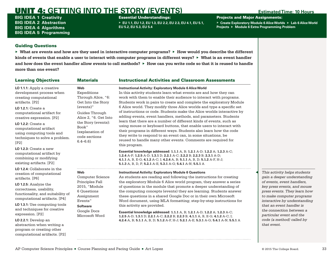## <span id="page-35-0"></span>UNIT 4: **GETTING INTO THE STORY (EVENTS) Estimated Time: 10 Hours**

BIG IDEA 1 **Creativity** BIG IDEA 2 **Abstraction** BIG IDEA 4 **Algorithms** BIG IDEA 5 **Programming** Essential Understandings:

▶ **EU 1.1, EU 1.2, EU 1.3, EU 2.2, EU 2.3, EU 4.1, EU 5.1, EU 5.2, EU 5.3, EU 5.4**

Projects and Major Assignments:

▶ **Create Exploratory Module 6 Alice Worlds** ▶ **Lab 6 Alice World Projects** ▶ **Module 6 Extra Programming Problem**

## Guiding Questions

computational artifacts. [P2]

▶ **What are events and how are they used in interactive computer programs?** ▶ **How would you describe the different kinds of events that enable a user to interact with computer programs in different ways?** ▶ **What is an event handler and how does the event handler allow events to call methods?** ▶ **How can you write code so that it is reused to handle more than one event?**

| <b>Learning Objectives</b>                                                                                                 | <b>Materials</b>                                                                                                                        | <b>Instructional Activities and Classroom Assessments</b>                                                                                                                                                                                                                                                                                                                              |  |
|----------------------------------------------------------------------------------------------------------------------------|-----------------------------------------------------------------------------------------------------------------------------------------|----------------------------------------------------------------------------------------------------------------------------------------------------------------------------------------------------------------------------------------------------------------------------------------------------------------------------------------------------------------------------------------|--|
| LO 1.1.1: Apply a creative<br>development process when<br>creating computational<br>artifacts. [P2]                        | <b>Web</b><br>Expeditions<br>Through Alice, "6:<br>Get Into the Story                                                                   | <b>Instructional Activity: Exploratory Module 6 Alice World</b><br>In this activity students learn what events are and how they can<br>work with them to enable their audience to interact with programs.<br>Students work in pairs to create and complete the exploratory Module                                                                                                      |  |
| LO $1.2.1$ : Create a<br>computational artifact for<br>creative expression. [P2]                                           | (events)"<br>Guides Through<br>Alice 2, "6. Get Into<br>the Story (events):<br>Book"<br>(explanation of<br>code sections<br>$6.4 - 6.6$ | 6 Alice world. They modify three Alice worlds and type a specific set<br>of instructions or code. Students make the Alice worlds interactive by<br>adding events, event handlers, methods, and parameters. Students                                                                                                                                                                    |  |
| <b>LO 1.2.2: Create a</b><br>computational artifact<br>using computing tools and<br>techniques to solve a problem.<br>[P2] |                                                                                                                                         | learn that there are a number of different kinds of events, such as<br>using mouse or keyboard buttons, that enable users to interact with<br>their programs in different ways. Students also learn how the code<br>they write to respond to an event can, in some situations, be.<br>reused to handle many other events. Comments are required for<br>this program.                   |  |
| LO $1.2.3$ : Create a new<br>computational artifact by<br>combining or modifying<br>existing artifacts. [P2]               |                                                                                                                                         | Essential knowledge addressed: 1.1.1 A, B; 1.2.1 A-D; 1.2.2 A; 1.2.3 A-C;<br>1.2.4 A-F; 1.2.5 A-D; 1.3.1 D; 2.2.1 A-C; 2.2.2 B; 2.2.3 B; 2.3.1 A-D;<br>4.1.1 A, B, E-G; 4.1.2 A-C; I; 4.2.4 A, B; 5.1.1 A, B, D; 5.1.2 A-F, H-J;<br>5.1.3 A, B, D, F; 5.2.1 A-E; 5.3.1 A-G; 5.4.1 A-N; 5.5.1 A                                                                                         |  |
| LO 1.2.4: Collaborate in the<br>creation of computational<br>artifacts. [P6]                                               | <b>Web</b><br><b>Computer Science</b>                                                                                                   | <b>Instructional Activity: Exploratory Module 6 Questions</b><br>As students are reading and following the instructions for creating                                                                                                                                                                                                                                                   |  |
| LO 1.2.5: Analyze the<br>correctness, usability,<br>functionality, and suitability of<br>computational artifacts. [P4]     | Principles Fall<br>2015, "Module<br>6 Questions<br>Assignment<br>Events"<br><b>Software</b><br>Google Docs                              | the exploratory Module 6 Alice world program, they answer a series<br>of questions in the module that promote a deeper understanding of<br>the computing concepts (events) they are learning. Students answer<br>these questions in a shared Google Doc or in their own Microsoft<br>Word document, using MLA formatting; step-by-step instructions for<br>this activity are provided. |  |
| LO 1.3.1: Use computing tools<br>and techniques for creative                                                               |                                                                                                                                         |                                                                                                                                                                                                                                                                                                                                                                                        |  |
| expression. [P2]<br>LO 2.2.1: Develop an                                                                                   | Microsoft Word                                                                                                                          | Essential knowledge addressed: 1.1.1 A, B; 1.2.1 A-D; 1.2.2 A; 1.2.3 A-C;<br>1.2.5 A-D; 1.3.1 D; 2.2.1 A-C; 2.2.2 B; 2.2.3 B; 4.1.1 A, B, E-G; 4.1.2 A-C; I;<br>4.2.4 A, B; 5.1.1 A, B, D; 5.1.2 A-F, H-J; 5.2.1 A-E; 5.3.1 A-G; 5.4.1 A-N; 5.5.1 A                                                                                                                                    |  |
| abstraction when writing a<br>program or creating other                                                                    |                                                                                                                                         |                                                                                                                                                                                                                                                                                                                                                                                        |  |

◀ *This activity helps students gain a deeper understanding of events, event handlers, key press events, and mouse press events. They learn how to make computer programs interactive by understanding that an event handler is the connection between a particular event and the code (a method) called by that event.*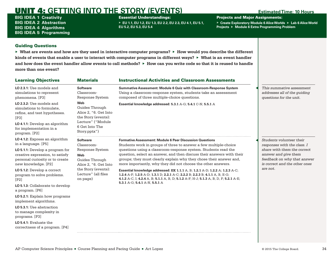# **UNIT 4: GETTING INTO THE STORY (EVENTS)** Estimated Time: 10 Hours

BIG IDEA 1 **Creativity** BIG IDEA 2 **Abstraction** BIG IDEA 4 **Algorithms** BIG IDEA 5 **Programming** Essential Understandings:

▶ **EU 1.1, EU 1.2, EU 1.3, EU 2.2, EU 2.3, EU 4.1, EU 5.1, EU 5.2, EU 5.3, EU 5.4**

Projects and Major Assignments:

▶ **Create Exploratory Module 6 Alice Worlds** ▶ **Lab 6 Alice World Projects** ▶ **Module 6 Extra Programming Problem**

## Guiding Questions

▶ **What are events and how are they used in interactive computer programs?** ▶ **How would you describe the different kinds of events that enable a user to interact with computer programs in different ways?** ▶ **What is an event handler and how does the event handler allow events to call methods?** ▶ **How can you write code so that it is reused to handle more than one event?**

| <b>Learning Objectives</b>                                                                                                                                                                                                                                                                                                                                                                                                                                                                                           | <b>Materials</b>                                                                                                                                             | <b>Instructional Activities and Classroom Assessments</b>                                                                                                                                                                                                                                                                                                                                                                                                                                                                                                                                                                                                                                                      |                                                                                                                                                                                            |
|----------------------------------------------------------------------------------------------------------------------------------------------------------------------------------------------------------------------------------------------------------------------------------------------------------------------------------------------------------------------------------------------------------------------------------------------------------------------------------------------------------------------|--------------------------------------------------------------------------------------------------------------------------------------------------------------|----------------------------------------------------------------------------------------------------------------------------------------------------------------------------------------------------------------------------------------------------------------------------------------------------------------------------------------------------------------------------------------------------------------------------------------------------------------------------------------------------------------------------------------------------------------------------------------------------------------------------------------------------------------------------------------------------------------|--------------------------------------------------------------------------------------------------------------------------------------------------------------------------------------------|
| LO 2.3.1: Use models and<br>simulations to represent<br>phenomena. [P3]                                                                                                                                                                                                                                                                                                                                                                                                                                              | <b>Software</b><br>Classroom-<br><b>Response System</b>                                                                                                      | Summative Assessment: Module 6 Quiz with Classroom-Response System<br>Using a classroom-response system, students take an assessment<br>composed of three multiple-choice questions.                                                                                                                                                                                                                                                                                                                                                                                                                                                                                                                           | This summative assessment<br>addresses all of the quiding<br>questions for the unit.                                                                                                       |
| LO 2.3.2: Use models and<br>simulations to formulate.<br>refine, and test hypotheses.<br>[P3]<br>LO 4.1.1: Develop an algorithm<br>for implementation in a<br>program. [P2]                                                                                                                                                                                                                                                                                                                                          | Web<br>Guides Through<br>Alice 2, "6. Get Into<br>the Story (events):<br>Lecture" ("Module<br>6 Get Into The<br>Story.pptx")                                 | Essential knowledge addressed: 5.3.1 A-G; 5.4.1 C-N; 5.5.1 A                                                                                                                                                                                                                                                                                                                                                                                                                                                                                                                                                                                                                                                   |                                                                                                                                                                                            |
| LO 4.1.2: Express an algorithm<br>in a language. [P5]<br>LO 5.1.1: Develop a program for<br>creative expression, to satisfy<br>personal curiosity or to create<br>new knowledge. [P2]<br>LO 5.1.2: Develop a correct<br>program to solve problems.<br>[P2]<br>LO 5.1.3: Collaborate to develop<br>a program. [P6]<br>LO 5.2.1: Explain how programs<br>implement algorithms.<br>LO 5.3.1: Use abstraction<br>to manage complexity in<br>programs. [P3]<br>$LO$ 5.4.1: Evaluate the<br>correctness of a program. [P4] | <b>Software</b><br>Classroom-<br>Response System<br>Web<br>Guides Through<br>Alice 2, "6. Get Into<br>the Story (events):<br>Lecture" (all files<br>on page) | <b>Formative Assessment: Module 6 Peer Discussion Questions</b><br>Students work in groups of three to answer a few multiple-choice<br>questions using a classroom-response system. Students read the<br>question, select an answer, and then discuss their answers with their<br>groups; they must clearly explain why they chose their answer and.<br>more importantly, why they did not choose the other answers.<br>Essential knowledge addressed: EK 1.1.1 A, B; 1.2.1 A-D; 1.2.2 A; 1.2.3 A-C;<br>1.2.4 A-F; 1.2.5 A-D; 1.3.1 D; 2.2.1 A-C; 2.2.2 B; 2.2.3 B; 4.1.1 A, B, E-G;<br>4.1.2 A-C, I; 4.2.4 A, B; 5.1.1 A, B, D; 5.1.2 A-F; H-J; 5.1.3 A, B, D, F; 5.2.1 A-E;<br>5.3.1 A-G; 5.4.1 A-N, 5.5.1 A | Students volunteer their<br>responses with the class. I<br>share with them the correct<br>answer and give them<br>feedback on why that answer<br>is correct and the other ones<br>are not. |
|                                                                                                                                                                                                                                                                                                                                                                                                                                                                                                                      |                                                                                                                                                              |                                                                                                                                                                                                                                                                                                                                                                                                                                                                                                                                                                                                                                                                                                                |                                                                                                                                                                                            |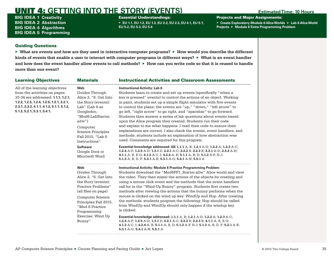# **UNIT 4: GETTING INTO THE STORY (EVENTS)** Estimated Time: 10 Hours

BIG IDEA 1 **Creativity** BIG IDEA 2 **Abstraction** BIG IDEA 4 **Algorithms** BIG IDEA 5 **Programming** Essential Understandings:

▶ **EU 1.1, EU 1.2, EU 1.3, EU 2.2, EU 2.3, EU 4.1, EU 5.1, EU 5.2, EU 5.3, EU 5.4**

Projects and Major Assignments:

▶ **Create Exploratory Module 6 Alice Worlds** ▶ **Lab 6 Alice World Projects** ▶ **Module 6 Extra Programming Problem**

## Guiding Questions

▶ **What are events and how are they used in interactive computer programs?** ▶ **How would you describe the different kinds of events that enable a user to interact with computer programs in different ways?** ▶ **What is an event handler and how does the event handler allow events to call methods?** ▶ **How can you write code so that it is reused to handle more than one event?**

| <b>Learning Objectives</b>                                                                                                                                                                                                    | <b>Materials</b>                                                                                                                                                                                         | <b>Instructional Activities and Classroom Assessments</b>                                                                                                                                                                                                                                                                                                                                                                                                                                                                                                                                                                                                                                                                                                  |
|-------------------------------------------------------------------------------------------------------------------------------------------------------------------------------------------------------------------------------|----------------------------------------------------------------------------------------------------------------------------------------------------------------------------------------------------------|------------------------------------------------------------------------------------------------------------------------------------------------------------------------------------------------------------------------------------------------------------------------------------------------------------------------------------------------------------------------------------------------------------------------------------------------------------------------------------------------------------------------------------------------------------------------------------------------------------------------------------------------------------------------------------------------------------------------------------------------------------|
| All of the learning objectives<br>from the activities on pages<br>33-34 are addressed: 1.1.1, 1.2.1,<br>1.2.2, 1.2.3, 1.2.4, 1.2.5, 1.3.1, 2.2.1,<br>2.3.1, 2.3.2, 4.1.1, 4.1.2, 5.1.1, 5.1.2,<br>5.1.3, 5.2.1, 5.3.1, 5.4.1. | Web<br>Guides Through<br>Alice 2, "6. Get Into<br>the Story (events):<br>Lab" (Lab 6 as<br>Googledoc,<br>"Mod6:LabStarter.<br>$a2w$ "<br>Computer<br><b>Science Principles</b><br>Fall 2015, "Lab 6      | <b>Instructional Activity: Lab 6</b><br>Students learn to create and set up events (specifically "when a<br>key is pressed" events) to control the actions of an object. Working<br>in pairs, students set up a simple flight simulator with five events<br>to control the plane; the events are "up," "down," "left arrow" to<br>go left, "right arrow" to go right, and "spacebar" to go forward.<br>Students then answer a series of lab questions about events based<br>upon the Alice program they created. Students run their code<br>and explain to me what happens. I read their code to ensure their<br>explanations are correct. I also check the events, event handlers, and<br>methods; students include an explanation of how abstraction was |
|                                                                                                                                                                                                                               | Instructions"<br><b>Software</b><br>Google Docs or<br>Microsoft Word                                                                                                                                     | used. Comments are required for this program.<br>Essential knowledge addressed: EK 1.1.1 A, B; 1.2.1 A-D; 1.2.2 A; 1.2.3 A-C;<br>1.2.4 A-F; 1.2.5 A-D; 1.3.1 D; 2.2.1 A-C; 2.2.2 B; 2.2.3 B; 2.3.1 A-D; 2.3.2 A-H;<br>4.1.1 A, B, E-G; 4.1.2 A-C, I; 4.2.4 A, B; 5.1.1 A, B; D; 5.1.2 A-F, H-J;<br>5.1.3 A, B, D, F; 5.2.1 A-E; 5.3.1 A-G; 5.4.1 A-N; 5.5.1 A                                                                                                                                                                                                                                                                                                                                                                                              |
|                                                                                                                                                                                                                               | Web<br>Guides Through<br>Alice 2, "6. Get Into<br>the Story (events):<br>Practice Problems"<br>(all files on page)<br><b>Computer Science</b><br>Principles Fall 2015,<br>"Mod 6 Practice<br>Programming | <b>Instructional Activity: Module 6 Practice Programming Problem</b><br>Students download the "Mod6PP1 Starter.a2w" Alice world and view<br>the video. They then mimic the actions of the objects by creating and<br>using a mouse click event and the methods that the event handlers<br>call for in the "Wind-Up Bunny" program. Students first create two<br>methods after viewing the actions that the bunny performs when the<br>mouse is clicked on the wind up key: WindUp and Hop. After creating<br>the methods, students program the following: Hop should be called<br>from WindUp and WindUp should only happen if the windup key<br>is clicked.                                                                                               |
|                                                                                                                                                                                                                               | Exercise: Wind Up<br>Bunny"                                                                                                                                                                              | Essential knowledge addressed: 1.1.1 A, B; 1.2.1 A-D; 1.2.2 A; 1.2.3 A-C;<br>1.2.4 A-F; 1.2.5 A-D; 1.3.1 D; 2.2.1 A-C; 2.2.2 B; 2.2.3 B; 4.1.1 A, B, E-G;<br>4.1.2 A-C, I; 4.2.4 A, B; 5.1.1 A, B, D; 5.1.2 A-F, H-J; 5.1.3 A, B, D, F; 5.2.1 A-E;<br>5.3.1 A-G; 5.4.1 A-N; 5.5.1 A                                                                                                                                                                                                                                                                                                                                                                                                                                                                        |
|                                                                                                                                                                                                                               |                                                                                                                                                                                                          |                                                                                                                                                                                                                                                                                                                                                                                                                                                                                                                                                                                                                                                                                                                                                            |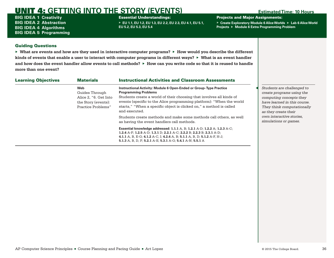# UNIT 4: **GETTING INTO THE STORY (EVENTS) Estimated Time: 10 Hours**

BIG IDEA 1 **Creativity** BIG IDEA 2 **Abstraction** BIG IDEA 4 **Algorithms** BIG IDEA 5 **Programming** Essential Understandings:

▶ **EU 1.1, EU 1.2, EU 1.3, EU 2.2, EU 2.3, EU 4.1, EU 5.1, EU 5.2, EU 5.3, EU 5.4**

Projects and Major Assignments:

▶ **Create Exploratory Module 6 Alice Worlds** ▶ **Lab 6 Alice World Projects** ▶ **Module 6 Extra Programming Problem**

## Guiding Questions

▶ **What are events and how are they used in interactive computer programs?** ▶ **How would you describe the different kinds of events that enable a user to interact with computer programs in different ways?** ▶ **What is an event handler and how does the event handler allow events to call methods?** ▶ **How can you write code so that it is reused to handle more than one event?**

| <b>Learning Objectives</b> | <b>Materials</b>                                                                            | <b>Instructional Activities and Classroom Assessments</b>                                                                                                                                                                                                                                                                                 |  |                                                                                                                                                                          |
|----------------------------|---------------------------------------------------------------------------------------------|-------------------------------------------------------------------------------------------------------------------------------------------------------------------------------------------------------------------------------------------------------------------------------------------------------------------------------------------|--|--------------------------------------------------------------------------------------------------------------------------------------------------------------------------|
|                            | Web<br>Guides Through<br>Alice 2, "6. Get Into<br>the Story (events):<br>Practice Problems" | Instructional Activity: Module 6 Open-Ended or Group-Type Practice<br><b>Programming Problems</b><br>Students create a world of their choosing that involves all kinds of<br>events (specific to the Alice programming platform): "When the world<br>starts," "When a specific object is clicked on," a method is called<br>and executed. |  | Students are challenged to<br>create programs using the<br>computing concepts they<br>have learned in this course.<br>They think computationally<br>as they create their |
|                            |                                                                                             | Students create methods and make some methods call others, as well<br>as having the event handlers call methods.                                                                                                                                                                                                                          |  | own interactive stories.<br>simulations or games.                                                                                                                        |
|                            |                                                                                             | Essential knowledge addressed: 1.1.1 A, B; 1.2.1 A-D; 1.2.2 A; 1.2.3 A-C;<br>1.2.4 A-F; 1.2.5 A-D; 1.3.1 D; 2.2.1 A-C; 2.2.2 B; 2.2.3 B; 2.3.1 A-D;<br>4.1.1 A, B, E-G; 4.1.2 A-C, I; 4.2.4 A, B; 5.1.1 A, B, D; 5.1.2 A-F, H-J;<br>5.1.3 A, B, D, F; 5.2.1 A-E; 5.3.1 A-G; 5.4.1 A-N; 5.5.1 A                                            |  |                                                                                                                                                                          |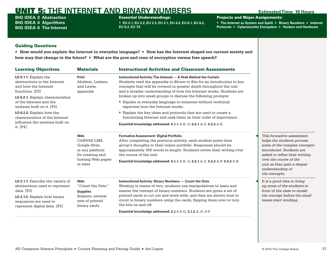BIG IDEA 2 **Abstraction** BIG IDEA 4 **Algorithms** BIG IDEA 6 **The Internet** Essential Understandings:

▶ **EU 2.1, EU 2.2, EU 2.3, EU 3.1, EU 4.2, EU 6.1, EU 6.2, EU 6.3, EU 7.5**

Projects and Major Assignments:

▶ **The Internet as System and Spirit** ▶ **Binary Numbers** ▶ **Internet Protocols** ▶ **Cybersecurity Encryption** ▶ **Hackers and Hardware**

# Guiding Questions

| <b>Learning Objectives</b>                                                                                                                                                        | <b>Materials</b>                                                                                            | <b>Instructional Activities and Classroom Assessments</b>                                                                                                                                                                                                                                                                                                                 |                                                                                                                                                                                                                                                   |
|-----------------------------------------------------------------------------------------------------------------------------------------------------------------------------------|-------------------------------------------------------------------------------------------------------------|---------------------------------------------------------------------------------------------------------------------------------------------------------------------------------------------------------------------------------------------------------------------------------------------------------------------------------------------------------------------------|---------------------------------------------------------------------------------------------------------------------------------------------------------------------------------------------------------------------------------------------------|
| $LO$ 6.1.1: Explain the<br>abstractions in the Internet<br>and how the Internet<br>functions. [P3]<br>LO 6.2.1: Explain characteristics                                           | Print<br>Abelson, Ledeen,<br>and Lewis.<br>appendix                                                         | Instructional Activity: The Internet - A Peek Behind the Curtain<br>Students read the appendix to Blown to Bits for an introduction to key<br>concepts that will be covered in greater depth throughout the unit<br>and a broader understanding of how the Internet works. Students are<br>broken up into small groups to discuss the following prompts:                  |                                                                                                                                                                                                                                                   |
| of the Internet and the<br>systems built on it. [P5]                                                                                                                              |                                                                                                             | Explain in everyday language to someone without technical<br>expertise how the Internet works.                                                                                                                                                                                                                                                                            |                                                                                                                                                                                                                                                   |
| LO 6.2.2: Explain how the<br>characteristics of the Internet                                                                                                                      |                                                                                                             | Explain the key ideas and protocols that are used to create a<br>functioning Internet and rank them on their order of importance.                                                                                                                                                                                                                                         |                                                                                                                                                                                                                                                   |
| influence the systems built on<br>it. [P4]                                                                                                                                        |                                                                                                             | Essential knowledge addressed: 6.1.1 A-E, G; 6.2.1 A-C; 6.2.2 A-K                                                                                                                                                                                                                                                                                                         |                                                                                                                                                                                                                                                   |
|                                                                                                                                                                                   | Web<br>CANVAS LMS.<br>Google Sites,<br>or any platform<br>for creating and<br>hosting Web pages<br>or sites | <b>Formative Assessment: Digital Portfolio</b><br>After completing the previous activity, each student posts their<br>group's thoughts to their online portfolio. Responses should be<br>approximately 300 words in length. Students revise their writing over<br>the course of the unit.<br>Essential knowledge addressed: 6.1.1 A-E, G; 6.2.1 A-C; 6.2.2 A-F; 6.6.2 G-K | This formative assessment<br>helps the students process<br>some of the complex concepts<br>introduced. Students are<br>asked to refine their writing<br>over the course of the<br>unit as they gain a deeper<br>understanding of<br>the concepts. |
| <b>LO 2.1.1:</b> Describe the variety of<br>abstractions used to represent<br>data. [P3]<br>LO 2.1.2: Explain how binary<br>sequences are used to<br>represent digital data. [P5] | Web<br>"Count the Dots"<br><b>Supplies</b><br>Scissors, several<br>sets of printed<br>binary cards          | Instructional Activity: Binary Numbers - Count the Dots<br>Working in teams of two, students use manipulatives to learn and<br>master the concept of binary numbers. Students are given a set of<br>printed cards to cut out and work with, and they are shown how to<br>count in binary numbers using the cards, flipping them over to turn<br>the bits on and off.      | It is a good idea to bring<br>up some of the students in<br>front of the class to model<br>the concept before the small<br>teams start working.                                                                                                   |
|                                                                                                                                                                                   |                                                                                                             | Essential knowledge addressed: 2.1.1 A-G: 2.1.2 A. B. D-F                                                                                                                                                                                                                                                                                                                 |                                                                                                                                                                                                                                                   |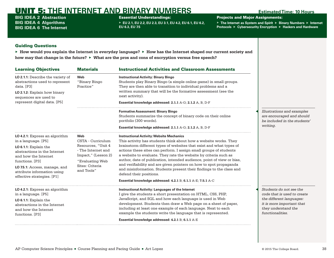BIG IDEA 2 **Abstraction** BIG IDEA 4 **Algorithms** BIG IDEA 6 **The Internet** Essential Understandings:

▶ **EU 2.1, EU 2.2, EU 2.3, EU 3.1, EU 4.2, EU 6.1, EU 6.2, EU 6.3, EU 7.5**

Projects and Major Assignments:

▶ **The Internet as System and Spirit** ▶ **Binary Numbers** ▶ **Internet Protocols** ▶ **Cybersecurity Encryption** ▶ **Hackers and Hardware**

## Guiding Questions

| <b>Learning Objectives</b>                                                                                                                                                                                                                                | <b>Materials</b>                                                                                                                                | <b>Instructional Activities and Classroom Assessments</b>                                                                                                                                                                                                                                                                                                                                                                                                                                                                                                                                                                                                |                                                                                                                                                            |
|-----------------------------------------------------------------------------------------------------------------------------------------------------------------------------------------------------------------------------------------------------------|-------------------------------------------------------------------------------------------------------------------------------------------------|----------------------------------------------------------------------------------------------------------------------------------------------------------------------------------------------------------------------------------------------------------------------------------------------------------------------------------------------------------------------------------------------------------------------------------------------------------------------------------------------------------------------------------------------------------------------------------------------------------------------------------------------------------|------------------------------------------------------------------------------------------------------------------------------------------------------------|
| LO 2.1.1: Describe the variety of<br>abstractions used to represent<br>data. [P3]<br>LO 2.1.2: Explain how binary<br>sequences are used to<br>represent digital data. [P5]                                                                                | Web<br>"Binary Bingo<br>Practice"                                                                                                               | <b>Instructional Activity: Binary Bingo</b><br>Students play Binary Bingo (a simple online game) in small groups.<br>They are then able to transition to individual problems and a<br>written summary that will be the formative assessment (see the<br>next activity).<br>Essential knowledge addressed: 2.1.1 A-G; 2.1.2 A, B, D-F                                                                                                                                                                                                                                                                                                                     |                                                                                                                                                            |
|                                                                                                                                                                                                                                                           |                                                                                                                                                 | <b>Formative Assessment: Binary Bingo</b><br>Students summarize the concept of binary code on their online<br>portfolio (300 words).<br>Essential knowledge addressed: 2.1.1 A-G; 2.1.2 A, B, D-F                                                                                                                                                                                                                                                                                                                                                                                                                                                        | Illustrations and examples<br>are encouraged and should<br>be included in the students'<br>writing.                                                        |
| LO 4.2.1: Express an algorithm<br>in a language. [P5]<br>$LO$ 6.1.1: Explain the<br>abstractions in the Internet<br>and how the Internet<br>functions. [P3]<br>LO 7.5.1: Access, manage, and<br>attribute information using<br>effective strategies. [P1] | Web<br>CSTA - Curriculum<br>Resources, "Unit 4<br>- The Internet and<br>Impact," (Lesson 2)<br>"Evaluating Web<br>Sites: Criteria<br>and Tools" | <b>Instructional Activity: Website Mechanics</b><br>This activity has students think about how a website works. They<br>brainstorm different types of websites that exist and what types of<br>actions these sites can perform. I assign small groups of students<br>a website to evaluate. They rate the website by criteria such as<br>author, date of publication, intended audience, point of view or bias,<br>and verifiability and are given pointers on how to spot propaganda<br>and misinformation. Students present their findings to the class and<br>defend their positions.<br>Essential knowledge addressed: 4.2.1 B; 6.1.1 A-E; 7.5.1 A-C |                                                                                                                                                            |
| LO 4.2.1: Express an algorithm<br>in a language. [P5]<br>LO 6.1.1: Explain the<br>abstractions in the Internet<br>and how the Internet<br>functions. [P3]                                                                                                 |                                                                                                                                                 | <b>Instructional Activity: Languages of the Internet</b><br>I give the students a short presentation on HTML, CSS, PHP,<br>JavaScript, and SQL and how each language is used in Web<br>development. Students then draw a Web page on a sheet of paper,<br>including at least one example of each language. Next to each<br>example the students write the language that is represented.<br>Essential knowledge addressed: 4.2.1 B; 6.1.1 A-E                                                                                                                                                                                                             | Students do not see the<br>code that is used to create<br>the different languages:<br>it is more important that<br>they understand the<br>functionalities. |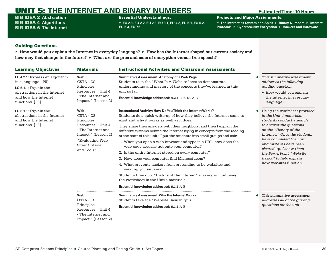BIG IDEA 2 **Abstraction** BIG IDEA 4 **Algorithms** BIG IDEA 6 **The Internet**

## Essential Understandings:

▶ **EU 2.1, EU 2.2, EU 2.3, EU 3.1, EU 4.2, EU 6.1, EU 6.2, EU 6.3, EU 7.5**

Projects and Major Assignments:

▶ **The Internet as System and Spirit** ▶ **Binary Numbers** ▶ **Internet Protocols** ▶ **Cybersecurity Encryption** ▶ **Hackers and Hardware**

## Guiding Questions

| <b>Learning Objectives</b>                                                                                                                                  | <b>Materials</b>                                                                                                                                      | <b>Instructional Activities and Classroom Assessments</b>                                                                                                                                                                                                                                                                                                                                                                                                                                                                                                                                                                                                                                                                                                                                                                                                                                       |                                                                                                                                                                                                                                                                                                                                            |
|-------------------------------------------------------------------------------------------------------------------------------------------------------------|-------------------------------------------------------------------------------------------------------------------------------------------------------|-------------------------------------------------------------------------------------------------------------------------------------------------------------------------------------------------------------------------------------------------------------------------------------------------------------------------------------------------------------------------------------------------------------------------------------------------------------------------------------------------------------------------------------------------------------------------------------------------------------------------------------------------------------------------------------------------------------------------------------------------------------------------------------------------------------------------------------------------------------------------------------------------|--------------------------------------------------------------------------------------------------------------------------------------------------------------------------------------------------------------------------------------------------------------------------------------------------------------------------------------------|
| LO 4.2.1: Express an algorithm<br>in a language. [P5]<br>$LO$ 6.1.1: Explain the<br>abstractions in the Internet<br>and how the Internet<br>functions. [P3] | Web<br>CSTA - CS<br>Principles<br>Resources, "Unit 4<br>- The Internet and<br>Impact," (Lesson 2)                                                     | <b>Summative Assessment: Anatomy of a Web Page</b><br>Students take the "What Is A Website" test to demonstrate<br>understanding and mastery of the concepts they've learned in this<br>unit so far.<br>Essential knowledge addressed: 4.2.1 B; 6.1.1 A-E                                                                                                                                                                                                                                                                                                                                                                                                                                                                                                                                                                                                                                       | This summative assessment<br>addresses the following<br><i>guiding question:</i><br>► How would you explain<br>the Internet in everyday<br>language?                                                                                                                                                                                       |
| $LO$ 6.1.1: Explain the<br>abstractions in the Internet<br>and how the Internet<br>functions. [P3]                                                          | Web<br>CSTA - CS<br>Principles<br>Resources, "Unit 4<br>- The Internet and<br>Impact," (Lesson 2)<br>"Evaluating Web<br>Sites: Criteria<br>and Tools" | Instructional Activity: How Do You Think the Internet Works?<br>Students do a quick write-up of how they believe the Internet came to<br>exist and why it works as well as it does.<br>They share their answers with their neighbors, and then I explain the<br>different systems behind the Internet (tying in concepts from the reading<br>at the start of this unit). I put the students into small groups and ask:<br>1. When you open a web browser and type in a URL, how does the<br>web page actually get onto your computer?<br>2. Is the entire Internet stored on every computer?<br>3. How does your computer find Microsoft.com?<br>4. What prevents hackers from pretending to be websites and<br>sending you viruses?<br>Students then do a "History of the Internet" scavenger hunt using<br>the worksheet in the Unit 4 materials.<br>Essential knowledge addressed: 6.1.1 A-E | Using the worksheet provided<br>in the Unit 4 materials.<br>students conduct a search<br>to answer the questions<br>on the "History of the<br>Internet." Once the students<br>have completed the hunt<br>and mistakes have been<br>cleared up, I show them<br>the PowerPoint "Website<br>Basics" to help explain<br>how websites function. |
|                                                                                                                                                             | Web<br>CSTA - CS<br>Principles<br>Resources, "Unit 4<br>- The Internet and<br>Impact," (Lesson 2)                                                     | <b>Summative Assessment: Why the Internet Works</b><br>Students take the "Website Basics" quiz.<br>Essential knowledge addressed: 6.1.1 A-E                                                                                                                                                                                                                                                                                                                                                                                                                                                                                                                                                                                                                                                                                                                                                     | This summative assessment<br>addresses all of the guiding<br>questions for the unit.                                                                                                                                                                                                                                                       |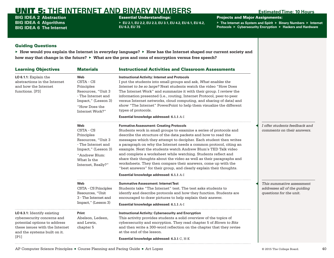BIG IDEA 2 **Abstraction** BIG IDEA 4 **Algorithms** BIG IDEA 6 **The Internet** Essential Understandings:

▶ **EU 2.1, EU 2.2, EU 2.3, EU 3.1, EU 4.2, EU 6.1, EU 6.2, EU 6.3, EU 7.5**

Projects and Major Assignments:

▶ **The Internet as System and Spirit** ▶ **Binary Numbers** ▶ **Internet Protocols** ▶ **Cybersecurity Encryption** ▶ **Hackers and Hardware**

# Guiding Questions

| <b>Learning Objectives</b>                                                                                                                                          | <b>Materials</b>                                                                                                                                        | <b>Instructional Activities and Classroom Assessments</b>                                                                                                                                                                                                                                                                                                                                                                                                                                                                                                                                                                                                                                                                        |                                                                                      |
|---------------------------------------------------------------------------------------------------------------------------------------------------------------------|---------------------------------------------------------------------------------------------------------------------------------------------------------|----------------------------------------------------------------------------------------------------------------------------------------------------------------------------------------------------------------------------------------------------------------------------------------------------------------------------------------------------------------------------------------------------------------------------------------------------------------------------------------------------------------------------------------------------------------------------------------------------------------------------------------------------------------------------------------------------------------------------------|--------------------------------------------------------------------------------------|
| LO 6.1.1: Explain the<br>abstractions in the Internet<br>and how the Internet<br>functions. [P3]                                                                    | Web<br>CSTA - CS<br>Principles<br>Resources, "Unit 3<br>- The Internet and<br>Impact," (Lesson 3)<br>"How Does the<br>Internet Work?"                   | <b>Instructional Activity: Internet and Protocols</b><br>I put the students into small groups and ask, What enables the<br>Internet to be so large? Next students watch the video "How Does<br>The Internet Work" and summarize it with their group. I review the<br>information presented (i.e., routing, Internet Protocol, peer-to-peer<br>versus Internet networks, cloud computing, and sharing of data) and<br>show "The Internet" PowerPoint to help them visualize the different<br>types of protocols.<br>Essential knowledge addressed: 6.1.1 A-I                                                                                                                                                                      |                                                                                      |
|                                                                                                                                                                     | Web<br>CSTA - CS<br>Principles<br>Resources, "Unit 3<br>- The Internet and<br>Impact," (Lesson 3)<br>"Andrew Blum:<br>What Is the<br>Internet, Really?" | <b>Formative Assessment: Creating Protocols</b><br>Students work in small groups to examine a series of protocols and<br>describe the structure of the data packets and how to read the<br>messages which they attempt to decipher. Each student then writes<br>a paragraph on why the Internet needs a common protocol, citing an<br>example. Next the students watch Andrew Blum's TED Talk video<br>and complete a worksheet while watching. Students reflect and<br>share their thoughts about the video as well as their paragraphs and<br>worksheets. They then compare their answers, come up with the<br>"best answers" for their group, and clearly explain their thoughts.<br>Essential knowledge addressed: 6.1.1 A-I | I offer students feedback and<br>comments on their answers.                          |
|                                                                                                                                                                     | Web<br>CSTA - CS Principles<br>Resources, "Unit<br>3 - The Internet and<br>Impact," (Lesson 3)                                                          | <b>Summative Assessment: Internet Test</b><br>Students take "The Internet" test. The test asks students to<br>identfy and describe protocols and how they function. Students are<br>encouraged to draw pictures to help explain their answer.<br>Essential knowledge addressed: 6.1.1 A-I                                                                                                                                                                                                                                                                                                                                                                                                                                        | This summative assessment<br>addresses all of the guiding<br>questions for the unit. |
| LO 6.3.1: Identify existing<br>cybersecurity concerns and<br>potential options to address<br>these issues with the Internet<br>and the systems built on it.<br>[P1] | Print<br>Abelson, Ledeen,<br>and Lewis,<br>chapter 5                                                                                                    | <b>Instructional Activity: Cybersecurity and Encryption</b><br>This activity provides students a solid overview of the topics of<br>cybersecurity and encryption. They read chapter 5 of Blown to Bits<br>and then write a 300-word reflection on the chapter that they revise<br>at the end of the lesson.<br>Essential knowledge addressed: 6.3.1 C, H-K                                                                                                                                                                                                                                                                                                                                                                       |                                                                                      |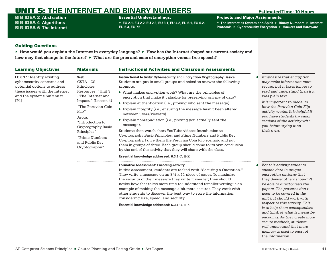BIG IDEA 2 **Abstraction** BIG IDEA 4 **Algorithms** BIG IDEA 6 **The Internet**

## Essential Understandings:

▶ **EU 2.1, EU 2.2, EU 2.3, EU 3.1, EU 4.2, EU 6.1, EU 6.2, EU 6.3, EU 7.5**

Projects and Major Assignments:

▶ **The Internet as System and Spirit** ▶ **Binary Numbers** ▶ **Internet Protocols** ▶ **Cybersecurity Encryption** ▶ **Hackers and Hardware**

# Guiding Questions

▶ **How would you explain the Internet in everyday language?** ▶ **How has the Internet shaped our current society and how may that change in the future?** ▶ **What are the pros and cons of encryption versus free speech?**

| <b>Learning Objectives</b>                                                                                                                                          | <b>Materials</b>                                                                                                                                                                                                                                         | <b>Instructional Activities and Classroom Assessments</b>                                                                                                                                                                                                                                                                                                                                                                                                                                                                                                                                                                                                                                                                                                                                                                                                                                                                              |                                                                                                                                                                                                                                                                                                                                                                                                           |
|---------------------------------------------------------------------------------------------------------------------------------------------------------------------|----------------------------------------------------------------------------------------------------------------------------------------------------------------------------------------------------------------------------------------------------------|----------------------------------------------------------------------------------------------------------------------------------------------------------------------------------------------------------------------------------------------------------------------------------------------------------------------------------------------------------------------------------------------------------------------------------------------------------------------------------------------------------------------------------------------------------------------------------------------------------------------------------------------------------------------------------------------------------------------------------------------------------------------------------------------------------------------------------------------------------------------------------------------------------------------------------------|-----------------------------------------------------------------------------------------------------------------------------------------------------------------------------------------------------------------------------------------------------------------------------------------------------------------------------------------------------------------------------------------------------------|
| LO 6.3.1: Identify existing<br>cybersecurity concerns and<br>potential options to address<br>these issues with the Internet<br>and the systems built on it.<br>[P1] | Web<br>CSTA - CS<br>Principles<br>Resources, "Unit 3<br>- The Internet and<br>Impact," (Lesson 4)<br>"The Peruvian Coin<br>Flip"<br>Arora,<br>"Introduction to<br>Cryptography Basic<br>Principles"<br>"Prime Numbers<br>and Public Key<br>Cryptography" | Instructional Activity: Cybersecurity and Encryption Cryptography Basics<br>Students are put in small groups and asked to answer the following<br>prompts:<br>▶ What makes encryption work? What are the principles of<br>encryption that make it valuable for preserving privacy of data?<br>Explain authentication (i.e., proving who sent the message).<br>Explain integrity (i.e., ensuring the message hasn't been altered<br>between users/viewers).<br>Explain nonrepudiation (i.e., proving you actually sent the<br>message).<br>Students then watch short YouTube videos: Introduction to<br>Cryptography Basic Principles, and Prime Numbers and Public Key<br>Cryptography. I give them the Peruvian Coin Flip scenario and put<br>them in groups of three. Each group should come to its own conclusion<br>by the end of the activity that they will share with the class.<br>Essential knowledge addressed: 6.3.1 C, H-K | Emphasize that encryption<br>may make information more<br>secure, but it takes longer to<br>read and understand than if it<br>was plain text.<br>It is important to model to<br>how the Peruvian Coin Flip<br>activity works. It is helpful if<br>you have students try small<br>sections of the activity with<br>you before trying it on<br>their own.                                                   |
|                                                                                                                                                                     |                                                                                                                                                                                                                                                          | <b>Formative Assessment: Encoding Activity</b><br>In this assessment, students are tasked with "Securing a Quotation."<br>They write a message on an $8\frac{1}{2} \times 11$ piece of paper. To maximize<br>the security of their message they write it smaller; they should<br>notice how that takes more time to understand (smaller writing is an<br>example of making the message a bit more secure). They work with<br>other students to discover the best way to store the information,<br>considering size, speed, and security.<br>Essential knowledge addressed: 6.3.1 C, H-K                                                                                                                                                                                                                                                                                                                                                | For this activity students<br>encode data in unique<br>encryption patterns that<br>they devise: others shouldn't<br>be able to directly read the<br>papers. The patterns don't<br>need to be covered in the<br>unit but should work with<br>respect to this activity. This<br>is to help them conceptualize<br>and think of what is meant by<br>encoding. As they create more<br>secure methods, students |

*the information.*

*will understand that more memory is used to encrypt*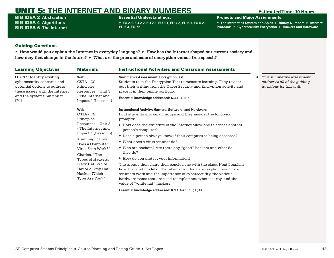BIG IDEA 2 **Abstraction** BIG IDEA 4 **Algorithms** BIG IDEA 6 **The Internet**

## Essential Understandings:

▶ **EU 2.1, EU 2.2, EU 2.3, EU 3.1, EU 4.2, EU 6.1, EU 6.2, EU 6.3, EU 7.5**

Projects and Major Assignments:

▶ **The Internet as System and Spirit** ▶ **Binary Numbers** ▶ **Internet Protocols** ▶ **Cybersecurity Encryption** ▶ **Hackers and Hardware**

## Guiding Questions

| <b>Learning Objectives</b>                                                                                                                                          | <b>Materials</b>                                                                                                                                                                                                                                                                     | <b>Instructional Activities and Classroom Assessments</b>                                                                                                                                                                                                                                                                                                                                                                                                                                                                                                                                                                                                                                                                                                                                                                                                                             |                                                                                       |
|---------------------------------------------------------------------------------------------------------------------------------------------------------------------|--------------------------------------------------------------------------------------------------------------------------------------------------------------------------------------------------------------------------------------------------------------------------------------|---------------------------------------------------------------------------------------------------------------------------------------------------------------------------------------------------------------------------------------------------------------------------------------------------------------------------------------------------------------------------------------------------------------------------------------------------------------------------------------------------------------------------------------------------------------------------------------------------------------------------------------------------------------------------------------------------------------------------------------------------------------------------------------------------------------------------------------------------------------------------------------|---------------------------------------------------------------------------------------|
| LO 6.3.1: Identify existing<br>cybersecurity concerns and<br>potential options to address<br>these issues with the Internet<br>and the systems built on it.<br>[P1] | <b>Web</b><br>CSTA - CS<br>Principles<br>Resources, "Unit 3<br>- The Internet and<br>Impact," (Lesson 4)                                                                                                                                                                             | <b>Summative Assessment: Encryption Test</b><br>Students take the Encryption Test to measure learning. They revise/<br>edit their writing from the Cyber Security and Encryption activity and<br>place it in their online portfolio.<br>Essential knowledge addressed: 6.3.1 C, H-K                                                                                                                                                                                                                                                                                                                                                                                                                                                                                                                                                                                                   | This summative assessment<br>addresses all of the quiding<br>questions for this unit. |
|                                                                                                                                                                     | <b>Web</b><br>CSTA - CS<br>Principles<br>Resources, "Unit 3<br>- The Internet and<br>Impact," (Lesson 5)<br>Kuenning, "How<br>Does a Computer<br>Virus Scan Work?"<br>Charles, "The<br>Types of Hackers:<br>Black Hat, White<br>Hat or a Grey Hat<br>Hacker, Which<br>Type Are You?" | <b>Instructional Activity: Hackers, Software, and Hardware</b><br>I put students into small groups and they answer the following<br>prompts:<br>$\triangleright$ How does the structure of the Internet allow one to access another<br>person's computer?<br>▶ Does a person always know if their computer is being accessed?<br>$\triangleright$ What does a virus scanner do?<br>▶ Who are hackers? Are there any "good" hackers and what do<br>they do?<br>► How do you protect your information?<br>The groups then share their conclusions with the class. Next I explain<br>how the trust model of the Internet works. I also explain how virus-<br>scanners work and the importance of cybersecurity, the various<br>hardware items that are used to implement cybersecurity, and the<br>value of "white hat" hackers.<br>Essential knowledge addressed: 6.3.1 A-C, E, F, L, M |                                                                                       |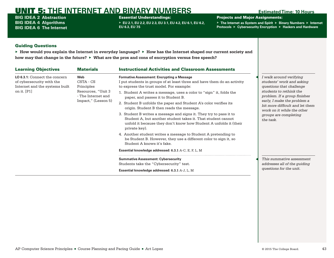BIG IDEA 2 **Abstraction** BIG IDEA 4 **Algorithms** BIG IDEA 6 **The Internet**

## Essential Understandings:

▶ **EU 2.1, EU 2.2, EU 2.3, EU 3.1, EU 4.2, EU 6.1, EU 6.2, EU 6.3, EU 7.5**

Projects and Major Assignments:

▶ **The Internet as System and Spirit** ▶ **Binary Numbers** ▶ **Internet Protocols** ▶ **Cybersecurity Encryption** ▶ **Hackers and Hardware**

## Guiding Questions

| <b>Learning Objectives</b>                                                                   | <b>Materials</b>                         | <b>Instructional Activities and Classroom Assessments</b>                                                                                                                                                                                          |                                                                                              |
|----------------------------------------------------------------------------------------------|------------------------------------------|----------------------------------------------------------------------------------------------------------------------------------------------------------------------------------------------------------------------------------------------------|----------------------------------------------------------------------------------------------|
| LO 6.3.1: Connect the concern<br>of cybersecurity with the<br>Internet and the systems built | <b>Web</b><br>CSTA - CS<br>Principles    | <b>Formative Assessment: Encrypting a Message</b><br>I put students in groups of at least three and have them do an activity<br>to express the trust model. For example:                                                                           | I walk around verifying<br>students' work and asking<br>questions that challenge             |
| on it. [P1]                                                                                  | Resources, "Unit 3<br>- The Internet and | 1. Student A writes a message, uses a color to "sign" it, folds the<br>paper, and passes it to Student B.<br>Impact," (Lesson 5)<br>2. Student B unfolds the paper and Student A's color verifies its<br>origin. Student B then reads the message. | students to rethink the<br>problem. If a group finishes                                      |
|                                                                                              |                                          |                                                                                                                                                                                                                                                    | early, I make the problem a<br>bit more difficult and let them<br>work on it while the other |
|                                                                                              |                                          | 3. Student B writes a message and signs it. They try to pass it to<br>Student A, but another student takes it. That student cannot<br>unfold it because they don't know how Student A unfolds it (their<br>private key).                           | groups are completing<br>the task.                                                           |
|                                                                                              |                                          | 4. Another student writes a message to Student A pretending to<br>be Student B. However, they use a different color to sign it, so<br>Student A knows it's fake.                                                                                   |                                                                                              |
|                                                                                              |                                          | <b>Essential knowledge addressed: 6.3.1 A-C, E, F, L, M</b>                                                                                                                                                                                        |                                                                                              |
|                                                                                              |                                          | <b>Summative Assessment: Cybersecurity</b><br>Students take the "Cybersecurity" test.                                                                                                                                                              | This summative assessment<br>addresses all of the quiding                                    |
|                                                                                              |                                          | Essential knowledge addressed: 6.3.1 A-J, L, M                                                                                                                                                                                                     | questions for the unit.                                                                      |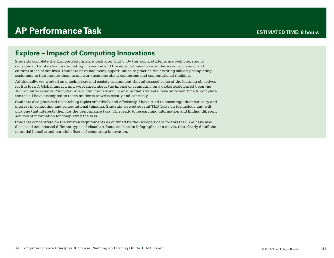# **AP Performance Task**

# **Explore – Impact of Computing Innovations**

Students complete the Explore Performance Task after Unit 5. By this point, students are well prepared to consider and write about a computing innovation and the impact it may have on the social, economic, and cultural areas of our lives. Students have had many opportunities to practice their writing skills by completing assignments that require them to answer questions about computing and computational thinking.

Additionally, we worked on a technology and society assignment that addressed some of the learning objectives for Big Idea 7: Global Impact, and we learned about the impact of computing on a global scale based upon the *AP Computer Science Principles Curriculum Framework*. To ensure that students have sufficient time to complete the task, I have attempted to teach students to write clearly and concisely.

Students also practiced researching topics effectively and efficiently. I have tried to encourage their curiosity and interest in computing and computational thinking. Students viewed several TED Talks on technology and will pick one that interests them for the performance task. This leads to researching information and finding different sources of information for completing the task.

Students concentrate on the written requirements as outlined by the College Board for this task. We have also discussed and created different types of visual artifacts, such as an infographic or a movie, that clearly detail the potential benefits and harmful effects of computing innovation.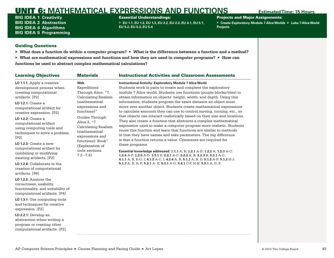BIG IDEA 1 **Creativity** BIG IDEA 2 **Abstraction** BIG IDEA 4 **Algorithms** BIG IDEA 5 **Programming** Essential Understandings:

▶ **EU 1.1, EU 1.2, EU 1.3, EU 2.2, EU 2.3, EU 4.1, EU 5.1, EU 5.2, EU 5.3, EU 5.4**

Projects and Major Assignments:

▶ Create Exploratory Module 7 Alice Worlds ▶ Labs 7 Alice World **Projects**

- ▶ **What does a function do within a computer program?** ▶ **What is the difference between a function and a method?**
- ▶ **What are mathematical expressions and functions and how they are used in computer programs?** ▶ **How can functions be used to abstract complex mathematical calculations?**

| <b>Learning Objectives</b>                                                                                                                                                                                               | <b>Materials</b>                                                                                                                                     | <b>Instructional Activities and Classroom Assessments</b>                                                                                                                                                                                                                                                                                                                                                                                                                                                                                                                         |
|--------------------------------------------------------------------------------------------------------------------------------------------------------------------------------------------------------------------------|------------------------------------------------------------------------------------------------------------------------------------------------------|-----------------------------------------------------------------------------------------------------------------------------------------------------------------------------------------------------------------------------------------------------------------------------------------------------------------------------------------------------------------------------------------------------------------------------------------------------------------------------------------------------------------------------------------------------------------------------------|
| LO 1.1.1: Apply a creative<br>development process when<br>creating computational<br>artifacts. [P2]<br><b>LO 1.2.1:</b> Create a<br>computational artifact for<br>creative expression. [P2]<br><b>LO 1.2.2:</b> Create a | Web<br>Expeditions<br>Through Alice, "7.<br><b>Calculating Realism</b><br><i>(mathematical</i> )<br>expressions and<br>functions)"<br>Guides Through | <b>Instructional Activity: Exploratory Module 7 Alice World</b><br>Students work in pairs to create and complete the exploratory<br>module 7 Alice world. Students use functions (purple blocks/tiles) to<br>obtain information on objects' height, width, and depth. Using this<br>information, students program the exact distance an object must<br>move over another object. Students create mathematical expressions<br>to calculate amounts they can use to control moving, turning, etc., so<br>that objects can interact realistically based on their size and locations. |
| computational artifact<br>using computing tools and<br>techniques to solve a problem.<br>[P2]                                                                                                                            | Alice 2, "7.<br><b>Calculating Realism</b><br><i>(mathematical)</i><br>expressions and<br>functions): Book"                                          | They also create a function that abstracts a complex mathematical<br>expression used to make a computer program more realistic. Students<br>reuse this function and learn that functions are similar to methods<br>in that they have names and take parameters. The big difference<br>is that a function returns a value. Comments are required for                                                                                                                                                                                                                               |
| $LO$ 1.2.3: Create a new<br>computational artifact by<br>combining or modifying<br>existing artifacts. [P2]                                                                                                              | (Explanation of<br>code sections<br>$7.2 - 7.6$                                                                                                      | these programs.<br>Essential knowledge addressed: 1.1.1 A, B; 1.2.1 A-D; 1.2.2 A; 1.2.3 A-C;<br>1.2.4 A-F; 1.2.5 A-D; 1.3.1 D; 2.2.1 A-C; 2.2.2 A, B; 2.2.3 B; 2.3.1 A-C;<br>4.1.1 A, B, E-G, I; 4.1.2 A-C, I; 4.2.4 A, B; 5.1.1 A, B, D; 5.1.2 A-F; 5.1.2 H-J;                                                                                                                                                                                                                                                                                                                   |
| LO 1.2.4: Collaborate in the<br>creation of computational<br>artifacts. [P6]                                                                                                                                             |                                                                                                                                                      | 5.1.3 A, B, D, F; 5.2.1 A- E; 5.3.1 A-G; 5.4.1 C-F, H-N; 5.5.1 A, D, E                                                                                                                                                                                                                                                                                                                                                                                                                                                                                                            |
| LO 1.2.5: Analyze the<br>correctness, usability,<br>functionality, and suitability of<br>computational artifacts. [P4]                                                                                                   |                                                                                                                                                      |                                                                                                                                                                                                                                                                                                                                                                                                                                                                                                                                                                                   |
| LO 1.3.1: Use computing tools<br>and techniques for creative<br>expression. [P2]                                                                                                                                         |                                                                                                                                                      |                                                                                                                                                                                                                                                                                                                                                                                                                                                                                                                                                                                   |
| LO 2.2.1: Develop an<br>abstraction when writing a<br>program or creating other<br>computational artifacts. [P2]                                                                                                         |                                                                                                                                                      |                                                                                                                                                                                                                                                                                                                                                                                                                                                                                                                                                                                   |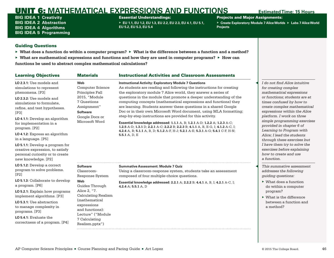BIG IDEA 1 **Creativity** BIG IDEA 2 **Abstraction** BIG IDEA 4 **Algorithms** BIG IDEA 5 **Programming**

## Essential Understandings:

▶ **EU 1.1, EU 1.2, EU 1.3, EU 2.2, EU 2.3, EU 4.1, EU 5.1, EU 5.2, EU 5.3, EU 5.4**

Projects and Major Assignments:

▶ Create Exploratory Module 7 Alice Worlds ▶ Labs 7 Alice World **Projects**

- ▶ **What does a function do within a computer program?** ▶ **What is the difference between a function and a method?**
- ▶ **What are mathematical expressions and functions and how they are used in computer programs?** ▶ **How can functions be used to abstract complex mathematical calculations?**

| <b>Learning Objectives</b>                                                                                                   | <b>Materials</b>                                                                                   | <b>Instructional Activities and Classroom Assessments</b>                                                                                                                                                                                                                                                                                                                                                                                                                                                                                                                                            |                                                                                                                          |
|------------------------------------------------------------------------------------------------------------------------------|----------------------------------------------------------------------------------------------------|------------------------------------------------------------------------------------------------------------------------------------------------------------------------------------------------------------------------------------------------------------------------------------------------------------------------------------------------------------------------------------------------------------------------------------------------------------------------------------------------------------------------------------------------------------------------------------------------------|--------------------------------------------------------------------------------------------------------------------------|
| $LO$ 2.3.1: Use models and<br>simulations to represent<br>phenomena. [P3]                                                    | Web<br><b>Computer Science</b><br>Principles Fall                                                  | <b>Instructional Activity: Exploratory Module 7 Questions</b><br>As students are reading and following the instructions for creating<br>the exploratory module 7 Alice world, they answer a series of                                                                                                                                                                                                                                                                                                                                                                                                | I do not find Alice intuitive<br>for creating complex<br>mathematical expressions                                        |
| LO 2.3.2: Use models and<br>simulations to formulate.<br>refine, and test hypotheses.<br>[P3]                                | 2015, "Module<br>7 Questions<br>Assignment"<br><b>Software</b><br>Google Docs or<br>Microsoft Word | questions in the module that promote a deeper understanding of the<br>computing concepts (mathematical expressions and functions) they<br>are learning. Students answer these questions in a shared Google<br>Doc or in their own Microsoft Word document, using MLA formatting;<br>step-by-step instructions are provided for this activity.<br>Essential knowledge addressed: 1.1.1 A, B; 1.2.1 A-D; 1.2.2 A; 1.2.3 A-C;<br>1.2.5 A-D; 1.3.1 D; 2.2.1 A-C; 2.2.2 B; 2.2.3 B; 4.1.1 A, B, E-G, I; 4.1.2 A-C, I;<br>4.2.4 A, B; 5.1.1 A, B, D; 5.1.2 A-F, H-J; 5.2.1 A-E; 5.3.1 A-G; 5.4.1 C-F, H-N; | or functions; students are at<br>times confused by how to<br>create complex mathematical<br>expressions within the Alice |
| LO 4.1.1: Develop an algorithm<br>for implementation in a<br>program. [P2]                                                   |                                                                                                    |                                                                                                                                                                                                                                                                                                                                                                                                                                                                                                                                                                                                      | platform. I work on three<br>simple programming exercises<br>provided in chapter 6 of<br>Learning to Program with        |
| LO 4.1.2: Express an algorithm<br>in a language. [P5]                                                                        |                                                                                                    | 5.5.1 $A, D, E$                                                                                                                                                                                                                                                                                                                                                                                                                                                                                                                                                                                      | Alice: I lead the students<br>through these exercises but                                                                |
| LO 5.1.1: Develop a program for<br>creative expression, to satisfy<br>personal curiosity or to create<br>new knowledge. [P2] |                                                                                                    |                                                                                                                                                                                                                                                                                                                                                                                                                                                                                                                                                                                                      | I have them try to solve the<br>exercises before explaining<br>how to create and use<br>a function.                      |
| LO 5.1.2: Develop a correct<br>program to solve problems.<br>[P2]                                                            | <b>Software</b><br>Classroom-<br>Response System                                                   | <b>Summative Assessment: Module 7 Quiz</b><br>Using a classroom-response system, students take an assessment<br>composed of four multiple-choice questions.                                                                                                                                                                                                                                                                                                                                                                                                                                          | This summative assessment<br>addresses the following<br>quiding questions:                                               |
| LO 5.1.3: Collaborate to develop<br>a program. [P6]                                                                          | Web<br>Guides Through                                                                              | Essential knowledge addressed: 2.2.1 A; 2.2.2 B; 4.4.1 A, B, I; 4.2.1 A-C, I;<br>4.2.4 A; 5.5.1 A, D                                                                                                                                                                                                                                                                                                                                                                                                                                                                                                 | $\triangleright$ What does a function<br>do within a computer                                                            |
| LO 5.2.1: Explain how programs<br>implement algorithms. [P3]                                                                 | Alice 2, "7.<br><b>Calculating Realism</b>                                                         |                                                                                                                                                                                                                                                                                                                                                                                                                                                                                                                                                                                                      | program?<br>$\triangleright$ What is the difference                                                                      |
| LO 5.3.1: Use abstraction<br>to manage complexity in<br>programs. [P3]                                                       | <i>(mathematical</i><br>expressions<br>and functions):<br>Lecture" ("Module                        |                                                                                                                                                                                                                                                                                                                                                                                                                                                                                                                                                                                                      | between a function and<br>a method?                                                                                      |
| $LO$ 5.4.1: Evaluate the<br>correctness of a program. [P4]                                                                   | 7 Calculating<br>Realism.pptx")                                                                    |                                                                                                                                                                                                                                                                                                                                                                                                                                                                                                                                                                                                      |                                                                                                                          |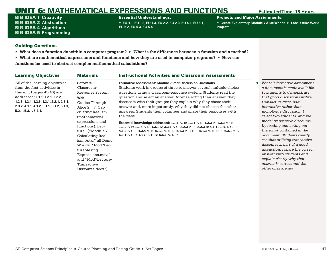BIG IDEA 1 **Creativity** BIG IDEA 2 **Abstraction** BIG IDEA 4 **Algorithms** BIG IDEA 5 **Programming**

### Essential Understandings:

▶ **EU 1.1, EU 1.2, EU 1.3, EU 2.2, EU 2.3, EU 4.1, EU 5.1, EU 5.2, EU 5.3, EU 5.4**

Projects and Major Assignments:

▶ **Create Exploratory Module 7 Alice Worlds** ▶ **Labs 7 Alice World Projects**

- ▶ **What does a function do within a computer program?** ▶ **What is the difference between a function and a method?**
- ▶ **What are mathematical expressions and functions and how they are used in computer programs?** ▶ **How can functions be used to abstract complex mathematical calculations?**

| <b>Learning Objectives</b>                                                                                                                                                                                                                         | <b>Materials</b>                                                                                                                                                                                                                                                                                                                                           | <b>Instructional Activities and Classroom Assessments</b>                                                                                                                                                                                                                                                                                                                                                                                                                                                                                                                                                                                                                                                                                                                                                          |                                                                                                                                                                                                                                                                                                                                                                                                                                                                                                                                                                                       |
|----------------------------------------------------------------------------------------------------------------------------------------------------------------------------------------------------------------------------------------------------|------------------------------------------------------------------------------------------------------------------------------------------------------------------------------------------------------------------------------------------------------------------------------------------------------------------------------------------------------------|--------------------------------------------------------------------------------------------------------------------------------------------------------------------------------------------------------------------------------------------------------------------------------------------------------------------------------------------------------------------------------------------------------------------------------------------------------------------------------------------------------------------------------------------------------------------------------------------------------------------------------------------------------------------------------------------------------------------------------------------------------------------------------------------------------------------|---------------------------------------------------------------------------------------------------------------------------------------------------------------------------------------------------------------------------------------------------------------------------------------------------------------------------------------------------------------------------------------------------------------------------------------------------------------------------------------------------------------------------------------------------------------------------------------|
| All of the learning objectives<br>from the first activities in<br>this unit (pages 45-46) are<br>addressed: 1.1.1, 1.2.1, 1.2.2,<br>1.2.3, 1.2.4, 1.2.5, 1.3.1, 2.2.1, 2.3.1,<br>2.3.2, 4.1.1, 4.1.2, 5.1.1, 5.1.2, 5.1.3,<br>5.2.1, 5.3.1, 5.4.1. | <b>Software</b><br>Classroom-<br>Response System<br>Web<br>Guides Through<br>Alice 2, "7. Cal-<br>culating Realism<br>(mathematical<br>expressions and<br>functions): Lec-<br>ture" ("Module 7<br>Calculating Real-<br>ism.pptx," all Demo<br>Worlds, "Mod7Lec-<br>tureMaking<br>Expressions.mov,"<br>and "Mod7Lecture-<br>Transactive<br>Discourse.docx") | <b>Formative Assessment: Module 7 Peer-Discussion Questions</b><br>Students work in groups of three to answer several multiple-choice<br>questions using a classroom-response system. Students read the<br>question and select an answer. After selecting their answer, they<br>discuss it with their groups; they explain why they chose their<br>answer and, more importantly, why they did not choose the other<br>answers. Students then volunteer and share their responses with<br>the class.<br><b>Essential knowledge addressed: 1.1.1</b> A, B; 1.2.1 A-D; 1.2.2 A; 1.2.3 A-C;<br>1.2.4 A-F; 1.2.5 A-D; 1.3.1 D; 2.2.1 A-C; 2.2.2 A, B; 2.2.3 B; 4.1.1 A, B, E-G, I;<br>4.1.2 A-C, I; 4.2.4 A, B; 5.1.1 A, B, D; 5.1.2 A-F, H-J; 5.1.3 A, B, D, F; 5.2.1 A-E;<br>5.3.1 A-G; 5.4.1 C-F, H-N; 5.5.1 A, D, E | For this formative assessment,<br>a document is made available<br>to students to demonstrate<br>that good discussions utilize<br>transactive discourse:<br>interactive rather than<br>monologue discussion. I<br>select two students, and we<br>model transactive discourse<br>by reading and acting out<br>the script contained in the<br>document. Students clearly<br>see that utilizing transactive<br>discourse is part of a good<br>discussion. I share the correct<br>answer with students and<br>explain clearly why that<br>answer is correct and the<br>other ones are not. |
|                                                                                                                                                                                                                                                    |                                                                                                                                                                                                                                                                                                                                                            |                                                                                                                                                                                                                                                                                                                                                                                                                                                                                                                                                                                                                                                                                                                                                                                                                    |                                                                                                                                                                                                                                                                                                                                                                                                                                                                                                                                                                                       |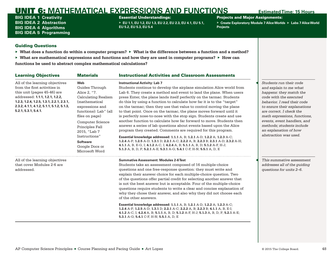BIG IDEA 1 **Creativity** BIG IDEA 2 **Abstraction** BIG IDEA 4 **Algorithms** BIG IDEA 5 **Programming**

### Essential Understandings:

▶ **EU 1.1, EU 1.2, EU 1.3, EU 2.2, EU 2.3, EU 4.1, EU 5.1, EU 5.2, EU 5.3, EU 5.4**

Projects and Major Assignments:

▶ Create Exploratory Module 7 Alice Worlds ▶ Labs 7 Alice World **Projects**

- ▶ **What does a function do within a computer program?** ▶ **What is the difference between a function and a method?**
- ▶ **What are mathematical expressions and functions and how they are used in computer programs?** ▶ **How can functions be used to abstract complex mathematical calculations?**

| <b>Learning Objectives</b>                                                                                                                                                                                                                         | <b>Materials</b>                                                                                                                                                                                                                                                                         | <b>Instructional Activities and Classroom Assessments</b>                                                                                                                                                                                                                                                                                                                                                                                                                                                                                                                                                                                                                                                                                                                                                                                                                                                                                                                                                                                                                                                   |                                                                                                                                                                                                                                                                                                                                                 |
|----------------------------------------------------------------------------------------------------------------------------------------------------------------------------------------------------------------------------------------------------|------------------------------------------------------------------------------------------------------------------------------------------------------------------------------------------------------------------------------------------------------------------------------------------|-------------------------------------------------------------------------------------------------------------------------------------------------------------------------------------------------------------------------------------------------------------------------------------------------------------------------------------------------------------------------------------------------------------------------------------------------------------------------------------------------------------------------------------------------------------------------------------------------------------------------------------------------------------------------------------------------------------------------------------------------------------------------------------------------------------------------------------------------------------------------------------------------------------------------------------------------------------------------------------------------------------------------------------------------------------------------------------------------------------|-------------------------------------------------------------------------------------------------------------------------------------------------------------------------------------------------------------------------------------------------------------------------------------------------------------------------------------------------|
| All of the learning objectives<br>from the first activities in<br>this unit (pages 45-46) are<br>addressed: 1.1.1, 1.2.1, 1.2.2,<br>1.2.3, 1.2.4, 1.2.5, 1.3.1, 2.2.1, 2.3.1,<br>2.3.2, 4.1.1, 4.1.2, 5.1.1, 5.1.2, 5.1.3,<br>5.2.1, 5.3.1, 5.4.1. | Web<br>Guides Through<br>Alice 2, "7.<br><b>Calculating Realism</b><br><i>(mathematical</i><br>expressions and<br>functions): Lab" (all<br>files on page)<br>Computer Science<br>Principles Fall<br>2015, "Lab 7<br>Instructions"<br><b>Software</b><br>Google Docs or<br>Microsoft Word | <b>Instructional Activity: Lab 7</b><br>Students continue to develop the airplane simulation Alice world from<br>Lab 6. They create a method and event to land the plane. When users<br>press Enter, the plane lands itself perfectly on the tarmac. Students<br>do this by using a function to calculate how far it is to the "target"<br>on the tarmac; then they use that value to control moving the plane<br>to that point. Once on the tarmac, the plane moves forward until it<br>is perfectly nose-to-nose with the stop sign. Students create and use<br>another function to calculate how far forward to move. Students then<br>answer a series of lab questions about events based upon the Alice<br>program they created. Comments are required for this program.<br>Essential knowledge addressed: 1.1.1 A, B; 1.2.1 A-D; 1.2.2 A; 1.2.3 A-C;<br>1.2.4 A-F; 1.2.5 A-D; 1.3.1 D; 2.2.1 A-C; 2.2.2 A, B; 2.2.3 B; 2.3.1 A-D; 2.3.2 A-H;<br>4.1.1 A, B, E-G, I; 4.1.2 A-C, I; 4.2.4 A, B; 5.1.1 A, B, D; 5.1.2 A-F, H-J;<br>5.1.3 A, B, D, F; 5.2.1 A-E; 5.3.1 A-G; 5.4.1 C-F, H-N; 5.5.1 A, D, E | Students run their code<br>and explain to me what<br>happens: they match the<br>code with the executed<br>behavior. I read their code<br>to ensure their explanations<br>are correct. I check the<br>math expressions, functions,<br>events, event handlers, and<br>methods; students include<br>an explanation of how<br>abstraction was used. |
| All of the learning objectives<br>that cover Modules 2-6 are<br>addressed.                                                                                                                                                                         |                                                                                                                                                                                                                                                                                          | <b>Summative Assessment: Modules 2-6 Test</b><br>Students take an assessment composed of 16 multiple-choice<br>questions and one free-response question: they must write and<br>explain their answer choice for each multiple-choice question. Two<br>of the questions offer partial credit for selecting another answer that<br>is not the best answer but is acceptable. Four of the multiple-choice<br>questions require students to write a clear and concise explanation of<br>why they chose their answer, and also why they did not choose each<br>of the other answers.<br>Essential knowledge addressed: 1.1.1 A, B; 1.2.1 A-D, 1.2.2 A; 1.2.3 A-C;<br>1.2.4 A-F; 1.2.5 A-D; 1.3.1 D; 2.2.1 A-C; 2.2.2 A, B; 2.2.3 B; 4.1.1 A, B, E-I;<br>4.1.2 A-C, I; 4.2.4 A, B; 5.1.1 A, B, D; 5.1.2 A-F, H-J; 5.1.3 A, B, D, F; 5.2.1 A-E;<br>5.3.1 A-G; 5.4.1 C-F, H-N; 5.5.1 A, D, E                                                                                                                                                                                                                        | This summative assessment<br>addresses all of the quiding<br>questions for units 2-6.                                                                                                                                                                                                                                                           |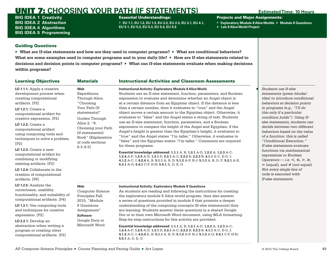# UNIT 7: **CHOOSING YOUR PATH (IF STATEMENTS) Estimated Time: 10 Hours**

BIG IDEA 1 **Creativity** BIG IDEA 2 **Abstraction** BIG IDEA 4 **Algorithms** BIG IDEA 5 **Programming**

## Essential Understandings:

▶ **EU 1.1, EU 1.2, EU 1.3, EU 2.2, EU 2.3, EU 3.1, EU 4.1, EU 5.1, EU 5.2, EU 5.3, EU 5.4, EU 5.5**

Projects and Major Assignments:

- ▶ **Exploratory Module 8 Alice Worlds** ▶ **Module 8 Questions**
- ▶ **Lab 8 Alice World Project**

## Guiding Questions

▶ **What are If-else statements and how are they used in computer programs?** ▶ **What are conditional behaviors? What are some examples used in computer programs and in your daily life?** ▶ **How are If-else statements related to decisions and decision points in computer programs?** ▶ **What can If-else statements evaluate when making decisions within programs?**

| <b>Learning Objectives</b>                                                                                                                                                                                                                                                                                                                                                                                                                                                                             | <b>Materials</b>                                                                                                                                                                                                        | <b>Instructional Activities and Classroom Assessments</b>                                                                                                                                                                                                                                                                                                                                                                                                                                                                                                                                                                                                                                                                                                                                                                                                                                                                                                                                                                                                                                                                                                                                            |                                                                                                                                                                                                                                                                                                                                                                                                                                                                                                                                                                                                                                                 |
|--------------------------------------------------------------------------------------------------------------------------------------------------------------------------------------------------------------------------------------------------------------------------------------------------------------------------------------------------------------------------------------------------------------------------------------------------------------------------------------------------------|-------------------------------------------------------------------------------------------------------------------------------------------------------------------------------------------------------------------------|------------------------------------------------------------------------------------------------------------------------------------------------------------------------------------------------------------------------------------------------------------------------------------------------------------------------------------------------------------------------------------------------------------------------------------------------------------------------------------------------------------------------------------------------------------------------------------------------------------------------------------------------------------------------------------------------------------------------------------------------------------------------------------------------------------------------------------------------------------------------------------------------------------------------------------------------------------------------------------------------------------------------------------------------------------------------------------------------------------------------------------------------------------------------------------------------------|-------------------------------------------------------------------------------------------------------------------------------------------------------------------------------------------------------------------------------------------------------------------------------------------------------------------------------------------------------------------------------------------------------------------------------------------------------------------------------------------------------------------------------------------------------------------------------------------------------------------------------------------------|
| LO 1.1.1: Apply a creative<br>development process when<br>creating computational<br>artifacts. [P2]<br><b>LO 1.2.1:</b> Create a<br>computational artifact for<br>creative expression. [P2]<br><b>LO 1.2.2:</b> Create a<br>computational artifact<br>using computing tools and<br>techniques to solve a problem.<br>[P2]<br>LO $1.2.3$ : Create a new<br>computational artifact by<br>combining or modifying<br>existing artifacts. [P2]<br>LO 1.2.4: Collaborate in the<br>creation of computational | Web<br>Expeditions<br>Through Alice,<br>"Choosing<br>Your Path (If<br>statements)"<br>Guides Through<br>Alice 2, "8.<br>Choosing your Path<br>(if statements):<br>Book" (Explanation<br>of code sections<br>$8.3 - 8.5$ | <b>Instructional Activity: Exploratory Module 8 Alice World</b><br>Students use an If-else statement, function, parameters, and Boolean<br>expression to evaluate and determine whether an Angel object is<br>at a certain distance from an Egyptian object. If the distance is less<br>than a certain number, then it evaluates to "true" and the Angel<br>object moves a certain amount to the Egyptian object. Otherwise, it<br>evaluates to "false" and the Angel states a string of text. Students<br>use an If-else statement, function, parameters, and a Boolean<br>expression to compare the height of the Angel and Egyptian; if the<br>Angel's height is greater than the Egyptian's height, it evaluates to<br>"true" and the Angel states "I'm taller." Otherwise, it evaluates to<br>"false" and the Egyptian states "I'm taller." Comments are required<br>for these programs.<br>Essential knowledge addressed: 1.1.1 A, B; 1.2.1 A-D, 1.2.2 A; 1.2.3 A-C;<br>1.2.4 A-F; 1.2.5 A-D; 1.3.1 D; 2.2.1 A-C; 2.2.2 B; 2.2.3 B; 4.1.1 A-C, E-G, I;<br>4.1.2 A-C, I; 4.2.4 A, B; 5.1.1 A, B, D; 5.1.2 A-F, H-J; 5.1.3 A, B, D, F; 5.2.1 A-E;<br>5.3.1 A-G; 5.4.1 C-F, H-N; 5.5.1 A, D, E, G | Students use If-else<br>statements (green blocks/<br>tiles) to introduce conditional<br>behaviors at decision points<br>in programs (e.g., "I'll do<br>this only if a particular<br>condition holds"). Using If-<br>else statements, students can<br>decide between two different<br>behaviors based on the value<br>of a function: this is called<br>"Conditional Execution."<br>If-else statements evaluate<br>functions via mathematical<br>expressions or Boolean<br>Operators - i.e. $\lt$ , $\leq$ , $\gt$ , $\geq$ ,<br>$=$ (equal), and $\neq$ (not equal).<br>Not every single line of<br>code is executed with<br>If-else statements. |
| artifacts. [P6]                                                                                                                                                                                                                                                                                                                                                                                                                                                                                        |                                                                                                                                                                                                                         |                                                                                                                                                                                                                                                                                                                                                                                                                                                                                                                                                                                                                                                                                                                                                                                                                                                                                                                                                                                                                                                                                                                                                                                                      |                                                                                                                                                                                                                                                                                                                                                                                                                                                                                                                                                                                                                                                 |
| LO 1.2.5: Analyze the<br>correctness, usability,<br>functionality, and suitability of<br>computational artifacts. [P4]<br>LO 1.3.1: Use computing tools<br>and techniques for creative<br>expression. [P2]<br>LO 2.2.1: Develop an<br>abstraction when writing a<br>program or creating other<br>computational artifacts. [P2]                                                                                                                                                                         | Web<br>Computer Science<br>Principles Fall<br>2015, "Module<br>8 Questions<br>Assignment"<br><b>Software</b><br>Google Docs or<br>Microsoft Word                                                                        | <b>Instructional Activity: Exploratory Module 8 Questions</b><br>As students are reading and following the instructions for creating<br>the exploratory module 8 Alice world program, they also answer<br>a series of questions provided in module 8 that promote a deeper<br>understanding of the computing concepts (If-else statements) they<br>are learning. Students answer these questions in a shared Google<br>Doc or in their own Microsoft Word document, using MLA formatting.<br>Step-by-step instructions for this activity are provided.<br>Essential knowledge addressed: 1.1.1 A, B; 1.2.1 A-D, 1.2.2 A; 1.2.3 A-C;<br>1.2.4 A-F; 1.2.5 A-D; 1.3.1 D; 2.2.1 A-C; 2.2.2 B; 2.2.3 B; 4.1.1 A-C, E-G, I;<br>4.1.2 A-C, I; 4.2.4 A, B; 5.1.1 A, B, D; 5.1.2 A-F, H-J; 5.1.3 A-G; 5.4.1 C-F, H-N;<br>5.5.1 A, D, E, G                                                                                                                                                                                                                                                                                                                                                                     |                                                                                                                                                                                                                                                                                                                                                                                                                                                                                                                                                                                                                                                 |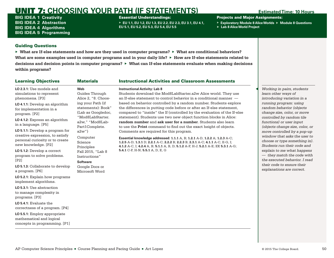# UNIT 7: **CHOOSING YOUR PATH (IF STATEMENTS) Estimated Time: 10 Hours**

BIG IDEA 1 **Creativity** BIG IDEA 2 **Abstraction** BIG IDEA 4 **Algorithms** BIG IDEA 5 **Programming**

## Essential Understandings:

▶ **EU 1.1, EU 1.2, EU 1.3, EU 2.2, EU 2.3, EU 3.1, EU 4.1, EU 5.1, EU 5.2, EU 5.3, EU 5.4, EU 5.5**

Projects and Major Assignments:

- ▶ **Exploratory Module 8 Alice Worlds** ▶ **Module 8 Questions**
- ▶ **Lab 8 Alice World Project**

## Guiding Questions

▶ **What are If-else statements and how are they used in computer programs?** ▶ **What are conditional behaviors? What are some examples used in computer programs and in your daily life?** ▶ **How are If-else statements related to decisions and decision points in computer programs?** ▶ **What can If-else statements evaluate when making decisions within programs?**

| <b>Learning Objectives</b>                                                                                                   | <b>Materials</b>                                                                                        | <b>Instructional Activities and Classroom Assessments</b>                                                                                                                                                                                                                                   |                                                                                                                                                        |
|------------------------------------------------------------------------------------------------------------------------------|---------------------------------------------------------------------------------------------------------|---------------------------------------------------------------------------------------------------------------------------------------------------------------------------------------------------------------------------------------------------------------------------------------------|--------------------------------------------------------------------------------------------------------------------------------------------------------|
| LO 2.3.1: Use models and<br>simulations to represent<br>phenomena. [P3]                                                      | Web<br>Guides Through<br>Alice 2, "8. Choos-                                                            | <b>Instructional Activity: Lab 8</b><br>Students download the Mod8LabStarter.a2w Alice world. They use<br>an If-else statement to control behavior in a conditional manner $-$                                                                                                              | Working in pairs, students<br>learn other ways of<br>introducing variation in a                                                                        |
| LO 4.1.1: Develop an algorithm<br>for implementation in a<br>program. [P2]                                                   | ing your Path (if<br>statements): Book"<br>(Lab as Googledoc,                                           | based on behavior controlled by a random number. Students explore<br>the differences in putting code before or after an If-else statement,<br>compared to "inside" the If (controlled by the evaluation of the If-else                                                                      | running program: using<br>random behavior (objects<br>change size, color, or move                                                                      |
| LO 4.1.2: Express an algorithm<br>in a language. [P5]                                                                        | "Mod8LabStarter.<br>a2w." "Mod8Lab-<br>Part1Complete.                                                   | statement). Students use two new object function blocks in Alice:<br>random number and ask user for a number. Students also learn<br>to use the <b>Print</b> command to find out the exact height of objects.                                                                               | controlled by random tile<br>functions) or user input<br>(objects change size, color, or                                                               |
| LO 5.1.1: Develop a program for<br>creative expression, to satisfy<br>personal curiosity or to create<br>new knowledge. [P2] | $a2w$ ")<br>Computer<br>Science                                                                         | Comments are required for this program.<br>Essential knowledge addressed: 1.1.1 A, B; 1.2.1 A-D, 1.2.2 A; 1.2.3 A-C;<br>1.2.5 A-D; 1.3.1 D; 2.2.1 A-C; 2.2.2 B; 2.2.3 B; 2.3.1 A-C; 4.1.1 A-C, E-G, I;<br>4.1.2 A-C, I; 4.2.4 A, B; 5.1.1 A, B, D; 5.1.2 A-F, H-J; 5.2.1 A-E; EK 5.3.1 A-G; | move controlled by a pop-up<br>window that asks the user to<br>choose or type something in).<br>Students run their code and                            |
| LO 5.1.2: Develop a correct<br>program to solve problems.<br>[P2]<br>LO 5.1.3: Collaborate to develop<br>a program. [P6]     | Principles<br>Fall 2015, "Lab 8<br>Instructions"<br><b>Software</b><br>Google Docs or<br>Microsoft Word | 5.4.1 C-F, H-N; 5.5.1 A, D, E, G                                                                                                                                                                                                                                                            | explain to me what happens<br>$-$ they match the code with<br>the executed behavior. I read<br>their code to ensure their<br>explanations are correct. |
| <b>LO 5.2.1:</b> Explain how programs<br>implement algorithms.                                                               |                                                                                                         |                                                                                                                                                                                                                                                                                             |                                                                                                                                                        |
| LO 5.3.1: Use abstraction<br>to manage complexity in<br>programs. [P3]                                                       |                                                                                                         |                                                                                                                                                                                                                                                                                             |                                                                                                                                                        |
| $LO$ 5.4.1: Evaluate the<br>correctness of a program. [P4]                                                                   |                                                                                                         |                                                                                                                                                                                                                                                                                             |                                                                                                                                                        |
| LO 5.5.1: Employ appropriate<br>mathematical and logical<br>concepts in programming. [P1]                                    |                                                                                                         |                                                                                                                                                                                                                                                                                             |                                                                                                                                                        |

## AP Computer Science Principles ■ Course Planning and Pacing Guide ■ Art Lopez © 2015 The College Board. 50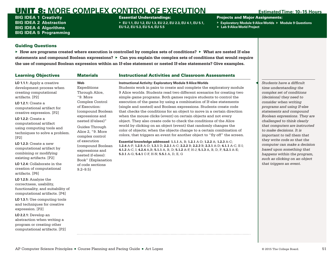BIG IDEA 1 **Creativity** BIG IDEA 2 **Abstraction** BIG IDEA 4 **Algorithms** BIG IDEA 5 **Programming** Essential Understandings:

▶ **EU 1.1, EU 1.2, EU 1.3, EU 2.2, EU 2.3, EU 4.1, EU 5.1, EU 5.2, EU 5.3, EU 5.4, EU 5.5**

Projects and Major Assignments:

- ▶ **Exploratory Module 9 Alice Worlds** ▶ **Module 9 Questions**
- ▶ **Lab 9 Alice World Project**

## Guiding Questions

▶ **How are programs created where execution is controlled by complex sets of conditions?** ▶ **What are nested If-else statements and compound Boolean expressions?** ▶ **Can you explain the complex sets of conditions that would require the use of compound Boolean expression within an If-else statement or nested If-else statements? Give examples.**

# Learning Objectives **Materials Instructional Activities and Classroom Assessments Instructional Activity: Exploratory Module 9 Alice Worlds**

**LO 1.1.1:** Apply a creative development process when creating computational artifacts. [P2]

**LO 1.2.1:** Create a computational artifact for creative expression. [P2]

**LO 1.2.2:** Create a computational artifact using computing tools and techniques to solve a problem. [P2]

**LO 1.2.3:** Create a new computational artifact by combining or modifying existing artifacts. [P2]

**LO 1.2.4:** Collaborate in the creation of computational artifacts. [P6]

**LO 1.2.5:** Analyze the correctness, usability, functionality, and suitability of computational artifacts. [P4]

**LO 1.3.1:** Use computing tools and techniques for creative expression. [P2]

**LO 2.2.1:** Develop an abstraction when writing a program or creating other computational artifacts. [P2]

**Web** Expeditions Through Alice, ["9. More](https://sites.google.com/a/eng.ucsd.edu/expeditions-through-alice/9-more-complex-control-of-execution-compound-boolean-expressions-and-nested-if-elses)  [Complex Control](https://sites.google.com/a/eng.ucsd.edu/expeditions-through-alice/9-more-complex-control-of-execution-compound-boolean-expressions-and-nested-if-elses)  [of Execution:](https://sites.google.com/a/eng.ucsd.edu/expeditions-through-alice/9-more-complex-control-of-execution-compound-boolean-expressions-and-nested-if-elses)  [\(compound Boolean](https://sites.google.com/a/eng.ucsd.edu/expeditions-through-alice/9-more-complex-control-of-execution-compound-boolean-expressions-and-nested-if-elses)  [expressions and](https://sites.google.com/a/eng.ucsd.edu/expeditions-through-alice/9-more-complex-control-of-execution-compound-boolean-expressions-and-nested-if-elses)  [nested if/elses\)"](https://sites.google.com/a/eng.ucsd.edu/expeditions-through-alice/9-more-complex-control-of-execution-compound-boolean-expressions-and-nested-if-elses)

Guides Through Alice 2, "[9. More](https://sites.google.com/a/eng.ucsd.edu/guides-through-alice-2/9-more-complex-control-of-execution-compound-boolean-expressions-and-nested-if-elses/9-1-book)  [complex control](https://sites.google.com/a/eng.ucsd.edu/guides-through-alice-2/9-more-complex-control-of-execution-compound-boolean-expressions-and-nested-if-elses/9-1-book)  [of execution](https://sites.google.com/a/eng.ucsd.edu/guides-through-alice-2/9-more-complex-control-of-execution-compound-boolean-expressions-and-nested-if-elses/9-1-book)  [\(compound Boolean](https://sites.google.com/a/eng.ucsd.edu/guides-through-alice-2/9-more-complex-control-of-execution-compound-boolean-expressions-and-nested-if-elses/9-1-book)  [expressions and](https://sites.google.com/a/eng.ucsd.edu/guides-through-alice-2/9-more-complex-control-of-execution-compound-boolean-expressions-and-nested-if-elses/9-1-book)  [nested if-elses\):](https://sites.google.com/a/eng.ucsd.edu/guides-through-alice-2/9-more-complex-control-of-execution-compound-boolean-expressions-and-nested-if-elses/9-1-book)  [Book](https://sites.google.com/a/eng.ucsd.edu/guides-through-alice-2/9-more-complex-control-of-execution-compound-boolean-expressions-and-nested-if-elses/9-1-book)" (Explanation of code sections 9.2–9.5)

Students work in pairs to create and complete the exploratory module 9 Alice worlds. Students read two different scenarios for creating two simple game programs. Both games require students to control the execution of the game by using a combination of If-else statements (single and nested) and Boolean expressions. Students create code that checks the conditions for an object to move in a certain direction when the mouse clicks (event) on certain objects and not every object. They also create code to check the conditions of the Alice world by clicking on an object (event) that randomly changes the color of objects; when the objects change to a certain combination of colors, that triggers an event for another object to "fly off" the screen.

**Essential knowledge addressed: 1.1.1** A, B; **1.2.1** A-D; **1.2.2** A; **1.2.3** A-C; **1.2.4** A-F; **1.2.5** A-D; **1.3.1** D; **2.2.1** A-C; **2.2.2** B; **2.2.3** B; **2.3.1** A-D; **4.1.1** A-C, E-I; **4.1.2** A-C, I; **4.2.4** A,B; **5.1.1** A, B, D; **5.1.2** A-F, H-J; **5.1.3** A, B, D, F; **5.2.1** A-E; **5.3.1** A-G; **5.4.1** C-F, H-N; **5.5.1** A, D, E, G

◀ *Students have a difficult time understanding the complex set of conditions (decisions) they need to consider when writing programs and using If-else statements and compound Boolean expressions. They are challenged to think clearly that computers are instructed to make decisions. It is important to tell them that they write code so that the computer can make a decision based upon something that happens within the program, such as clicking on an object that triggers an event.*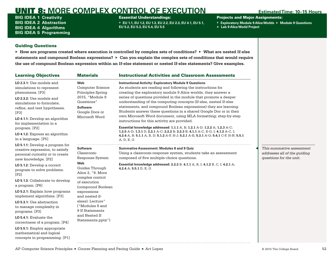BIG IDEA 1 **Creativity** BIG IDEA 2 **Abstraction** BIG IDEA 4 **Algorithms** BIG IDEA 5 **Programming** Essential Understandings:

▶ **EU 1.1, EU 1.2, EU 1.3, EU 2.2, EU 2.3, EU 4.1, EU 5.1, EU 5.2, EU 5.3, EU 5.4, EU 5.5**

Projects and Major Assignments:

- ▶ **Exploratory Module 9 Alice Worlds** ▶ **Module 9 Questions**
- ▶ **Lab 9 Alice World Project**

## Guiding Questions

▶ **How are programs created where execution is controlled by complex sets of conditions?** ▶ **What are nested If-else statements and compound Boolean expressions?** ▶ **Can you explain the complex sets of conditions that would require the use of compound Boolean expression within an If-else statement or nested If-else statements? Give examples.**

| <b>Learning Objectives</b>                                                                                                                                                                                 | <b>Materials</b>                                                                                                                            | <b>Instructional Activities and Classroom Assessments</b>                                                                                                                                                                                                                                                                                                                                                                                                                                                                                         |                                                                                      |
|------------------------------------------------------------------------------------------------------------------------------------------------------------------------------------------------------------|---------------------------------------------------------------------------------------------------------------------------------------------|---------------------------------------------------------------------------------------------------------------------------------------------------------------------------------------------------------------------------------------------------------------------------------------------------------------------------------------------------------------------------------------------------------------------------------------------------------------------------------------------------------------------------------------------------|--------------------------------------------------------------------------------------|
| LO 2.3.1: Use models and<br>simulations to represent<br>phenomena. [P3]<br>LO 2.3.2: Use models and<br>simulations to formulate.<br>refine, and test hypotheses.<br>[P3]<br>LO 4.1.1: Develop an algorithm | Web<br><b>Computer Science</b><br>Principles Spring<br>2015, "Module 9<br>Questions"<br><b>Software</b><br>Google Docs or<br>Microsoft Word | <b>Instructional Activity: Exploratory Module 9 Questions</b><br>As students are reading and following the instructions for<br>creating the exploratory module 9 Alice worlds, they answer a<br>series of questions provided in the module that promote a deeper<br>understanding of the computing concepts (If-else, nested If-else<br>statements, and compound Boolean expressions) they are learning.<br>Students answer these questions in a shared Google Doc or in their<br>own Microsoft Word document, using MLA formatting; step-by-step |                                                                                      |
| for implementation in a<br>program. [P2]                                                                                                                                                                   |                                                                                                                                             | instructions for this activity are provided.<br>Essential knowledge addressed: 1.1.1 A, B; 1.2.1 A-D; 1.2.2 A; 1.2.3 A-C;                                                                                                                                                                                                                                                                                                                                                                                                                         |                                                                                      |
| LO 4.1.2: Express an algorithm<br>in a language. [P5]                                                                                                                                                      |                                                                                                                                             | 1.2.5 A-D; 1.3.1 D; 2.2.1 A-C; 2.2.2 B; 2.2.3 B; 4.1.1 A-C, E-G, I; 4.1.2 A-C, I;<br>4.2.4 A, B; 5.1.1 A, B, D; 5.1.2 A-F, H-J; 5.2.1 A-E; 5.3.1 A-G; 5.4.1 C-F, H-N; 5.5.1<br>A, D, E, G                                                                                                                                                                                                                                                                                                                                                         |                                                                                      |
| LO 5.1.1: Develop a program for<br>creative expression, to satisfy<br>personal curiosity or to create<br>new knowledge. [P2]                                                                               | <b>Software</b><br>Classroom-<br>Response System                                                                                            | Summative Assessment: Modules 8 and 9 Quiz<br>Using a classroom-response system, students take an assessment<br>composed of five multiple-choice questions.                                                                                                                                                                                                                                                                                                                                                                                       | This summative assessment<br>addresses all of the quiding<br>questions for the unit. |
| LO 5.1.2: Develop a correct<br>program to solve problems.<br>[P2]                                                                                                                                          | Web<br>Guides Through<br>Alice 2, "9. More                                                                                                  | Essential knowledge addressed: 2.2.2 B; 4.1.1 A, B, I; 4.1.2 B, C, I; 4.2.1 A;<br>4.2.4 A; 5.5.1 D, E, G                                                                                                                                                                                                                                                                                                                                                                                                                                          |                                                                                      |
| LO 5.1.3: Collaborate to develop<br>a program. [P6]                                                                                                                                                        | complex control<br>of execution<br>(compound Boolean                                                                                        |                                                                                                                                                                                                                                                                                                                                                                                                                                                                                                                                                   |                                                                                      |
| LO 5.2.1: Explain how programs<br>implement algorithms. [P3]                                                                                                                                               | expressions<br>and nested if-                                                                                                               |                                                                                                                                                                                                                                                                                                                                                                                                                                                                                                                                                   |                                                                                      |
| LO 5.3.1: Use abstraction<br>to manage complexity in<br>programs. [P3]                                                                                                                                     | elses): Lecture"<br>("Modules 8 and<br>9 If Statements                                                                                      |                                                                                                                                                                                                                                                                                                                                                                                                                                                                                                                                                   |                                                                                      |
| LO 5.4.1: Evaluate the<br>correctness of a program. [P4]                                                                                                                                                   | and Nested If<br>Statements.pptx")                                                                                                          |                                                                                                                                                                                                                                                                                                                                                                                                                                                                                                                                                   |                                                                                      |
| LO 5.5.1: Employ appropriate<br>mathematical and logical<br>concepts in programming. [P1]                                                                                                                  |                                                                                                                                             |                                                                                                                                                                                                                                                                                                                                                                                                                                                                                                                                                   |                                                                                      |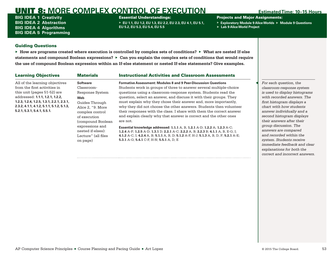BIG IDEA 1 **Creativity** BIG IDEA 2 **Abstraction** BIG IDEA 4 **Algorithms** BIG IDEA 5 **Programming** Essential Understandings:

▶ **EU 1.1, EU 1.2, EU 1.3, EU 2.2, EU 2.3, EU 4.1, EU 5.1, EU 5.2, EU 5.3, EU 5.4, EU 5.5**

Projects and Major Assignments:

- ▶ **Exploratory Module 9 Alice Worlds** ▶ **Module 9 Questions**
- ▶ **Lab 9 Alice World Project**

## Guiding Questions

▶ **How are programs created where execution is controlled by complex sets of conditions?** ▶ **What are nested If-else statements and compound Boolean expressions?** ▶ **Can you explain the complex sets of conditions that would require the use of compound Boolean expression within an If-else statement or nested If-else statements? Give examples.**

| <b>Learning Objectives</b>                | <b>Materials</b>    | <b>Instructional Activities and Classroom Assessments</b>                             |                               |
|-------------------------------------------|---------------------|---------------------------------------------------------------------------------------|-------------------------------|
| All of the learning objectives            | <b>Software</b>     | <b>Formative Assessment: Modules 8 and 9 Peer-Discussion Questions</b>                | For each question, the        |
| from the first activities in              | Classroom-          | Students work in groups of three to answer several multiple-choice                    | classroom-response system     |
| this unit (pages 51-52) are               | Response System     | questions using a classroom-response system. Students read the                        | is used to display histograms |
| addressed: 1.1.1, 1.2.1, 1.2.2,           | Web                 | question, select an answer, and discuss it with their groups. They                    | with recorded answers. The    |
| 1.2.3, 1.2.4, 1.2.5, 1.3.1, 2.2.1, 2.3.1, | Guides Through      | must explain why they chose their answer and, more importantly,                       | first histogram displays a    |
| 2.3.2, 4.1.1, 4.1.2, 5.1.1, 5.1.2, 5.1.3, | Alice 2. "9. More   | why they did not choose the other answers. Students then volunteer                    | chart with how students       |
| 5.2.1, 5.3.1, 5.4.1, 5.5.1.               | complex control     | their responses with the class. I share with them the correct answer                  | answer individually and a     |
|                                           | of execution        | and explain clearly why that answer is correct and the other ones                     | second histogram displays     |
|                                           | (compound Boolean)  | are not.                                                                              | their answers after their     |
|                                           | expressions and     | Essential knowledge addressed: 1.1.1 A, B, 1.2.1 A-D; 1.2.2 A; 1.2.3 A-C;             | group discussion. The         |
|                                           | nested if-elses):   | 1.2.4 A-F; 1.2.5 A-D; 1.3.1 D; 2.2.1 A-C; 2.2.2 A, B; 2.2.3 B; 4.1.1 A, B, E-G, I;    | answers are compared          |
|                                           | Lecture" (all files | 4.1.2 A-C, I; 4.2.4 A, B; 5.1.1 A, B, D; 5.1.2 A-F, H-J; 5.1.3 A, B, D, F; 5.2.1 A-E; | and recorded within the       |
|                                           | on page)            | 5.3.1 A-G; 5.4.1 C-F, H-N; 5.5.1 A, D, E                                              | system. Students receive      |
|                                           |                     |                                                                                       | immediate feedback and clear  |

*explanations for both the correct and incorrect answers.*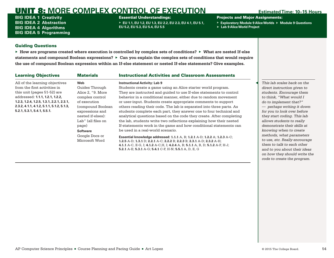BIG IDEA 1 **Creativity** BIG IDEA 2 **Abstraction** BIG IDEA 4 **Algorithms** BIG IDEA 5 **Programming** Essential Understandings:

▶ **EU 1.1, EU 1.2, EU 1.3, EU 2.2, EU 2.3, EU 4.1, EU 5.1, EU 5.2, EU 5.3, EU 5.4, EU 5.5**

Projects and Major Assignments:

- ▶ **Exploratory Module 9 Alice Worlds** ▶ **Module 9 Questions**
- ▶ **Lab 9 Alice World Project**

## Guiding Questions

▶ **How are programs created where execution is controlled by complex sets of conditions?** ▶ **What are nested If-else statements and compound Boolean expressions?** ▶ **Can you explain the complex sets of conditions that would require the use of compound Boolean expression within an If-else statement or nested If-else statements? Give examples.**

| <b>Learning Objectives</b>                  | <b>Materials</b>   | <b>Instructional Activities and Classroom Assessments</b>                      |        |
|---------------------------------------------|--------------------|--------------------------------------------------------------------------------|--------|
| All of the learning objectives              | Web                | <b>Instructional Activity: Lab 9</b>                                           | This l |
| from the first activities in                | Guides Through     | Students create a game using an Alice starter world program.                   | direct |
| this unit (pages 51-52) are                 | Alice 2. "9. More  | They are instructed and quided to use If-else statements to control            | stude  |
| addressed: 1.1.1, 1.2.1, 1.2.2,             | complex control    | behavior in a conditional manner, either due to random movement                | to thi |
| $1.2.3, 1.2.4, 1.2.5, 1.3.1, 2.2.1, 2.3.1,$ | of execution       | or user-input. Students create appropriate comments to support                 | do to  |
| $2.3.2, 4.1.1, 4.1.2, 5.1.1, 5.1.2, 5.1.3,$ | (compound Boolean) | others reading their code. The lab is separated into three parts. As           | $-$ pe |
| 5.2.1, 5.3.1, 5.4.1, 5.5.1.                 | expressions and    | students complete each part, they answer one to four technical and             | for yc |
|                                             | nested if-elses):  | analytical questions based on the code they create. After completing           | they : |
|                                             | Lab" (all files on | the lab, students write two reflections explaining how their nested            | allow  |
|                                             | page)              | If-statements work in the game and how conditional statements can              | demo   |
|                                             | <b>Software</b>    | be used in a real-world scenario.                                              | know   |
|                                             | Google Docs or     | Essential knowledge addressed: 1.1.1 A, B; 1.2.1 A-D; 1.2.2 A; 1.2.3 A-C;      | meth   |
|                                             | Microsoft Word     | 1.2.5 A-D; 1.3.1 D; 2.2.1 A-C; 2.2.2 B; 2.2.3 B; 2.3.1 A-D; 2.3.2 A-H;         | to use |
|                                             |                    | 4.1.1 A-C, E-G, I; 4.1.2 A-C, H, I; 4.2.4 A, B; 5.1.1 A, B, D; 5.1.2 A-F, H-J; | them   |
|                                             |                    | 5.2.1 A-E; 5.3.1 A-G; 5.4.1 C-F, H-N; 5.5.1 A, D, E, G                         | and t  |

◀ *This lab scales back on the direct instruction given to students. Encourage them to think, "What would I implement that?" — perhaps writing it down for you to look over before they start coding. This lab allows students to really demonstrate their skills at knowing when to create methods, what parameters*   $e$ , etc. Really encourage  $to$  talk to each other *and to you about their ideas on how they should write the code to create the program.*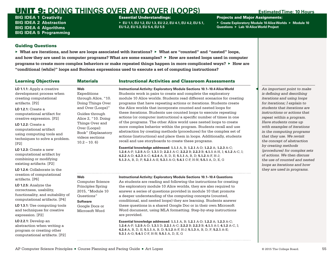BIG IDEA 1 **Creativity** BIG IDEA 2 **Abstraction** BIG IDEA 4 **Algorithms** BIG IDEA 5 **Programming** Essential Understandings:

▶ **EU 1.1, EU 1.2, EU 1.3, EU 2.2, EU 4.1, EU 4.2, EU 5.1, EU 5.2, EU 5.3, EU 5.4, EU 5.5**

Projects and Major Assignments:

▶ **Create Exploratory Module 10 Alice Worlds** ▶ **Module 10 Questions** ▶ **Lab 10 Alice World Project**

## Guiding Questions

▶ **What are iterations, and how are loops associated with iterations?** ▶ **What are "counted" and "nested" loops, and how they are used in computer programs? What are some examples?** ▶ **How are nested loops used in computer programs to create more complex behaviors or make repeated things happen in more complicated ways?** ▶ **How are "conditional (while)" loops and Boolean expressions used to execute a set of computing instructions?**

# Learning Objectives **Materials Instructional Activities and Classroom Assessments**

**LO 1.1.1:** Apply a creative development process when creating computational artifacts. [P2]

**LO 1.2.1:** Create a computational artifact for creative expression. [P2]

**LO 1.2.2:** Create a computational artifact using computing tools and techniques to solve a problem. [P2]

**LO 1.2.3:** Create a new computational artifact by combining or modifying existing artifacts. [P2]

**LO 1.2.4:** Collaborate in the creation of computational artifacts. [P6]

**LO 1.2.5:** Analyze the correctness, usability, functionality, and suitability of computational artifacts. [P4]

**LO 1.3.1:** Use computing tools and techniques for creative expression. [P2]

**LO 2.2.1:** Develop an abstraction when writing a program or creating other computational artifacts. [P2] through Alice, "10. [Doing Things Over](https://sites.google.com/a/eng.ucsd.edu/expeditions-through-alice/doing-things-over-and-over)  [and Over \(Loops\)"](https://sites.google.com/a/eng.ucsd.edu/expeditions-through-alice/doing-things-over-and-over) Alice 2, "[10. Doing](https://sites.google.com/a/eng.ucsd.edu/guides-through-alice-2/10-doing-things-over-and-over-loops/10-1-book)  [Book](https://sites.google.com/a/eng.ucsd.edu/guides-through-alice-2/10-doing-things-over-and-over-loops/10-1-book)" (Explanatory **Instructional Activity: Exploratory Module Sections 10.1–10.4 Alice World** Students work in pairs to create and complete the exploratory module 10 Alice worlds. Students read different scenarios for creating programs that have repeating actions or iterations. Students create the Alice worlds that incorporate counted and nested loops for these iterations. Students use counted loops to execute repeating actions (or computer instructions) a specific number of times in one of the programs. The other Alice world uses nested loops to create more complex behavior within the program. Students recall and use abstraction by creating methods (procedures) for the complex set of actions (instructions) and place them in loops. Additionally, students recall and use storyboards to create these programs.

> **Essential knowledge addressed: 1.1.1** A, B; **1.2.1** A-D; **1.2.2** A; **1.2.3** A-C; **1.2.4** A-F; **1.2.5** A-D; **1.3.1** D; **2.2.1** A-C; **2.2.2** B; **2.2.3** B; **4.1.1** A-H, I; **4.1.2** A-C, I; **4.2.2** A-D; **4.2.3** A-C; **4.2.4** A, B, D, E; **5.1.1** A, B, D; **5.1.2** A-F, H-J; **5.1.3** A, B, D, F; **5.2.1** A-E; **5.3.1** A-G; **5.4.1** C-F, H-N; **5.5.1** A, D, E, G

### **Instructional Activity: Exploratory Module Sections 10.1–10.4 Questions**

As students are reading and following the instructions for creating the exploratory module 10 Alice worlds, they are also required to answer a series of questions provided in module 10 that promote a deeper understanding of the computing concepts (counted, conditional, and nested loops) they are learning. Students answer these questions in a shared Google Doc or in their own Microsoft Word document, using MLA formatting. Step-by-step instructions are provided.

**Essential knowledge addressed: 1.1.1** A, B; **1.2.1** A-D; **1.2.2** A; **1.2.3** A-C; **1.2.4** A-F; **1.2.5** A-D; **1.3.1** D; **2.2.1** A-C; **2.2.2** B; **2.2.3** B; **4.1.1** A-I; **4.1.2** A-C, I; **4.2.4** A, B, D, E; **5.1.1** A, B, D; **5.1.2** A-F, H-J; **5.1.3** A, B, D, F; **5.2.1** A-E; **5.3.1** A-G; **5.4.1** C-F, H-N; **5.5.1** A, D, E, G

◀ *An important point to make is defining and describing iterations and using loops for iterations; I explain to students that iterations are instructions or actions that repeat within a program. Have students come up with examples of iterations in the computing programs that they use. We revisit the concept of abstraction by creating methods (procedures) for complex sets of actions. We then discuss the use of counted and nested loops as iterations and how they are used in programs.*

**Web**

**Web**

Expeditions

Guides through

[Things Over and](https://sites.google.com/a/eng.ucsd.edu/guides-through-alice-2/10-doing-things-over-and-over-loops/10-1-book)  [Over \(Loops\):](https://sites.google.com/a/eng.ucsd.edu/guides-through-alice-2/10-doing-things-over-and-over-loops/10-1-book) 

videos sections  $10.2 - 10.6$ 

Computer Science Principles Spring 2015, "[Module 10](https://canvas.instructure.com/courses/943888/assignments/3626062)  [Questions](https://canvas.instructure.com/courses/943888/assignments/3626062)" **Software** Google Docs or Microsoft Word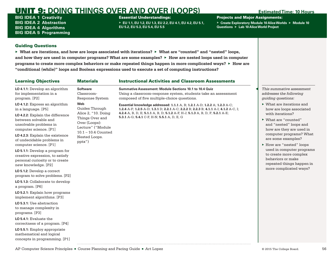BIG IDEA 1 **Creativity** BIG IDEA 2 **Abstraction** BIG IDEA 4 **Algorithms** BIG IDEA 5 **Programming**

### Essential Understandings:

▶ **EU 1.1, EU 1.2, EU 1.3, EU 2.2, EU 4.1, EU 4.2, EU 5.1, EU 5.2, EU 5.3, EU 5.4, EU 5.5**

Projects and Major Assignments:

▶ **Create Exploratory Module 10 Alice Worlds** ▶ **Module 10 Questions** ▶ **Lab 10 Alice World Project**

## Guiding Questions

▶ **What are iterations, and how are loops associated with iterations?** ▶ **What are "counted" and "nested" loops, and how they are used in computer programs? What are some examples?** ▶ **How are nested loops used in computer programs to create more complex behaviors or make repeated things happen in more complicated ways?** ▶ **How are "conditional (while)" loops and Boolean expressions used to execute a set of computing instructions?**

| <b>Learning Objectives</b>                                                                                                                                                                                                                                                                                                                                                                                                                                                                                                                                                                                                                                                                                                                                                                                                     | <b>Materials</b>                                                                                                                                          | <b>Instructional Activities and Classroom Assessments</b>                                                                                                                                                                                                                                         |                                                                                                                                                                                                                                                                                                                                                                                        |
|--------------------------------------------------------------------------------------------------------------------------------------------------------------------------------------------------------------------------------------------------------------------------------------------------------------------------------------------------------------------------------------------------------------------------------------------------------------------------------------------------------------------------------------------------------------------------------------------------------------------------------------------------------------------------------------------------------------------------------------------------------------------------------------------------------------------------------|-----------------------------------------------------------------------------------------------------------------------------------------------------------|---------------------------------------------------------------------------------------------------------------------------------------------------------------------------------------------------------------------------------------------------------------------------------------------------|----------------------------------------------------------------------------------------------------------------------------------------------------------------------------------------------------------------------------------------------------------------------------------------------------------------------------------------------------------------------------------------|
| LO 4.1.1: Develop an algorithm<br>for implementation in a<br>program. [P2]                                                                                                                                                                                                                                                                                                                                                                                                                                                                                                                                                                                                                                                                                                                                                     | <b>Software</b><br>Classroom-<br>Response System                                                                                                          | Summative Assessment: Module Sections 10.1 to 10.4 Quiz<br>Using a classroom-response system, students take an assessment<br>composed of five multiple-choice questions.                                                                                                                          | This summative assessment<br>addresses the following<br><i>guiding questions:</i>                                                                                                                                                                                                                                                                                                      |
| LO 4.1.2: Express an algorithm<br>in a language. [P5]<br>LO 4.2.2: Explain the difference<br>between solvable and<br>unsolvable problems in<br>computer science. [P1]<br>LO 4.2.3: Explain the existence<br>of undecidable problems in<br>computer science. [P1]<br>LO 5.1.1: Develop a program for<br>creative expression, to satisfy<br>personal curiosity or to create<br>new knowledge. [P2]<br>LO 5.1.2: Develop a correct<br>program to solve problems. [P2]<br>LO 5.1.3: Collaborate to develop<br>a program. [P6]<br>LO 5.2.1: Explain how programs<br>implement algorithms. [P3]<br>LO 5.3.1: Use abstraction<br>to manage complexity in<br>programs. [P3]<br>$LO$ 5.4.1: Evaluate the<br>correctness of a program. [P4]<br>LO 5.5.1: Employ appropriate<br>mathematical and logical<br>concepts in programming. [P1] | Web<br>Guides Through<br>Alice 2, "10. Doing<br>Things Over and<br>Over (Loops):<br>Lecture" ("Module<br>$10.1 - 10.4$ Counted<br>Nested Loops.<br>pptx") | Essential knowledge addressed: 1.1.1 A, B; 1.2.1 A-D; 1.2.2 A; 1.2.3 A-C;<br>1.2.4 A-F; 1.2.5 A-D; 1.3.1 D; 2.2.1 A-C; 2.2.2 B; 2.2.3 B; 4.1.1 A-I; 4.1.2 A-C, I;<br>4.2.4 A, B, D, E; 5.1.1 A, B, D; 5.1.2 A-F, H-J; 5.1.3 A, B, D, F; 5.2.1 A-E;<br>5.3.1 A-G; 5.4.1 C-F, H-N; 5.5.1 A, D, E, G | $\triangleright$ What are iterations and<br>how are loops associated<br>with iterations?<br>▶ What are "counted"<br>and "nested" loops and<br>how are they are used in<br>computer programs? What<br>are some examples?<br>▶ How are "nested" loops<br>used in computer programs<br>to create more complex<br>behaviors or make<br>repeated things happen in<br>more complicated ways? |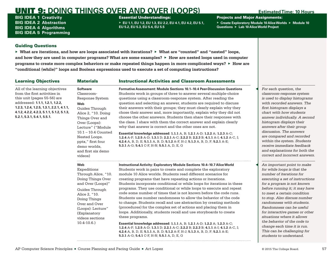BIG IDEA 1 **Creativity** BIG IDEA 2 **Abstraction** BIG IDEA 4 **Algorithms** BIG IDEA 5 **Programming** Essential Understandings:

▶ **EU 1.1, EU 1.2, EU 1.3, EU 2.2, EU 4.1, EU 4.2, EU 5.1, EU 5.2, EU 5.3, EU 5.4, EU 5.5**

Projects and Major Assignments:

▶ **Create Exploratory Module 10 Alice Worlds** ▶ **Module 10 Questions** ▶ **Lab 10 Alice World Project**

## Guiding Questions

▶ **What are iterations, and how are loops associated with iterations?** ▶ **What are "counted" and "nested" loops, and how they are used in computer programs? What are some examples?** ▶ **How are nested loops used in computer programs to create more complex behaviors or make repeated things happen in more complicated ways?** ▶ **How are "conditional (while)" loops and Boolean expressions used to execute a set of computing instructions?**

### Learning Objectives **Materials Instructional Activities and Classroom Assessments** All of the learning objectives from the first activities in this unit (pages 55-56) are addressed: **1.1.1, 1.2.1, 1.2.2, 1.2.3, 1.2.4, 1.2.5, 1.3.1, 2.2.1, 4.1.1, 4.1.2, 4.2.2, 4.2.3, 5.1.1, 5.1.2, 5.1.3, 5.2.1, 5.3.1, 5.4.1, 5.5.1. Software** Classroom-Response System **Web** Guides Through Alice 2, "[10. Doing](https://sites.google.com/a/eng.ucsd.edu/guides-through-alice-2/10-doing-things-over-and-over-loops/10-2-lecture)  [Things Over and](https://sites.google.com/a/eng.ucsd.edu/guides-through-alice-2/10-doing-things-over-and-over-loops/10-2-lecture)  [Over \(Loops\):](https://sites.google.com/a/eng.ucsd.edu/guides-through-alice-2/10-doing-things-over-and-over-loops/10-2-lecture)  [Lecture"](https://sites.google.com/a/eng.ucsd.edu/guides-through-alice-2/10-doing-things-over-and-over-loops/10-2-lecture) ("Module 10.1 – 10.4 Counted Nested Loops. pptx," first four demo worlds, and first six demo videos) **Formative Assessment: Module Sections 10.1–10.4 Peer-Discussion Questions** Students work in groups of three to answer several multiple-choice questions using a classroom-response system. After reading the question and selecting an answer, students are required to discuss their answers with their groups; they must clearly explain why they chose their answer and, more importantly, explain why they did not choose the other answers. Students then share their responses with the class. I share with them the correct answer and explain clearly why that answer is correct and the other ones are not. **Essential knowledge addressed: 1.1.1** A, B; **1.2.1** A-D; **1.2.2** A; **1.2.3** A-C; **1.2.4** A-F; **1.2.5** A-D; **1.3.1** D; **2.2.1** A-C; **2.2.2** B; **2.2.3** B; **4.1.1** A-I; **4.1.2** A-C, I; **4.2.4** A, B, D, E; **5.1.1** A, B, D; **5.1.2** A-F, H-J; **5.1.3** A, B, D, F; **5.2.1** A-E; **5.3.1** A-G; **5.4.1** C-F, H-N; **5.5.1** A, D, E, G

### **Web**

Expeditions [Through Alice, "10.](https://sites.google.com/a/eng.ucsd.edu/expeditions-through-alice/doing-things-over-and-over)  Doing Things Over and Over (Loops)" Guides Through Alice 2, "[10.](https://sites.google.com/a/eng.ucsd.edu/guides-through-alice-2/10-doing-things-over-and-over-loops/10-2-lecture)  [Doing Things](https://sites.google.com/a/eng.ucsd.edu/guides-through-alice-2/10-doing-things-over-and-over-loops/10-2-lecture)  [Over and Over](https://sites.google.com/a/eng.ucsd.edu/guides-through-alice-2/10-doing-things-over-and-over-loops/10-2-lecture)  [\(Loops\): Lecture"](https://sites.google.com/a/eng.ucsd.edu/guides-through-alice-2/10-doing-things-over-and-over-loops/10-2-lecture) (Explanatory videos sections 10.4-10.6.)

Students work in pairs to create and complete the exploratory module 10 Alice worlds. Students read different scenarios for creating programs that have repeating actions or iterations. Students incorporate conditional or while loops for iterations in these programs. They use conditional or while loops to execute and repeat code some number of times that is not known before the code runs. Students use number randomness to allow the behavior of the code to change. Students recall and use abstraction by creating methods (procedures) for the complex set of actions and placing them in loops. Additionally, students recall and use storyboards to create these programs.

**Instructional Activity: Exploratory Module Sections 10.4–10.7 Alice World**

**Essential knowledge addressed: 1.1.1** A, B; **1.2.1** A-D; **1.2.2** A; **1.2.3** A-C; **1.2.4** A-F; **1.2.5** A-D; **1.3.1** D; **2.2.1** A-C; **2.2.2** B; **2.2.3** B; **4.1.1** A-I; **4.1.2** A-C, I; **4.2.4** A, B, D, E; **5.1.1** A, B, D; **5.1.2** A-F, H-J; **5.1.3** A, B, D, F; **5.2.1** A-E; **5.3.1** A-G; **5.4.1** C-F, H-N; **5.5.1** A, D, E, G

◀ *For each question, the classroom-response system is used to display histograms with recorded answers. The first histogram displays a chart with how students answer individually. A second histogram displays their answers after their group discussion. The answers are compared and recorded within the system. Students receive immediate feedback and explanations for both the correct and incorrect answers.*

◀ *An important point to make for while loops is that the number of iterations for executing a set of instructions for a program is not known before running it; it may have to meet a certain condition to stop. Also discuss number randomness with students. Randomness can be useful for interactive games or other situations where it allows the behavior of the code to change each time it is run. This can be challenging for students to understand.*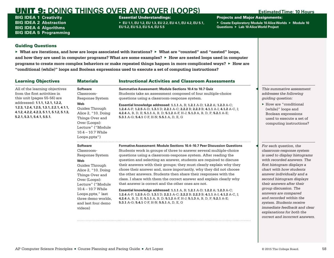BIG IDEA 1 **Creativity** BIG IDEA 2 **Abstraction** BIG IDEA 4 **Algorithms** BIG IDEA 5 **Programming** Essential Understandings:

▶ **EU 1.1, EU 1.2, EU 1.3, EU 2.2, EU 4.1, EU 4.2, EU 5.1, EU 5.2, EU 5.3, EU 5.4, EU 5.5**

Projects and Major Assignments:

▶ **Create Exploratory Module 10 Alice Worlds** ▶ **Module 10 Questions** ▶ **Lab 10 Alice World Project**

## Guiding Questions

▶ **What are iterations, and how are loops associated with iterations?** ▶ **What are "counted" and "nested" loops, and how they are used in computer programs? What are some examples?** ▶ **How are nested loops used in computer programs to create more complex behaviors or make repeated things happen in more complicated ways?** ▶ **How are "conditional (while)" loops and Boolean expressions used to execute a set of computing instructions?**

| <b>Learning Objectives</b>                                                                                                                               | <b>Materials</b>                                                                                                                                                                                                                                              | <b>Instructional Activities and Classroom Assessments</b>                                                                                                                                                                                                                                                                                                                                                                                                                                                                                                                                                                                                                                                                                                                                                                                                                                                                                       |                                                                                                                                                                                                                                                                                                                                                                                                                                                                           |
|----------------------------------------------------------------------------------------------------------------------------------------------------------|---------------------------------------------------------------------------------------------------------------------------------------------------------------------------------------------------------------------------------------------------------------|-------------------------------------------------------------------------------------------------------------------------------------------------------------------------------------------------------------------------------------------------------------------------------------------------------------------------------------------------------------------------------------------------------------------------------------------------------------------------------------------------------------------------------------------------------------------------------------------------------------------------------------------------------------------------------------------------------------------------------------------------------------------------------------------------------------------------------------------------------------------------------------------------------------------------------------------------|---------------------------------------------------------------------------------------------------------------------------------------------------------------------------------------------------------------------------------------------------------------------------------------------------------------------------------------------------------------------------------------------------------------------------------------------------------------------------|
| All of the learning objectives<br>from the first activities in<br>this unit (pages 55-56) are                                                            | <b>Software</b><br>Classroom-<br>Response System                                                                                                                                                                                                              | Summative Assessment: Module Sections 10.4 to 10.7 Quiz<br>Students take an assessment composed of four multiple-choice<br>questions using a classroom-response system.                                                                                                                                                                                                                                                                                                                                                                                                                                                                                                                                                                                                                                                                                                                                                                         | This summative assessment<br>addresses the following<br>quiding question:                                                                                                                                                                                                                                                                                                                                                                                                 |
| addressed: 1.1.1, 1.2.1, 1.2.2,<br>1.2.3, 1.2.4, 1.2.5, 1.3.1, 2.2.1, 4.1.1,<br>4.1.2, 4.2.2, 4.2.3, 5.1.1, 5.1.2, 5.1.3,<br>5.2.1, 5.3.1, 5.4.1, 5.5.1. | Web<br>Guides Through<br>Alice 2, "10. Doing<br>Things Over and<br>Over (Loops):<br>Lecture" ("Module<br>$10.4 - 10.7$ While<br>Loops.pptx")                                                                                                                  | Essential knowledge addressed: 1.1.1 A, B; 1.2.1 A-D; 1.2.2 A; 1.2.3 A-C;<br>1.2.4 A-F; 1.2.5 A-D; 1.3.1 D; 2.2.1 A-C; 2.2.2 B; 2.2.3 B; 4.1.1 A-I; 4.1.2 A-C, I;<br>4.2.4 A, B, D, E; 5.1.1 A, B, D; 5.1.2 A-F, H-J; 5.1.3 A, B, D, F; 5.2.1 A-E;<br>5.3.1 A-G; 5.4.1 C-F, H-N; 5.5.1 A, D, E, G                                                                                                                                                                                                                                                                                                                                                                                                                                                                                                                                                                                                                                               | $\blacktriangleright$ How are "conditional<br>(while)" loops and<br>Boolean expressions<br>used to execute a set of<br>computing instructions?                                                                                                                                                                                                                                                                                                                            |
|                                                                                                                                                          | <b>Software</b><br>Classroom-<br>Response System<br>Web<br>Guides Through<br>Alice 2, "10. Doing<br>Things Over and<br>Over (Loops):<br>Lecture" ("Module"<br>$10.4 - 10.7$ While<br>Loops.pptx," last<br>three demo worlds,<br>and last four demo<br>videos) | Formative Assessment: Module Sections 10.4-10.7 Peer Discussion Questions<br>Students work in groups of three to answer several multiple-choice<br>questions using a classroom-response system. After reading the<br>question and selecting an answer, students are required to discuss<br>their answers with their groups; they must clearly explain why they<br>chose their answer and, more importantly, why they did not choose<br>the other answers. Students then share their responses with the<br>class. I share with them the correct answer and explain clearly why<br>that answer is correct and the other ones are not.<br><b>Essential knowledge addressed: 1.1.1</b> A, B; 1.2.1 A-D; 1.2.2 A; 1.2.3 A-C;<br>1.2.4 A-F; 1.2.5 A-D; 1.3.1 D; 2.2.1 A-C; 2.2.2 B; 2.2.3 B; 4.1.1 A-I; 4.1.2 A-C, I;<br>4.2.4 A, B, D, E; 5.1.1 A, B, D; 5.1.2 A-F, H-J; 5.1.3 A, B, D, F; 5.2.1 A-E;<br>5.3.1 A-G; 5.4.1 C-F, H-N; 5.5.1 A, D, E, G | For each question, the<br>classroom-response system<br>is used to display histograms<br>with recorded answers. The<br>first histogram displays a<br>chart with how students<br>answer individually and a<br>second histogram displays<br>their answers after their<br>group discussion. The<br>answers are compared<br>and recorded within the<br>system. Students receive<br>immediate feedback and clear<br>explanations for both the<br>correct and incorrect answers. |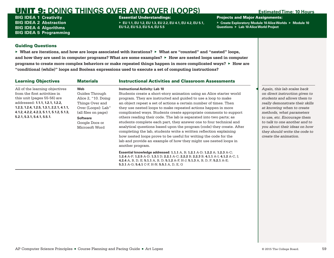BIG IDEA 1 **Creativity** BIG IDEA 2 **Abstraction** BIG IDEA 4 **Algorithms** BIG IDEA 5 **Programming** Essential Understandings:

▶ **EU 1.1, EU 1.2, EU 1.3, EU 2.2, EU 4.1, EU 4.2, EU 5.1, EU 5.2, EU 5.3, EU 5.4, EU 5.5**

Projects and Major Assignments:

▶ **Create Exploratory Module 10 Alice Worlds** ▶ **Module 10 Questions** ▶ **Lab 10 Alice World Project**

## Guiding Questions

▶ **What are iterations, and how are loops associated with iterations?** ▶ **What are "counted" and "nested" loops, and how they are used in computer programs? What are some examples?** ▶ **How are nested loops used in computer programs to create more complex behaviors or make repeated things happen in more complicated ways?** ▶ **How are "conditional (while)" loops and Boolean expressions used to execute a set of computing instructions?**

| <b>Learning Objectives</b>                                                                                                                                                                                                                                  | <b>Materials</b>                                                                                                                                                    | <b>Instructional Activities and Classroom Assessments</b>                                                                                                                                                                                                                                                                                                                                                                                                                                                                                                                                                                                                                                                                                                                                                                                        |                                                                                                                                                                                                                                                                                                                                                    |
|-------------------------------------------------------------------------------------------------------------------------------------------------------------------------------------------------------------------------------------------------------------|---------------------------------------------------------------------------------------------------------------------------------------------------------------------|--------------------------------------------------------------------------------------------------------------------------------------------------------------------------------------------------------------------------------------------------------------------------------------------------------------------------------------------------------------------------------------------------------------------------------------------------------------------------------------------------------------------------------------------------------------------------------------------------------------------------------------------------------------------------------------------------------------------------------------------------------------------------------------------------------------------------------------------------|----------------------------------------------------------------------------------------------------------------------------------------------------------------------------------------------------------------------------------------------------------------------------------------------------------------------------------------------------|
| All of the learning objectives<br>from the first activities in<br>this unit (pages 55-56) are<br>addressed: 1.1.1, 1.2.1, 1.2.2,<br>$1.2.3, 1.2.4, 1.2.5, 1.3.1, 2.2.1, 4.1.1,$<br>4.1.2, 4.2.2, 4.2.3, 5.1.1, 5.1.2, 5.1.3,<br>5.2.1, 5.3.1, 5.4.1, 5.5.1. | Web<br>Guides Through<br>Alice 2, "10. Doing<br>Things Over and<br>Over (Loops): Lab"<br>(all files on page)<br><b>Software</b><br>Google Docs or<br>Microsoft Word | <b>Instructional Activity: Lab 10</b><br>Students create a short-story animation using an Alice starter world<br>program. They are instructed and guided to use a loop to make<br>an object repeat a set of actions a certain number of times. Then<br>they use nested loops to make repeated actions happen in more<br>complicated ways. Students create appropriate comments to support<br>others reading their code. The lab is separated into two parts; as<br>students complete each part, they answer one to four technical and<br>analytical questions based upon the program (code) they create. After<br>completing the lab, students write a written reflection explaining<br>how nested loops prove to be useful for writing the code for the<br>lab and provide an example of how they might use nested loops in<br>another program. | Again, this lab scales back<br>on direct instruction given to<br>students and allows them to<br>really demonstrate their skills<br>at knowing when to create<br>methods, what parameters<br>to use, etc. Encourage them<br>to talk to one another and to<br>you about their ideas on how<br>they should write the code to<br>create the animation. |
|                                                                                                                                                                                                                                                             |                                                                                                                                                                     | <b>Essential knowledge addressed: 1.1.1</b> A, B; 1.2.1 A-D; 1.2.2 A; 1.2.3 A-C;<br>1.2.4 A-F; 1.2.5 A-D; 1.3.1 D; 2.2.1 A-C; 2.2.2 B; 2.2.3 B; 4.1.1 A-I; 4.1.2 A-C, I;<br>4.2.4 A, B, D, E; 5.1.1 A, B, D; 5.1.2 A-F, H-J; 5.1.3 A, B, D, F; 5.2.1 A-E;<br>5.3.1 A-G; 5.4.1 C-F, H-N; 5.5.1 A, D, E, G                                                                                                                                                                                                                                                                                                                                                                                                                                                                                                                                         |                                                                                                                                                                                                                                                                                                                                                    |

AP Computer Science Principles ■ Course Planning and Pacing Guide ■ Art Lopez © 2015 The College Board. 59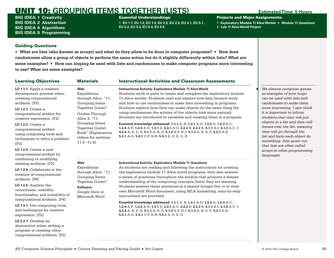# UNIT 10: **GROUPING ITEMS TOGETHER (LISTS) Estimated Time: 5 Hours**

BIG IDEA 1 **Creativity** BIG IDEA 2 **Abstraction** BIG IDEA 4 **Algorithms** BIG IDEA 5 **Programming**

### Essential Understandings:

▶ **EU 1.1, EU 1.2, EU 1.3, EU 2.2, EU 2.3, EU 4.1, EU 5.1, EU 5.2, EU 5.3, EU 5.4, EU 5.5**

Projects and Major Assignments:

- ▶ **Exploratory Module 11 Alice Worlds** ▶ **Module 11 Questions**
- ▶ **Lab 11 Alice World Project**

## Guiding Questions

program or creating other computational artifacts. [P2]

▶ **What are lists (also known as arrays) and what do they allow to be done in computer programs?** ▶ **How does randomness allow a group of objects to perform the same action but do it slightly differently within lists? What are some examples?** ▶ **How can looping be used with lists and randomness to make computer programs more interesting to use? What are some examples?**

| <b>Learning Objectives</b>                                                                                                                                                                                                                                                                                           | <b>Materials</b>                                                                                                                                                                                                         | <b>Instructional Activities and Classroom Assessments</b>                                                                                                                                                                                                                                                                                                                                                                                                                                                                                                                                                                                                                                                                                                                                                 |                                                                                                                                                                                                                                                                                                                                                                                                           |
|----------------------------------------------------------------------------------------------------------------------------------------------------------------------------------------------------------------------------------------------------------------------------------------------------------------------|--------------------------------------------------------------------------------------------------------------------------------------------------------------------------------------------------------------------------|-----------------------------------------------------------------------------------------------------------------------------------------------------------------------------------------------------------------------------------------------------------------------------------------------------------------------------------------------------------------------------------------------------------------------------------------------------------------------------------------------------------------------------------------------------------------------------------------------------------------------------------------------------------------------------------------------------------------------------------------------------------------------------------------------------------|-----------------------------------------------------------------------------------------------------------------------------------------------------------------------------------------------------------------------------------------------------------------------------------------------------------------------------------------------------------------------------------------------------------|
| LO 1.1.1: Apply a creative<br>development process when<br>creating computational<br>artifacts. [P2]<br>$LO$ 1.2.1: Create a<br>computational artifact for<br>creative expression. [P2]<br><b>LO 1.2.2: Create a</b><br>computational artifact<br>using computing tools and<br>techniques to solve a problem.<br>[P2] | Web<br>Expeditions<br>through Alice, "11.<br>Grouping Items<br>Together (Lists)"<br>Guides Through<br>Alice 2, "11.<br>Grouping Items<br>Together (Lists):<br>Book" (Explanatory<br>videos for sections<br>$11.2 - 11.4$ | <b>Instructional Activity: Exploratory Module 11 Alice World</b><br>Students work in pairs to create and complete the exploratory module<br>11 Alice worlds. Students read and explore how lists (arrays) work<br>and how to use randomness to make lists interesting in programs.<br>Students explore how they can make objects do the same thing (by<br>using randomness the actions of the objects look more natural).<br>Students are introduced to variables and creating them in a program.<br>Essential knowledge addressed: 1.1.1 A, B; 1.2.1 A-D; 1.2.2 A; 1.2.3 A-C;<br>1.2.4 A-F; 1.2.5 A-D; 1.3.1 D; 2.2.1 A-C; 2.2.2 B; 2.2.3 B; 4.1.1 A-I; 4.1.2 A-C, I;<br>4.2.4 A, B, D, E; 5.1.1 A, B, D; 5.1.2 A-F, H-J; 5.1.3 A, B, D, F; 5.2.1 A-E;<br>5.3.1 A-G; 5.4.1 C-F, H-N; 5.5.1 A, D, E, G, H | We discuss computer games<br>as examples of how loops<br>can be used with lists and<br>randomness to make them<br>more interesting. I also think<br>it is important to inform<br>students that they will put<br>objects in a list and then will<br>iterate over the list, meaning<br>they will go through the<br>list and have each object do<br>something. Also point out<br>that lists are often called |
| $LO$ 1.2.3: Create a new<br>computational artifact by<br>combining or modifying                                                                                                                                                                                                                                      |                                                                                                                                                                                                                          |                                                                                                                                                                                                                                                                                                                                                                                                                                                                                                                                                                                                                                                                                                                                                                                                           | arrays in other programming<br>languages.                                                                                                                                                                                                                                                                                                                                                                 |
| existing artifacts. [P2]                                                                                                                                                                                                                                                                                             | Web                                                                                                                                                                                                                      | <b>Instructional Activity: Exploratory Module 11 Questions</b>                                                                                                                                                                                                                                                                                                                                                                                                                                                                                                                                                                                                                                                                                                                                            |                                                                                                                                                                                                                                                                                                                                                                                                           |
| LO 1.2.4: Collaborate in the<br>creation of computational<br>artifacts. [P6]                                                                                                                                                                                                                                         | Expeditions<br>through Alice, "11.<br>Grouping Items<br>Together (Lists)"                                                                                                                                                | As students are reading and following the instructions for creating<br>the exploratory module 11 Alice world programs, they also answer<br>a series of questions throughout the module that promote a deeper<br>understanding of the computing concepts (lists) they are learning.                                                                                                                                                                                                                                                                                                                                                                                                                                                                                                                        |                                                                                                                                                                                                                                                                                                                                                                                                           |
| LO 1.2.5: Analyze the<br>correctness, usability,<br>functionality, and suitability of                                                                                                                                                                                                                                | <b>Software</b><br>Google Docs or<br>Microsoft Word                                                                                                                                                                      | Students answer these questions in a shared Google Doc or in their<br>own Microsoft Word document, using MLA formatting; step-by-step<br>instructions are provided.                                                                                                                                                                                                                                                                                                                                                                                                                                                                                                                                                                                                                                       |                                                                                                                                                                                                                                                                                                                                                                                                           |
| computational artifacts. [P4]<br>LO 1.3.1: Use computing tools<br>and techniques for creative<br>expression. [P2]                                                                                                                                                                                                    |                                                                                                                                                                                                                          | <b>Essential knowledge addressed: 1.1.1 A, B; 1.2.1 A-D; 1.2.2 A; 1.2.3 A-C;</b><br>1.2.4 A-F; 1.2.5 A-D; 1.3.1 D; 2.2.1 A-C; 2.2.2 B; 2.2.3 B; 4.1.1 A-I; 4.1.2 A-C, I;<br>4.2.4 A, B, D, E; 5.1.1 A, B, D; 5.1.2 A-F, H-J; 5.1.3 A, B, D, F; 5.2.1 A-E;<br>5.3.1 A-G; 5.4.1 C-F, H-N; 5.5.1 A, D, E, G                                                                                                                                                                                                                                                                                                                                                                                                                                                                                                  |                                                                                                                                                                                                                                                                                                                                                                                                           |
| LO 2.2.1: Develop an<br>abstraction when writing a                                                                                                                                                                                                                                                                   |                                                                                                                                                                                                                          |                                                                                                                                                                                                                                                                                                                                                                                                                                                                                                                                                                                                                                                                                                                                                                                                           |                                                                                                                                                                                                                                                                                                                                                                                                           |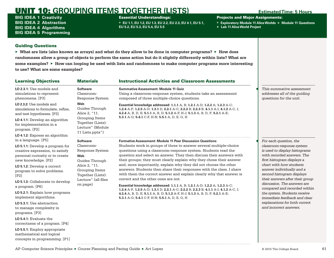# UNIT 10: **GROUPING ITEMS TOGETHER (LISTS) Estimated Time: 5 Hours**

BIG IDEA 1 **Creativity** BIG IDEA 2 **Abstraction** BIG IDEA 4 **Algorithms** BIG IDEA 5 **Programming**

### Essential Understandings:

▶ **EU 1.1, EU 1.2, EU 1.3, EU 2.2, EU 2.3, EU 4.1, EU 5.1, EU 5.2, EU 5.3, EU 5.4, EU 5.5**

Projects and Major Assignments:

- ▶ **Exploratory Module 11 Alice Worlds** ▶ **Module 11 Questions**
- ▶ **Lab 11 Alice World Project**

## Guiding Questions

▶ **What are lists (also known as arrays) and what do they allow to be done in computer programs?** ▶ **How does randomness allow a group of objects to perform the same action but do it slightly differently within lists? What are some examples?** ▶ **How can looping be used with lists and randomness to make computer programs more interesting to use? What are some examples?**

| <b>Software</b><br>Classroom-<br>Response System<br>Web<br>Guides Through<br>Alice 2, "11.<br>Grouping Items<br>Together (Lists):<br>Lecture" (Module                       | <b>Summative Assessment: Module 11 Quiz</b><br>Using a classroom-response system, students take an assessment<br>composed of three multiple-choice questions.<br>Essential knowledge addressed: 1.1.1 A, B; 1.2.1 A-D; 1.2.2 A; 1.2.3 A-C;<br>1.2.4 A-F; 1.2.5 A-D; 1.3.1 D; 2.2.1 A-C; 2.2.2 B; 2.2.3 B; 4.1.1 A-I; 4.1.2 A-C, I;<br>4.2.4 A, B, D, E; 5.1.1 A, B, D; 5.1.2 A-F, H-J; 5.1.3 A, B, D, F; 5.2.1 A-E;<br>5.3.1 A-G; 5.4.1 C-F, H-N; 5.5.1 A, D, E, G, H                                                                                                                                                                                                                                                                                                                                                                                                                                                    | This summative assessment<br>addresses all of the guiding<br>questions for the unit.                                                                                                                                                                                                                                                                                                                                                                               |
|-----------------------------------------------------------------------------------------------------------------------------------------------------------------------------|--------------------------------------------------------------------------------------------------------------------------------------------------------------------------------------------------------------------------------------------------------------------------------------------------------------------------------------------------------------------------------------------------------------------------------------------------------------------------------------------------------------------------------------------------------------------------------------------------------------------------------------------------------------------------------------------------------------------------------------------------------------------------------------------------------------------------------------------------------------------------------------------------------------------------|--------------------------------------------------------------------------------------------------------------------------------------------------------------------------------------------------------------------------------------------------------------------------------------------------------------------------------------------------------------------------------------------------------------------------------------------------------------------|
|                                                                                                                                                                             |                                                                                                                                                                                                                                                                                                                                                                                                                                                                                                                                                                                                                                                                                                                                                                                                                                                                                                                          |                                                                                                                                                                                                                                                                                                                                                                                                                                                                    |
| 11 Lists.pptx")                                                                                                                                                             |                                                                                                                                                                                                                                                                                                                                                                                                                                                                                                                                                                                                                                                                                                                                                                                                                                                                                                                          |                                                                                                                                                                                                                                                                                                                                                                                                                                                                    |
| <b>Software</b><br>Classroom-<br>Response System<br>Web<br>Guides Through<br>Alice 2, "11.<br><b>Grouping Items</b><br>Together (Lists):<br>Lecture" (all files<br>on page) | <b>Formative Assessment: Module 11 Peer Discussion Questions</b><br>Students work in groups of three to answer several multiple-choice<br>questions using a classroom-response system. Students read the<br>question and select an answer. They then discuss their answers with<br>their groups; they must clearly explain why they chose their answer<br>and, more importantly, explain why they did not choose the other<br>answers. Students then share their responses with the class. I share<br>with them the correct answer and explain clearly why that answer is<br>correct and the other ones are not.<br>Essential knowledge addressed: 1.1.1 A, B; 1.2.1 A-D; 1.2.2 A; 1.2.3 A-C;<br>1.2.4 A-F; 1.2.5 A-D; 1.3.1 D; 2.2.1 A-C; 2.2.2 B; 2.2.3 B; 4.1.1 A-I; 4.1.2 A-C, I;<br>4.2.4 A, B, D, E; 5.1.1 A, B, D; 5.1.2 A-F, H-J; 5.1.3 A, B, D, F; 5.2.1 A-E;<br>5.3.1 A-G; 5.4.1 C-F, H-N; 5.5.1 A, D, E, G, H | For each question, the<br>classroom-response system<br>is used to display histograms<br>with recorded answers. The<br>first histogram displays a<br>chart with how students<br>answer individually and a<br>second histogram displays<br>their answers after their group<br>discussion. The answers are<br>compared and recorded within<br>the system. Students receive<br>immediate feedback and clear<br>explanations for both correct<br>and incorrect answers. |
|                                                                                                                                                                             |                                                                                                                                                                                                                                                                                                                                                                                                                                                                                                                                                                                                                                                                                                                                                                                                                                                                                                                          |                                                                                                                                                                                                                                                                                                                                                                                                                                                                    |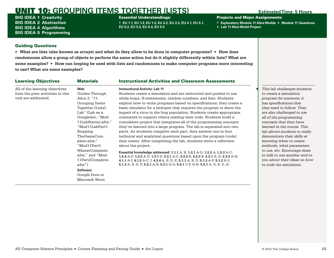# UNIT 10: **GROUPING ITEMS TOGETHER (LISTS) Estimated Time: 5 Hours**

BIG IDEA 1 **Creativity** BIG IDEA 2 **Abstraction** BIG IDEA 4 **Algorithms** BIG IDEA 5 **Programming**

### Essential Understandings:

▶ **EU 1.1, EU 1.2, EU 1.3, EU 2.2, EU 2.3, EU 4.1, EU 5.1, EU 5.2, EU 5.3, EU 5.4, EU 5.5**

Projects and Major Assignments:

- ▶ **Exploratory Module 11 Alice Worlds** ▶ **Module 11 Questions**
- ▶ **Lab 11 Alice World Project**

## Guiding Questions

▶ **What are lists (also known as arrays) and what do they allow to be done in computer programs?** ▶ **How does randomness allow a group of objects to perform the same action but do it slightly differently within lists? What are some examples?** ▶ **How can looping be used with lists and randomness to make computer programs more interesting to use? What are some examples?**

| <b>Learning Objectives</b>        | <b>Materials</b>   | <b>Instructional Activities and Classroom Assessments</b>                          |                               |
|-----------------------------------|--------------------|------------------------------------------------------------------------------------|-------------------------------|
| All of the learning objectives    | Web                | <b>Instructional Activity: Lab 11</b>                                              | This lab challenges students  |
| from the prior activities in this | Guides Through     | Students create a simulation and are instructed and quided to use                  | to create a simulation        |
| unit are addressed.               | Alice 2, "11.      | while-loops, If-statements, random numbers, and lists. Students                    | program for someone; it       |
|                                   | Grouping Items     | explore how to write programs based on specifications; they create a               | has specifications that       |
|                                   | Together (Lists):  | basic simulator for a biologist that requires the program to show the              | they need to follow. They     |
|                                   | Lab" (Lab as a     | impact of a virus in the frog population. Students create appropriate              | are also challenged to use    |
|                                   | Googledoc, "Mod-   | comments to support others reading their code. Students build a                    | all of the programming        |
|                                   | 11LabStarter.a2w," | cumulative project that integrates all of the programming concepts                 | concepts that they have       |
|                                   | "Mod11LabPart1     | they've learned into a large program. The lab is separated into two                | learned in the course. This   |
|                                   | Stopping           | parts. As students complete each part, they answer one to four                     | lab allows students to really |
|                                   | TheGameCom-        | technical and analytical questions based upon the program (code)                   | demonstrate their skills at   |
|                                   | plete.a2w,"        | they create. After completing the lab, students write a reflection                 | knowing when to create        |
|                                   | "Mod11Part1        | about the project.                                                                 | methods, what parameters      |
|                                   | WinnerComplete.    | <b>Essential knowledge addressed: 1.1.1</b> A, B; 1.2.1 A-D; 1.2.2 A; 1.2.3 A-C;   | to use, etc. Encourage them   |
|                                   | a2w," and "Mod-    | 1.2.4 A-F; 1.2.5 A-D; 1.3.1 D; 2.2.1 A-C; 2.2.2 B; 2.2.3 B; 2.3.1 A, D; 2.3.2 A-H; | to talk to one another and to |
|                                   | 11Part2Complete.   | 4.1.1 A-I; 4.1.2 A-C, I; 4.2.4 A, B, D, E; 5.1.1 A, B, D; 5.1.2 A-F, 5.1.2 H-J;    | you about their ideas on how  |
|                                   | $a2w$ ")           | 5.1.3 A, B, D, F; 5.2.1 A-E; 5.3.1 A-G; 5.4.1 C-F, H-N; 5.5.1 A, D, E, G, H        | to code the simulation.       |
|                                   | <b>Software</b>    |                                                                                    |                               |
|                                   | Google Docs or     |                                                                                    |                               |
|                                   | Microsoft Word     |                                                                                    |                               |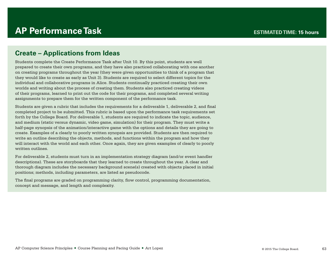# **AP Performance Task**

# **Create – Applications from Ideas**

Students complete the Create Performance Task after Unit 10. By this point, students are well prepared to create their own programs, and they have also practiced collaborating with one another on creating programs throughout the year (they were given opportunities to think of a program that they would like to create as early as Unit 3). Students are required to select different topics for the individual and collaborative programs in Alice. Students continually practiced creating their own worlds and writing about the process of creating them. Students also practiced creating videos of their programs, learned to print out the code for their programs, and completed several writing assignments to prepare them for the written component of the performance task.

Students are given a rubric that includes the requirements for a deliverable 1, deliverable 2, and final completed project to be submitted. This rubric is based upon the performance task requirements set forth by the College Board. For deliverable 1, students are required to indicate the topic, audience, and medium (static versus dynamic, video game, simulation) for their program. They must write a half-page synopsis of the animation/interactive game with the options and details they are going to create. Examples of a clearly to poorly written synopsis are provided. Students are then required to write an outline describing the objects, methods, and functions within the program and how they will interact with the world and each other. Once again, they are given examples of clearly to poorly written outlines.

For deliverable 2, students must turn in an implementation strategy diagram (and/or event handler descriptions). These are storyboards that they learned to create throughout the year. A clear and thorough diagram includes the necessary background scene(s) created with objects placed in initial positions; methods, including parameters, are listed as pseudocode.

The final programs are graded on programming clarity, flow control, programming documentation, concept and message, and length and complexity.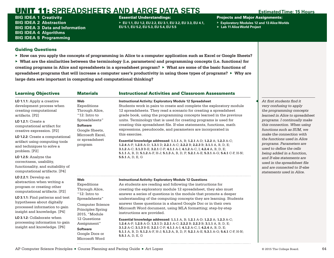BIG IDEA 1 **Creativity** BIG IDEA 2 **Abstraction** BIG IDEA 3 **Data and Information** BIG IDEA 4 **Algorithms** BIG IDEA 5 **Programming**

Essential Understandings:

▶ **EU 1.1, EU 1.2, EU 2.2, EU 3.1, EU 3.2, EU 3.3, EU 4.1, EU 5.1, EU 5.2, EU 5.3, EU 5.4, EU 5.5**

Projects and Major Assignments:

- ▶ **Exploratory Modules 12 and 13 Alice Worlds**
- ▶ **Lab 11 Alice World Project**

# Guiding Questions

▶ **How can you apply the concepts of programming in Alice to a computer application such as Excel or Google Sheets?** 

| <b>Learning Objectives</b>                                                                                                                                                                                                                                                                                                                                                                                                                | <b>Materials</b>                                                                                                                                                                                                              | <b>Instructional Activities and Classroom Assessments</b>                                                                                                                                                                                                                                                                                                                                                                                                                                                                                                                                                                                                                                                                                                                                                                                                                  |                                                                                                                                                                                                                                                                                                                                                                                                                                                                                             |
|-------------------------------------------------------------------------------------------------------------------------------------------------------------------------------------------------------------------------------------------------------------------------------------------------------------------------------------------------------------------------------------------------------------------------------------------|-------------------------------------------------------------------------------------------------------------------------------------------------------------------------------------------------------------------------------|----------------------------------------------------------------------------------------------------------------------------------------------------------------------------------------------------------------------------------------------------------------------------------------------------------------------------------------------------------------------------------------------------------------------------------------------------------------------------------------------------------------------------------------------------------------------------------------------------------------------------------------------------------------------------------------------------------------------------------------------------------------------------------------------------------------------------------------------------------------------------|---------------------------------------------------------------------------------------------------------------------------------------------------------------------------------------------------------------------------------------------------------------------------------------------------------------------------------------------------------------------------------------------------------------------------------------------------------------------------------------------|
| LO 1.1.1: Apply a creative<br>development process when<br>creating computational<br>artifacts. [P2]<br><b>LO 1.2.1:</b> Create a<br>computational artifact for<br>creative expression. [P2]<br>LO 1.2.2: Create a computational<br>artifact using computing tools<br>and techniques to solve a<br>problem. [P2]<br>LO 1.2.5: Analyze the<br>correctness, usability,<br>functionality, and suitability of<br>computational artifacts. [P4] | Web<br>Expeditions<br>Through Alice,<br>"12: Intro to<br>Spreadsheets"<br><b>Software</b><br>Google Sheets,<br>Microsoft Excel,<br>or spreadsheet<br>program                                                                  | <b>Instructional Activity: Exploratory Module 12 Spreadsheet</b><br>Students work in pairs to create and complete the exploratory module<br>12 spreadsheets. They read a scenario for creating a spreadsheet<br>grade book, using the programming concepts learned in the previous<br>units. Terminology that is used for creating programs is used for<br>creating this spreadsheet file. If-else statements, functions, math<br>expressions, pseudocode, and parameters are incorporated in<br>this exercise.<br>Essential knowledge addressed: 1.1.1 A, B; 1.2.1 A-D; 1.2.2 A; 1.2.3 A-C;<br>1.2.4 A-F; 1.2.5 A-D; 1.3.1 D; 2.2.1 A-C; 2.2.2 B; 2.2.3 B; 3.1.1 A, B, D, E;<br>3.1.2 A-C; 3.1.3 B-E; 3.2.1 C-F; 4.1.1 A-I; 4.1.2 A-C, I; 4.2.4 A, B, D, E;<br>5.1.1 A, B, D; 5.1.2 A-F, H-J; 5.1.3 A, B, D, F; 5.2.1 A-E; 5.3.1 A-G; 5.4.1 C-F, H-N;<br>5.5.1 A, D, E, G | At first students find it<br>very confusing to apply<br>the programming concepts<br>learned in Alice to spreadsheet<br>programs. I continually make<br>this connection. When using<br>functions such as SUM, we<br>make the connection with<br>the functions used in Alice<br>programs. Parameters are<br>used to define the cells<br>being added in a function,<br>and If-else statements are<br>used in the spreadsheet file<br>and are connected to If-else<br>statements used in Alice. |
| LO 2.2.1: Develop an<br>abstraction when writing a<br>program or creating other<br>computational artifacts. [P2]<br>LO 3.1.1: Find patterns and test<br>hypotheses about digitally<br>processed information to gain<br>insight and knowledge. [P4]<br>LO 3.1.2: Collaborate when<br>processing information to gain<br>insight and knowledge. [P6]                                                                                         | Web<br>Expeditions<br>Through Alice,<br>"12: Intro to<br>Spreadsheets"<br><b>Computer Science</b><br>Principles Spring<br>2015, "Module<br>12 Questions<br>Assignment"<br><b>Software</b><br>Google Docs or<br>Microsoft Word | <b>Instructional Activity: Exploratory Module 12 Questions</b><br>As students are reading and following the instructions for<br>creating the exploratory module 12 spreadsheet, they also must<br>answer a series of questions in the module that promote a deeper<br>understanding of the computing concepts they are learning. Students<br>answer these questions in a shared Google Doc or in their own<br>Microsoft Word document, using MLA formatting; step-by-step<br>instructions are provided.<br>Essential knowledge addressed: 1.1.1 A, B; 1.2.1 A-D; 1.2.2 A; 1.2.3 A-C;<br>1.2.4 A-F; 1.2.5 A-D; 1.3.1 D; 2.2.1 A-C; 2.2.2 B; 2.2.3 B; 3.1.1 A, B, D, E;<br>3.1.2 A-C; 3.1.3 B-E; 3.2.1 C-F; 4.1.1 A-I; 4.1.2 A-C, I; 4.2.4 A, B, D, E;<br>5.1.1 A, B, D; 5.1.2 A-F, H-J; 5.1.3 A, B, D, F; 5.2.1 A-E; 5.3.1 A-G; 5.4.1 C-F, H-N;<br>5.5.1 A, D, E, G         |                                                                                                                                                                                                                                                                                                                                                                                                                                                                                             |
| AP Computer Science Principles ■ Course Planning and Pacing Guide ■ Art Lopez                                                                                                                                                                                                                                                                                                                                                             |                                                                                                                                                                                                                               |                                                                                                                                                                                                                                                                                                                                                                                                                                                                                                                                                                                                                                                                                                                                                                                                                                                                            | © 2015 The College Board.                                                                                                                                                                                                                                                                                                                                                                                                                                                                   |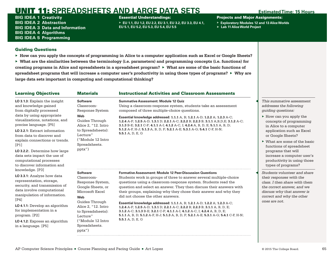BIG IDEA 1 **Creativity** BIG IDEA 2 **Abstraction** BIG IDEA 3 **Data and Information** BIG IDEA 4 **Algorithms** BIG IDEA 5 **Programming**

Essential Understandings:

▶ **EU 1.1, EU 1.2, EU 2.2, EU 3.1, EU 3.2, EU 3.3, EU 4.1, EU 5.1, EU 5.2, EU 5.3, EU 5.4, EU 5.5**

Projects and Major Assignments:

- ▶ **Exploratory Modules 12 and 13 Alice Worlds**
- ▶ **Lab 11 Alice World Project**

## Guiding Questions

▶ **How can you apply the concepts of programming in Alice to a computer application such as Excel or Google Sheets?** 

| <b>Learning Objectives</b>                                                                                                                                                                                                                                                                                                                                                                                                                                                                                                                                                                                                                                                                                                              | <b>Materials</b>                                                                                                       | <b>Instructional Activities and Classroom Assessments</b>                                                                                                                                                                                                                                                                                                                                 |               |                                                                                                                                                                                    |
|-----------------------------------------------------------------------------------------------------------------------------------------------------------------------------------------------------------------------------------------------------------------------------------------------------------------------------------------------------------------------------------------------------------------------------------------------------------------------------------------------------------------------------------------------------------------------------------------------------------------------------------------------------------------------------------------------------------------------------------------|------------------------------------------------------------------------------------------------------------------------|-------------------------------------------------------------------------------------------------------------------------------------------------------------------------------------------------------------------------------------------------------------------------------------------------------------------------------------------------------------------------------------------|---------------|------------------------------------------------------------------------------------------------------------------------------------------------------------------------------------|
| LO 3.1.3: Explain the insight<br>and knowledge gained<br>from digitally processed<br>data by using appropriate<br>visualizations, notations, and<br>precise language. [P5]<br>LO 3.2.1: Extract information<br>from data to discover and<br>explain connections or trends.<br>[P1]<br>LO 3.2.2: Determine how large<br>data sets impact the use of<br>computational processes<br>to discover information and<br>knowledge. [P3]<br>LO 3.3.1: Analyze how data<br>representation, storage,<br>security, and transmission of<br>data involve computational<br>manipulation of information.<br>[P4]<br>LO 4.1.1: Develop an algorithm<br>for implementation in a<br>program. [P2]<br>LO 4.1.2: Express an algorithm<br>in a language. [P5] | <b>Software</b><br>Classroom-<br><b>Response System</b>                                                                | <b>Summative Assessment: Module 12 Quiz</b><br>Using a classroom-response system, students take an assessment<br>composed of three multiple-choice questions.                                                                                                                                                                                                                             |               | This summative assessment.<br>addresses the following<br>quiding questions:                                                                                                        |
|                                                                                                                                                                                                                                                                                                                                                                                                                                                                                                                                                                                                                                                                                                                                         | Web<br>Guides Through<br>Alice 2, "12. Intro<br>to Spreadsheets):<br>Lecture"                                          | Essential knowledge addressed: 1.1.1 A, B; 1.2.1 A-D; 1.2.2 A; 1.2.3 A-C;<br>1.2.4 A-F; 1.2.5 A-D; 1.3.1 D; 2.2.1 A-C; 2.2.2 B; 2.2.3 B; 3.1.1 A,B,D,E; 3.1.2 A-C;<br>3.1.3 B-E; 3.2.1 C-F; 4.1.1 A-I; 4.1.2 A-C, I; 4.2.4 A, B, D, E; 5.1.1 A, B, D;<br>5.1.2 A-F, H-J; 5.1.3 A, B, D, F; 5.2.1 A-E; 5.3.1 A-G; 5.4.1 C-F, H-N;<br>5.5.1 A, D, E, G                                      |               | $\blacktriangleright$ How can you apply the<br>concepts of programming<br>in Alice to a computer<br>application such as Excel<br>or Google Sheets?                                 |
|                                                                                                                                                                                                                                                                                                                                                                                                                                                                                                                                                                                                                                                                                                                                         | ("Module 12 Intro<br>Spreadsheets.<br>pptx")                                                                           |                                                                                                                                                                                                                                                                                                                                                                                           |               | $\triangleright$ What are some of the basic<br>functions of spreadsheet<br>programs that will<br>increase a computer user's<br>productivity in using those<br>types of programs?   |
|                                                                                                                                                                                                                                                                                                                                                                                                                                                                                                                                                                                                                                                                                                                                         | <b>Software</b><br>Classroom-<br>Response System,<br>Google Sheets, or<br>Microsoft Excel<br><b>Web</b>                | <b>Formative Assessment: Module 12 Peer-Discussion Questions</b><br>Students work in groups of three to answer several multiple-choice<br>questions using a classroom-response system. Students read the<br>question and select an answer. They then discuss their answers with<br>their groups, explaining why they chose their answer and why they<br>did not choose the other answers. |               | Students volunteer and share<br>their responses with the<br>class. I then share with them<br>the correct answer, and we<br>discuss why that answer is<br>correct and why the other |
|                                                                                                                                                                                                                                                                                                                                                                                                                                                                                                                                                                                                                                                                                                                                         | Guides Through<br>Alice 2, "12. Intro<br>to Spreadsheets):<br>Lecture"<br>("Module 12 Intro<br>Spreadsheets.<br>pptx") | <b>Essential knowledge addressed: 1.1.1</b> A, B; 1.2.1 A-D; 1.2.2 A; 1.2.3 A-C;<br>1.2.4 A-F; 1.2.5 A-D; 1.3.1 D; 2.2.1 A-C; 2.2.2 B; 2.2.3 B; 3.1.1 A, B, D, E;<br>3.1.2 A-C; 3.1.3 B-E; 3.2.1 C-F; 4.1.1 A-I; 4.1.2 A-C, I; 4.2.4 A, B, D, E;<br>5.1.1 A, B, D; 5.1.2 A-F, H-J; 5.1.3 A, B, D, F; 5.2.1 A-E; 5.3.1 A-G; 5.4.1 C-F, H-N;<br>5.5.1 A, D, E, G                            | ones are not. |                                                                                                                                                                                    |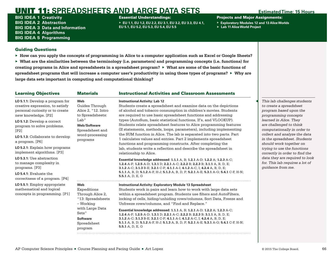BIG IDEA 1 **Creativity** BIG IDEA 2 **Abstraction** BIG IDEA 3 **Data and Information** BIG IDEA 4 **Algorithms** BIG IDEA 5 **Programming**

### Essential Understandings:

▶ **EU 1.1, EU 1.2, EU 2.2, EU 3.1, EU 3.2, EU 3.3, EU 4.1, EU 5.1, EU 5.2, EU 5.3, EU 5.4, EU 5.5**

Projects and Major Assignments:

- ▶ **Exploratory Modules 12 and 13 Alice Worlds**
- ▶ **Lab 11 Alice World Project**

## Guiding Questions

▶ **How can you apply the concepts of programming in Alice to a computer application such as Excel or Google Sheets?** 

| <b>Learning Objectives</b>                                                                                                                                                                                                                                                                                                                                                                                                                                              | <b>Materials</b>                                                                                                                                  | <b>Instructional Activities and Classroom Assessments</b>                                                                                                                                                                                                                                                                                                                                                                                                                                                                                                                                                                                                                                                                                                                                                                                                                                                                                                                                                                                                                                                                          |                                                                                                                                                                                                                                                                                                                                                                                                                                                     |
|-------------------------------------------------------------------------------------------------------------------------------------------------------------------------------------------------------------------------------------------------------------------------------------------------------------------------------------------------------------------------------------------------------------------------------------------------------------------------|---------------------------------------------------------------------------------------------------------------------------------------------------|------------------------------------------------------------------------------------------------------------------------------------------------------------------------------------------------------------------------------------------------------------------------------------------------------------------------------------------------------------------------------------------------------------------------------------------------------------------------------------------------------------------------------------------------------------------------------------------------------------------------------------------------------------------------------------------------------------------------------------------------------------------------------------------------------------------------------------------------------------------------------------------------------------------------------------------------------------------------------------------------------------------------------------------------------------------------------------------------------------------------------------|-----------------------------------------------------------------------------------------------------------------------------------------------------------------------------------------------------------------------------------------------------------------------------------------------------------------------------------------------------------------------------------------------------------------------------------------------------|
| LO 5.1.1: Develop a program for<br>creative expression, to satisfy<br>personal curiosity or to create<br>new knowledge. [P2]<br>LO 5.1.2: Develop a correct<br>program to solve problems.<br>[P2]<br>LO 5.1.3: Collaborate to develop<br>a program. [P6]<br><b>LO 5.2.1:</b> Explain how programs<br>implement algorithms. [P3]<br>LO 5.3.1: Use abstraction<br>to manage complexity in<br>programs. [P3]<br>$LO$ 5.4.1: Evaluate the<br>correctness of a program. [P4] | Web<br>Guides Through<br>Alice 2, "12. Intro<br>to Spreadsheets:<br>Lab"<br>Web/Software<br>Spreadsheet and<br>word-processing<br>programs        | <b>Instructional Activity: Lab 12</b><br>Students create a spreadsheet and examine data on the depictions<br>of alcohol and tobacco consumption in children's movies. Students<br>are required to use basic spreadsheet functions and addressing<br>types (AutoSum, basic statistical functions, If's, and VLOOKUP).<br>Students relate spreadsheet features to Alice programming features<br>(If statements, methods, loops, parameters), including implementing<br>the SUM function in Alice. The lab is separated into two parts. Part<br>1 calculates values and entries. Part 2 implements spreadsheet<br>functions and programming constructs. After completing the<br>lab, students write a reflection and describe the spreadsheet in<br>relationship to Alice.<br>Essential knowledge addressed: 1.1.1 A, B; 1.2.1 A-D; 1.2.2 A; 1.2.3 A-C;<br>1.2.4 A-F; 1.2.5 A-D; 1.3.1 D; 2.2.1 A-C; 2.2.2 B; 2.2.3 B; 3.1.1 A, B, D, E;<br>3.1.2 A-C; 3.1.3 B-E; 3.2.1 C-F; 4.1.1 A-I; 4.1.2 A-C, I; 4.2.4 A, B, D, E;<br>5.1.1 A, B, D; 5.1.2 A-F, H-J; 5.1.3 A, B, D, F; 5.2.1 A-E; 5.3.1 A-G; 5.4.1 C-F, H-N;<br>5.5.1 A, D, E, G | This lab challenges students<br>to create a spreadsheet<br>program based upon the<br>programming concepts<br>learned in Alice. They<br>are challenged to think<br>computationally in order to<br>collect and analyze the data<br>in the spreadsheet. Students<br>should work together on<br>trying to use the functions<br>correctly in order to find the<br>data they are required to look<br>for. This lab requires a lot of<br>quidance from me. |
| LO 5.5.1: Employ appropriate<br>mathematical and logical<br>concepts in programming. [P1]                                                                                                                                                                                                                                                                                                                                                                               | Web<br>Expeditions<br>Through Alice 2,<br>"13: Spreadsheets<br>– Working<br>with Large Data<br>Sets"<br><b>Software</b><br>Spreadsheet<br>program | <b>Instructional Activity: Exploratory Module 13 Spreadsheet</b><br>Students work in pairs and learn how to work with large data sets<br>within a spreadsheet program. Students use filters and AutoFilters,<br>locking of cells, hiding/unhiding rows/columns, Sort Data, Freeze and<br>Unfreeze rows/columns, and "Find and Replace."<br>Essential knowledge addressed: 1.1.1 A, B; 1.2.1 A-D; 1.2.2 A; 1.2.3 A-C;<br>1.2.4 A-F; 1.2.5 A-D; 1.3.1 D; 2.2.1 A-C; 2.2.2 B; 2.2.3 B; 3.1.1 A, B, D, E;<br>3.1.2 A-C; 3.1.3 B-E; 3.2.1 C-F; 4.1.1 A-I; 4.1.2 A-C, I; 4.2.4 A, B, D, E;<br>5.1.1 A, B, D; 5.1.2 A-F, H-J; 5.1.3 A, B, D, F; 5.2.1 A-E; 5.3.1 A-G; 5.4.1 C-F, H-N;<br>5.5.1 A, D, E, G                                                                                                                                                                                                                                                                                                                                                                                                                                 |                                                                                                                                                                                                                                                                                                                                                                                                                                                     |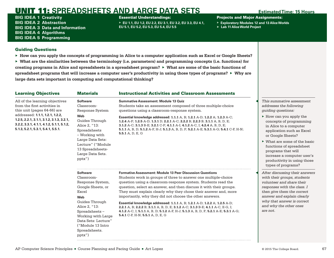BIG IDEA 1 **Creativity** BIG IDEA 2 **Abstraction** BIG IDEA 3 **Data and Information** BIG IDEA 4 **Algorithms** BIG IDEA 5 **Programming**

Essential Understandings:

▶ **EU 1.1, EU 1.2, EU 2.2, EU 3.1, EU 3.2, EU 3.3, EU 4.1, EU 5.1, EU 5.2, EU 5.3, EU 5.4, EU 5.5**

Projects and Major Assignments:

- ▶ **Exploratory Modules 12 and 13 Alice Worlds**
- ▶ **Lab 11 Alice World Project**

# Guiding Questions

▶ **How can you apply the concepts of programming in Alice to a computer application such as Excel or Google Sheets?** 

| <b>Learning Objectives</b>                                                                                                                                      | <b>Materials</b>                                                                                                                                                                                                                        | <b>Instructional Activities and Classroom Assessments</b>                                                                                                                                                                                                                                                                                                                                                                                                                                                                                                                                                                                                                                           |                                                                                                                                                                                                                                                           |
|-----------------------------------------------------------------------------------------------------------------------------------------------------------------|-----------------------------------------------------------------------------------------------------------------------------------------------------------------------------------------------------------------------------------------|-----------------------------------------------------------------------------------------------------------------------------------------------------------------------------------------------------------------------------------------------------------------------------------------------------------------------------------------------------------------------------------------------------------------------------------------------------------------------------------------------------------------------------------------------------------------------------------------------------------------------------------------------------------------------------------------------------|-----------------------------------------------------------------------------------------------------------------------------------------------------------------------------------------------------------------------------------------------------------|
| All of the learning objectives<br>from the first activities in<br>this unit (pages 64-66) are                                                                   | <b>Software</b><br>Classroom-<br>Response System                                                                                                                                                                                        | <b>Summative Assessment: Module 13 Quiz</b><br>Students take an assessment composed of three multiple-choice<br>questions using a classroom-response system.                                                                                                                                                                                                                                                                                                                                                                                                                                                                                                                                        | This summative assessment<br>addresses the following<br>quiding questions:                                                                                                                                                                                |
| addressed: 1.1.1, 1.2.1, 1.2.2,<br>1.2.5, 2.2.1, 3.1.1, 3.1.2, 3.1.3, 3.2.1,<br>3.2.2, 3.3.1, 4.1.1, 4.1.2, 5.1.1, 5.1.2,<br>5.1.3, 5.2.1, 5.3.1, 5.4.1, 5.5.1. | Web<br>Guides Through<br>Alice 2, "13:<br>Spreadsheets<br>– Working with                                                                                                                                                                | Essential knowledge addressed: 1.1.1 A, B; 1.2.1 A-D; 1.2.2 A; 1.2.3 A-C;<br>1.2.4 A-F; 1.2.5 A-D; 1.3.1 D; 2.2.1 A-C; 2.2.2 B; 2.2.3 B; 3.1.1 A, B, D, E;<br>3.1.2 A-C; 3.1.3 B-E; 3.2.1 C-F; 4.1.1 A-I; 4.1.2 A-C, I; 4.2.4 A, B, D, E;<br>5.1.1 A, B, D; 5.1.2 A-F, H-J; 5.1.3 A, B, D, F; 5.2.1 A-E; 5.3.1 A-G; 5.4.1 C-F, H-N;<br>5.5.1 A, D, E, G                                                                                                                                                                                                                                                                                                                                             | $\blacktriangleright$ How can you apply the<br>concepts of programming<br>in Alice to a computer<br>application such as Excel<br>or Google Sheets?                                                                                                        |
|                                                                                                                                                                 | Large Data Sets:<br>Lecture" ("Module<br>13 Spreadsheets-<br>Large Data Sets.<br>pptx")                                                                                                                                                 |                                                                                                                                                                                                                                                                                                                                                                                                                                                                                                                                                                                                                                                                                                     | $\triangleright$ What are some of the basic<br>functions of spreadsheet<br>programs that will<br>increase a computer user's<br>productivity in using those<br>types of programs?                                                                          |
|                                                                                                                                                                 | <b>Software</b><br>Classroom-<br>Response System,<br>Google Sheets, or<br>Excel<br>Web<br>Guides Through<br>Alice 2, "13:<br>Spreadsheets-<br>Working with Large<br>Data Sets: Lecture"<br>("Module 13 Intro<br>Spreadsheets.<br>pptx") | <b>Formative Assessment: Module 13 Peer Discussion Questions</b><br>Students work in groups of three to answer one multiple-choice<br>question using a classroom-response system. Students read the<br>question, select an answer, and then discuss it with their groups.<br>They must explain clearly why they chose their answer and, more<br>importantly, why they did not choose the other answers.<br>Essential knowledge addressed: 1.1.1 A, B; 1.2.1 A-D; 1.2.2 A; 1.2.5 A-D;<br>2.2.1 A, B; 2.2.2 B; 3.1.1 A, B, D, E; 3.1.2 A-C; 3.1.3 B-E; 4.1.1 A-C, E-G, I;<br>4.1.2 A-C, I; 5.1.1 A, B, D; 5.1.2 A-F, H-J; 5.1.3 A, B, D, F; 5.2.1 A-E; 5.3.1 A-G;<br>5.4.1 C-F, H-N; 5.5.1 A, D, E, G | After discussing their answers<br>with their groups, students<br>volunteer and share their<br>responses with the class. I<br>then give them the correct<br>answer and explain clearly<br>why that answer is correct<br>and why the other ones<br>are not. |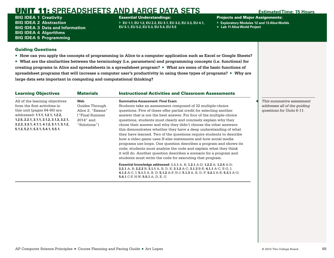BIG IDEA 1 **Creativity** BIG IDEA 2 **Abstraction** BIG IDEA 3 **Data and Information** BIG IDEA 4 **Algorithms** BIG IDEA 5 **Programming**

Essential Understandings:

▶ **EU 1.1, EU 1.2, EU 2.2, EU 3.1, EU 3.2, EU 3.3, EU 4.1, EU 5.1, EU 5.2, EU 5.3, EU 5.4, EU 5.5**

Projects and Major Assignments:

- ▶ **Exploratory Modules 12 and 13 Alice Worlds**
- ▶ **Lab 11 Alice World Project**

## Guiding Questions

▶ **How can you apply the concepts of programming in Alice to a computer application such as Excel or Google Sheets?** 

▶ **What are the similarities between the terminology (i.e. parameters) and programming concepts (i.e. functions) for creating programs in Alice and spreadsheets in a spreadsheet program?** ▶ **What are some of the basic functions of spreadsheet programs that will increase a computer user's productivity in using those types of programs?** ▶ **Why are large data sets important in computing and computational thinking?**

| <b>Learning Objectives</b>                                                                                                                                                                                                                                           | <b>Materials</b>                                                                           | <b>Instructional Activities and Classroom Assessments</b>                                                                                                                                                                                                                                                                                                                                                                                                                                                                                                                                                                                                                                                                                                                                                                                                                            |
|----------------------------------------------------------------------------------------------------------------------------------------------------------------------------------------------------------------------------------------------------------------------|--------------------------------------------------------------------------------------------|--------------------------------------------------------------------------------------------------------------------------------------------------------------------------------------------------------------------------------------------------------------------------------------------------------------------------------------------------------------------------------------------------------------------------------------------------------------------------------------------------------------------------------------------------------------------------------------------------------------------------------------------------------------------------------------------------------------------------------------------------------------------------------------------------------------------------------------------------------------------------------------|
| All of the learning objectives<br>from the first activities in<br>this unit (pages 64-66) are<br>addressed: 1.1.1, 1.2.1, 1.2.2,<br>$1.2.5, 2.2.1, 3.1.1, 3.1.2, 3.1.3, 3.2.1,$<br>$3.2.2, 3.3.1, 4.1.1, 4.1.2, 5.1.1, 5.1.2,$<br>5.1.3, 5.2.1, 5.3.1, 5.4.1, 5.5.1. | Web<br>Guides Through<br>Alice 2, "Exams"<br>("Final Summer<br>$2014"$ and<br>"Solutions") | <b>Summative Assessment: Final Exam</b><br>Students take an assessment composed of 32 multiple-choice<br>questions. Five of these offer partial credit for selecting another<br>answer that is not the best answer. For four of the multiple-choice<br>questions, students must clearly and concisely explain why they<br>chose their answer and why they didn't choose the other answers:<br>this demonstrates whether they have a deep understanding of what<br>they have learned. Two of the questions require students to describe<br>how a video game uses If-else statements and how social media<br>programs use loops. One question describes a program and shows its<br>code; students must analyze the code and explain what they think<br>it will do. Another question describes a scenario for a program and<br>students must write the code for executing that program. |
|                                                                                                                                                                                                                                                                      |                                                                                            | <b>Essential knowledge addressed: 1.1.1</b> A, B; 1.2.1 A-D; 1.2.2 A; 1.2.5 A-D;<br>2.2.1 A, B; 2.2.2 B; 3.1.1 A, B, D, E; 3.1.2 A-C; 3.1.3 B-E; 4.1.1 A-C, E-G, I;<br>4.1.2 A-C, I; 5.1.1 A, B, D; 5.1.2 A-F, H-J; 5.1.3 A, B, D, F; 5.2.1 A-E; 5.3.1 A-G;<br>5.4.1 C-F, H-N; 5.5.1 A, D, E, G                                                                                                                                                                                                                                                                                                                                                                                                                                                                                                                                                                                      |

◀ *This summative assessment addresses all of the guiding questions for Units 6-11.*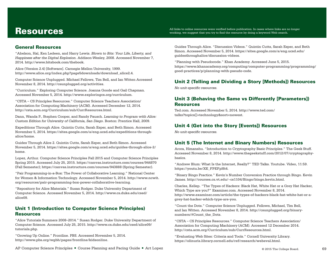# Resources

All links to online resources were verified before publication. In cases where links are no longer working, we suggest that you try to find the resource by doing a keyword Web search.

## General Resources

"Abelson, Hal, Ken Ledeen, and Harry Lewis. *Blown to Bits: Your Life, Liberty, and Happiness after the Digital Explosion*. Addison-Wesley, 2008. Accessed November 7, 2014. **[http://www.bitsbook.com/thebook](http://www.bitsbook.com/thebook/)**.

Alice (Version 2.4) [Software]. Carnegie Mellon University, 1999. **[http://www.alice.org/index.php?page5downloads/download\\_alice2.4](http://www.alice.org/index.php?page5downloads/download_alice2.4)**.

Computer Science Unplugged. Michael Fellows, Tim Bell, and Ian Witten Accessed November 8, 2014. **<http://csunplugged.org/activities>**.

"Curriculum." Exploring Computer Science. Joanna Goode and Gail Chapman. Accessed November 5, 2014. **<http://www.exploringcs.org/curriculum>**.

"CSTA – CS Principles Resources." Computer Science Teachers Association/ Association for Computing Machinery (ACM). Accessed December 12, 2014. **<http://csta.acm.org/Curriculum/sub/CurrResources.html>**.

Dann, Wanda P., Stephen Cooper, and Randy Pausch. *Learning to Program with Alice: Custom Edition for University of California, San Diego*. Boston: Prentice Hall, 2009.

Expeditions Through Alice. Quintin Cutts, Sarah Esper, and Beth Simon. Accessed November 5, 2014. **[https://sites.google.com/a/eng.ucsd.edu/expeditions-through](https://sites.google.com/a/eng.ucsd.edu/expeditions-through-alice/home)[alice/home](https://sites.google.com/a/eng.ucsd.edu/expeditions-through-alice/home)**.

Guides Through Alice 2. Quintin Cutts, Sarah Esper, and Beth Simon. Accessed November 5, 2014. **[https://sites.google.com/a/eng.ucsd.edu/guides-through-alice-2/](https://sites.google.com/a/eng.ucsd.edu/guides-through-alice-2/home) [home](https://sites.google.com/a/eng.ucsd.edu/guides-through-alice-2/home)**.

Lopez, Arthur. Computer Science Principles Fall 2015 and Computer Science Principles Spring 2015. Accessed July 25, 2015. **<https://canvas.instructure.com/courses/944870>** (Fall Semester); **<https://canvas.instructure.com/courses/943888>** (Spring Semester).

"Pair Programming-in-a-Box: The Power of Collaborative Learning." National Center for Women & Information Technology. Accessed November 5, 2014. **[http://www.ncwit.](http://www.ncwit.org/resources/pair-programming-box-power-collaborative-learning) [org/resources/pair-programming-box-power-collaborative-learning](http://www.ncwit.org/resources/pair-programming-box-power-collaborative-learning)**.

"Repository for Alice Materials." Susan Rodger. Duke University Department of Computer Science. Accessed November 5, 2014. **[http://www.cs.duke.edu/csed/](http://www.cs.duke.edu/csed/alice09/) [alice09](http://www.cs.duke.edu/csed/alice09/)**.

# Unit 1 (Introduction to Computer Science Principles) Resources

"Alice Tutorials Summers 2008–2014." Susan Rodger. Duke University Department of Computer Science. Accessed July 25, 2015. **[http://www.cs.duke.edu/csed/alice09/](http://www.cs.duke.edu/csed/alice09/tutorials.php) [tutorials.php](http://www.cs.duke.edu/csed/alice09/tutorials.php)**.

"Growing Up Online." Frontline. PBS. Accessed November 5, 2014. **<http://www.pbs.org/wgbh/pages/frontline/kidsonline>**.

Guides Through Alice. "Discussion Videos." Quintin Cutts, Sarah Esper, and Beth Simon. Accessed November 5, 2014. **[https://sites.google.com/a/eng.ucsd.edu/](https://sites.google.com/a/eng.ucsd.edu/guidesthroughalice/discussion-videos) [guidesthroughalice/discussion-videos](https://sites.google.com/a/eng.ucsd.edu/guidesthroughalice/discussion-videos)**.

"Planning with Pseudocode." Khan Academy. Accessed June 5, 2015. **[https://www.khanacademy.org/computing/computer-programming/programming/](https://www.khanacademy.org/computing/computer-programming/programming/good-practices/p/planning-with-pseudo-code) [good-practices/p/planning-with-pseudo-code](https://www.khanacademy.org/computing/computer-programming/programming/good-practices/p/planning-with-pseudo-code)**.

# Unit 2 (Telling and Dividing a Story [Methods]) Resources

*No unit-specific resources.*

# Unit 3 (Behaving the Same vs Differently [Parameters]) Resources

Ted.com. Accessed November 5, 2014. **[http://www.ted.com/](http://www.ted.com/talks?topics[]=technology&sort=newest) [talks?topics\[\]=technology&sort=newest](http://www.ted.com/talks?topics[]=technology&sort=newest)**.

# Unit 4 (Get into the Story [Events]) Resources

*No unit-specific resources.*

# Unit 5 (The Internet and Binary Numbers) Resources

Arora, Himanshu. "Introduction to Cryptography Basic Principles." The Geek Stuff. Accessed November 8, 2014. **[http://www.thegeekstuff.com/2012/07/cryptography](http://www.thegeekstuff.com/2012/07/cryptography-basics/)[basics](http://www.thegeekstuff.com/2012/07/cryptography-basics/)**.

"Andrew Blum: What Is the Internet, Really?" TED Talks. Youtube. Video, 11:59. **[https://youtu.be/XE\\_FPEFpHt4](https://youtu.be/XE_FPEFpHt4)**.

"Binary Bingo Practice." Kevin's Number Conversion Practice through Bingo. Kevin James. **<http://courses.cs.vt.edu/~cs1104/Bingo/bingo.kevin.html>**.

Charles, Kellep. "The Types of Hackers: Black Hat, White Hat or a Grey Hat Hacker, Which Type are you?" Examiner.com. Accessed November 8, 2014. **[http://www.examiner.com/article/the-types-of-hackers-black-hat-white-hat-or-a](http://www.examiner.com/article/the-types-of-hackers-black-hat-white-hat-or-a-grey-hat-hacker-which-type-are-you)[grey-hat-hacker-which-type-are-you](http://www.examiner.com/article/the-types-of-hackers-black-hat-white-hat-or-a-grey-hat-hacker-which-type-are-you)**.

"Count the Dots." Computer Science Unplugged. Fellows, Michael, Tim Bell, and Ian Witten. Accessed November 8, 2014. **[http://csunplugged.org/binary](http://csunplugged.org/binary-numbers/#Count_the_Dots)[numbers/#Count\\_the\\_Dots](http://csunplugged.org/binary-numbers/#Count_the_Dots)**.

"CSTA – CS Principles Resources." Computer Science Teachers Association/ Association for Computing Machinery (ACM). Accessed 12 December 2014. **<http://csta.acm.org/Curriculum/sub/CurrResources.html>**.

"Evaluating Web Sites: Criteria and Tools." Cornell University Library. **<https://olinuris.library.cornell.edu/ref/research/webeval.html>**.